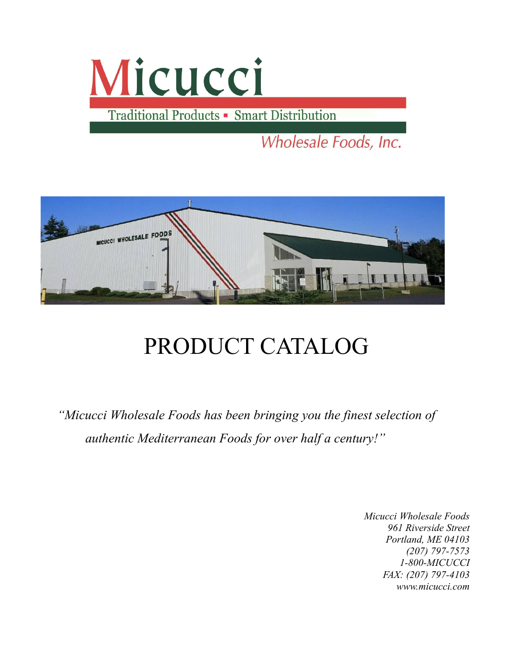# Micucci

Traditional Products - Smart Distribution

Wholesale Foods, Inc.



### PRODUCT CATALOG

*"Micucci Wholesale Foods has been bringing you the finest selection of authentic Mediterranean Foods for over half a century!"*

> *Micucci Wholesale Foods 961 Riverside Street Portland, ME 04103 (207) 797-7573 1-800-MICUCCI FAX: (207) 797-4103 www.micucci.com*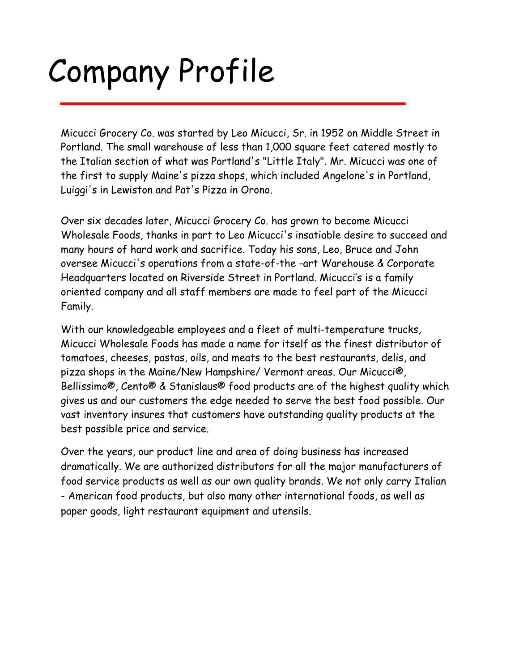## Company Profile

Micucci Grocery Co. was started by Leo Micucci, Sr. in 1952 on Middle Street in Portland. The small warehouse of less than 1,000 square feet catered mostly to the Italian section of what was Portland's "Little Italy". Mr. Micucci was one of the first to supply Maine's pizza shops, which included Angelone's in Portland, Luiggi's in Lewiston and Pat's Pizza in Orono.

Over six decades later, Micucci Grocery Co. has grown to become Micucci Wholesale Foods, thanks in part to Leo Micucci's insatiable desire to succeed and many hours of hard work and sacrifice. Today his sons, Leo, Bruce and John oversee Micucci's operations from a state-of-the -art Warehouse & Corporate Headquarters located on Riverside Street in Portland. Micucci's is a family oriented company and all staff members are made to feel part of the Micucci Family.

With our knowledgeable employees and a fleet of multi-temperature trucks, Micucci Wholesale Foods has made a name for itself as the finest distributor of tomatoes, cheeses, pastas, oils, and meats to the best restaurants, delis, and pizza shops in the Maine/New Hampshire/ Vermont areas. Our Micucci®, Bellissimo®, Cento® & Stanislaus® food products are of the highest quality which gives us and our customers the edge needed to serve the best food possible. Our vast inventory insures that customers have outstanding quality products at the best possible price and service.

Over the years, our product line and area of doing business has increased dramatically. We are authorized distributors for all the major manufacturers of food service products as well as our own quality brands. We not only carry Italian - American food products, but also many other international foods, as well as paper goods, light restaurant equipment and utensils.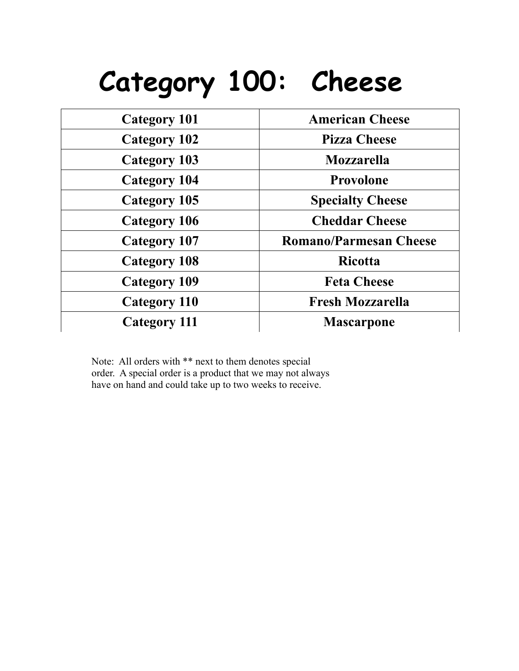### **Category 100: Cheese**

| <b>Category 101</b> | <b>American Cheese</b>        |
|---------------------|-------------------------------|
| <b>Category 102</b> | <b>Pizza Cheese</b>           |
| <b>Category 103</b> | <b>Mozzarella</b>             |
| <b>Category 104</b> | Provolone                     |
| Category 105        | <b>Specialty Cheese</b>       |
| <b>Category 106</b> | <b>Cheddar Cheese</b>         |
| <b>Category 107</b> | <b>Romano/Parmesan Cheese</b> |
| <b>Category 108</b> | <b>Ricotta</b>                |
| <b>Category 109</b> | <b>Feta Cheese</b>            |
| <b>Category 110</b> | <b>Fresh Mozzarella</b>       |
| <b>Category 111</b> | <b>Mascarpone</b>             |

Note: All orders with \*\* next to them denotes special order. A special order is a product that we may not always have on hand and could take up to two weeks to receive.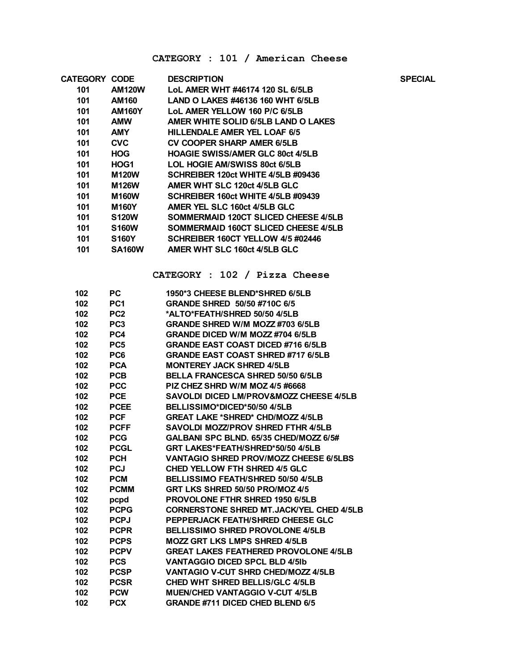#### **CATEGORY : 101 / American Cheese**

| <b>CATEGORY CODE</b> |               | <b>DESCRIPTION</b>                        | <b>SPECIAL</b> |
|----------------------|---------------|-------------------------------------------|----------------|
| 101                  | <b>AM120W</b> | LoL AMER WHT #46174 120 SL 6/5LB          |                |
| 101                  | AM160         | LAND O LAKES #46136 160 WHT 6/5LB         |                |
| 101                  | <b>AM160Y</b> | LoL AMER YELLOW 160 P/C 6/5LB             |                |
| 101                  | <b>AMW</b>    | AMER WHITE SOLID 6/5LB LAND O LAKES       |                |
| 101                  | <b>AMY</b>    | HILLENDALE AMER YEL LOAF 6/5              |                |
| 101                  | <b>CVC</b>    | <b>CV COOPER SHARP AMER 6/5LB</b>         |                |
| 101                  | <b>HOG</b>    | <b>HOAGIE SWISS/AMER GLC 80ct 4/5LB</b>   |                |
| 101                  | HOG1          | LOL HOGIE AM/SWISS 80ct 6/5LB             |                |
| 101                  | <b>M120W</b>  | <b>SCHREIBER 120ct WHITE 4/5LB #09436</b> |                |
| 101                  | <b>M126W</b>  | AMER WHT SLC 120ct 4/5LB GLC              |                |
| 101                  | <b>M160W</b>  | SCHREIBER 160ct WHITE 4/5LB #09439        |                |
| 101                  | <b>M160Y</b>  | AMER YEL SLC 160ct 4/5LB GLC              |                |
| 101                  | <b>S120W</b>  | SOMMERMAID 120CT SLICED CHEESE 4/5LB      |                |
| 101                  | <b>S160W</b>  | SOMMERMAID 160CT SLICED CHEESE 4/5LB      |                |
| 101                  | <b>S160Y</b>  | SCHREIBER 160CT YELLOW 4/5 #02446         |                |
| 101                  | <b>SA160W</b> | AMER WHT SLC 160ct 4/5LB GLC              |                |
|                      |               |                                           |                |

**CATEGORY : 102 / Pizza Cheese**

| 102 | PС              | 1950*3 CHEESE BLEND*SHRED 6/5LB                    |
|-----|-----------------|----------------------------------------------------|
| 102 | PC <sub>1</sub> | GRANDE SHRED 50/50 #710C 6/5                       |
| 102 | PC <sub>2</sub> | *ALTO*FEATH/SHRED 50/50 4/5LB                      |
| 102 | PC <sub>3</sub> | <b>GRANDE SHRED W/M MOZZ #703 6/5LB</b>            |
| 102 | PC4             | <b>GRANDE DICED W/M MOZZ #704 6/5LB</b>            |
| 102 | PC <sub>5</sub> | <b>GRANDE EAST COAST DICED #716 6/5LB</b>          |
| 102 | PC6             | <b>GRANDE EAST COAST SHRED #717 6/5LB</b>          |
| 102 | <b>PCA</b>      | <b>MONTEREY JACK SHRED 4/5LB</b>                   |
| 102 | <b>PCB</b>      | <b>BELLA FRANCESCA SHRED 50/50 6/5LB</b>           |
| 102 | <b>PCC</b>      | PIZ CHEZ SHRD W/M MOZ 4/5 #6668                    |
| 102 | <b>PCE</b>      | <b>SAVOLDI DICED LM/PROV&amp;MOZZ CHEESE 4/5LB</b> |
| 102 | <b>PCEE</b>     | BELLISSIMO*DICED*50/50 4/5LB                       |
| 102 | <b>PCF</b>      | <b>GREAT LAKE *SHRED* CHD/MOZZ 4/5LB</b>           |
| 102 | <b>PCFF</b>     | SAVOLDI MOZZ/PROV SHRED FTHR 4/5LB                 |
| 102 | <b>PCG</b>      | GALBANI SPC BLND. 65/35 CHED/MOZZ 6/5#             |
| 102 | <b>PCGL</b>     | GRT LAKES*FEATH/SHRED*50/50 4/5LB                  |
| 102 | <b>PCH</b>      | <b>VANTAGIO SHRED PROV/MOZZ CHEESE 6/5LBS</b>      |
| 102 | <b>PCJ</b>      | <b>CHED YELLOW FTH SHRED 4/5 GLC</b>               |
| 102 | <b>PCM</b>      | BELLISSIMO FEATH/SHRED 50/50 4/5LB                 |
| 102 | <b>PCMM</b>     | GRT LKS SHRED 50/50 PRO/MOZ 4/5                    |
| 102 | pcpd            | <b>PROVOLONE FTHR SHRED 1950 6/5LB</b>             |
| 102 | <b>PCPG</b>     | <b>CORNERSTONE SHRED MT.JACK/YEL CHED 4/5LB</b>    |
| 102 | <b>PCPJ</b>     | PEPPERJACK FEATH/SHRED CHEESE GLC                  |
| 102 | <b>PCPR</b>     | <b>BELLISSIMO SHRED PROVOLONE 4/5LB</b>            |
| 102 | <b>PCPS</b>     | <b>MOZZ GRT LKS LMPS SHRED 4/5LB</b>               |
| 102 | <b>PCPV</b>     | <b>GREAT LAKES FEATHERED PROVOLONE 4/5LB</b>       |
| 102 | <b>PCS</b>      | <b>VANTAGGIO DICED SPCL BLD 4/51b</b>              |
| 102 | <b>PCSP</b>     | VANTAGIO V-CUT SHRD CHED/MOZZ 4/5LB                |
| 102 | <b>PCSR</b>     | <b>CHED WHT SHRED BELLIS/GLC 4/5LB</b>             |
| 102 | <b>PCW</b>      | <b>MUEN/CHED VANTAGGIO V-CUT 4/5LB</b>             |
| 102 | <b>PCX</b>      | <b>GRANDE #711 DICED CHED BLEND 6/5</b>            |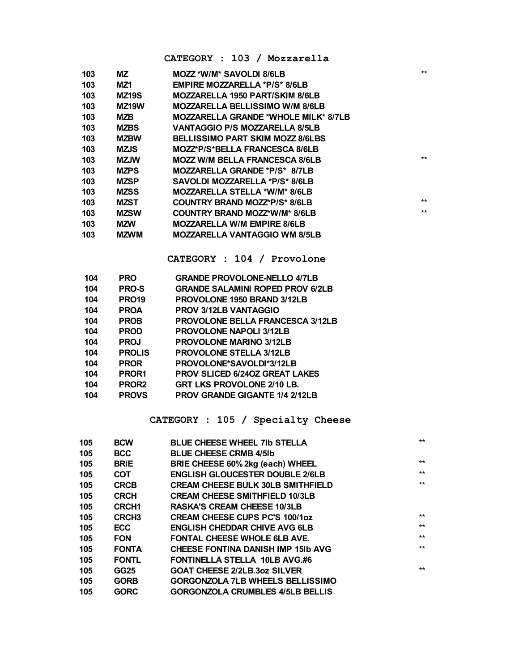#### **CATEGORY : 103 / Mozzarella**

| 103 | MZ                 | MOZZ *W/M* SAVOLDI 8/6LB                    | $***$ |
|-----|--------------------|---------------------------------------------|-------|
| 103 | MZ1                | <b>EMPIRE MOZZARELLA *P/S* 8/6LB</b>        |       |
| 103 | <b>MZ19S</b>       | <b>MOZZARELLA 1950 PART/SKIM 8/6LB</b>      |       |
| 103 | MZ <sub>19</sub> W | <b>MOZZARELLA BELLISSIMO W/M 8/6LB</b>      |       |
| 103 | MZB.               | <b>MOZZARELLA GRANDE *WHOLE MILK* 8/7LB</b> |       |
| 103 | <b>MZBS</b>        | <b>VANTAGGIO P/S MOZZARELLA 8/5LB</b>       |       |
| 103 | <b>MZBW</b>        | <b>BELLISSIMO PART SKIM MOZZ 8/6LBS</b>     |       |
| 103 | <b>MZJS</b>        | MOZZ*P/S*BELLA FRANCESCA 8/6LB              |       |
| 103 | <b>MZJW</b>        | <b>MOZZ W/M BELLA FRANCESCA 8/6LB</b>       | $***$ |
| 103 | <b>MZPS</b>        | MOZZARELLA GRANDE *P/S* 8/7LB               |       |
| 103 | <b>MZSP</b>        | SAVOLDI MOZZARELLA *P/S* 8/6LB              |       |
| 103 | <b>MZSS</b>        | MOZZARELLA STELLA *W/M* 8/6LB               |       |
| 103 | MZST               | COUNTRY BRAND MOZZ*P/S* 8/6LB               | $**$  |
| 103 | <b>MZSW</b>        | COUNTRY BRAND MOZZ*W/M* 8/6LB               | $**$  |
| 103 | <b>MZW</b>         | <b>MOZZARELLA W/M EMPIRE 8/6LB</b>          |       |
| 103 | <b>MZWM</b>        | <b>MOZZARELLA VANTAGGIO WM 8/5LB</b>        |       |

**CATEGORY : 104 / Provolone**

| 104 | <b>PRO</b>        | <b>GRANDE PROVOLONE-NELLO 4/7LB</b>     |
|-----|-------------------|-----------------------------------------|
| 104 | <b>PRO-S</b>      | <b>GRANDE SALAMINI ROPED PROV 6/2LB</b> |
| 104 | <b>PRO19</b>      | <b>PROVOLONE 1950 BRAND 3/12LB</b>      |
| 104 | <b>PROA</b>       | <b>PROV 3/12LB VANTAGGIO</b>            |
| 104 | <b>PROB</b>       | <b>PROVOLONE BELLA FRANCESCA 3/12LB</b> |
| 104 | <b>PROD</b>       | <b>PROVOLONE NAPOLI 3/12LB</b>          |
| 104 | <b>PROJ</b>       | <b>PROVOLONE MARINO 3/12LB</b>          |
| 104 | <b>PROLIS</b>     | <b>PROVOLONE STELLA 3/12LB</b>          |
| 104 | <b>PROR</b>       | PROVOLONE*SAVOLDI*3/12LB                |
| 104 | PROR1             | <b>PROV SLICED 6/240Z GREAT LAKES</b>   |
| 104 | PROR <sub>2</sub> | <b>GRT LKS PROVOLONE 2/10 LB.</b>       |
| 104 | <b>PROVS</b>      | <b>PROV GRANDE GIGANTE 1/4 2/12LB</b>   |

#### **CATEGORY : 105 / Specialty Cheese**

|                   |                                           | $***$                               |
|-------------------|-------------------------------------------|-------------------------------------|
| <b>BCC</b>        | <b>BLUE CHEESE CRMB 4/5lb</b>             |                                     |
| <b>BRIE</b>       | BRIE CHEESE 60% 2kg (each) WHEEL          | $***$                               |
| <b>COT</b>        | <b>ENGLISH GLOUCESTER DOUBLE 2/6LB</b>    | $***$                               |
| <b>CRCB</b>       | <b>CREAM CHEESE BULK 30LB SMITHFIELD</b>  | $***$                               |
| <b>CRCH</b>       | <b>CREAM CHEESE SMITHFIELD 10/3LB</b>     |                                     |
| <b>CRCH1</b>      | <b>RASKA'S CREAM CHEESE 10/3LB</b>        |                                     |
| CRCH <sub>3</sub> | <b>CREAM CHEESE CUPS PC'S 100/10Z</b>     | $***$                               |
| <b>ECC</b>        | <b>ENGLISH CHEDDAR CHIVE AVG 6LB</b>      | $***$                               |
| <b>FON</b>        | <b>FONTAL CHEESE WHOLE 6LB AVE.</b>       | $***$                               |
| <b>FONTA</b>      | <b>CHEESE FONTINA DANISH IMP 15Ib AVG</b> | $***$                               |
| <b>FONTL</b>      | <b>FONTINELLA STELLA 10LB AVG.#6</b>      |                                     |
| <b>GG25</b>       | <b>GOAT CHEESE 2/2LB.3oz SILVER</b>       | $***$                               |
| <b>GORB</b>       | <b>GORGONZOLA 7LB WHEELS BELLISSIMO</b>   |                                     |
| <b>GORC</b>       | <b>GORGONZOLA CRUMBLES 4/5LB BELLIS</b>   |                                     |
|                   | <b>BCW</b>                                | <b>BLUE CHEESE WHEEL 7Ib STELLA</b> |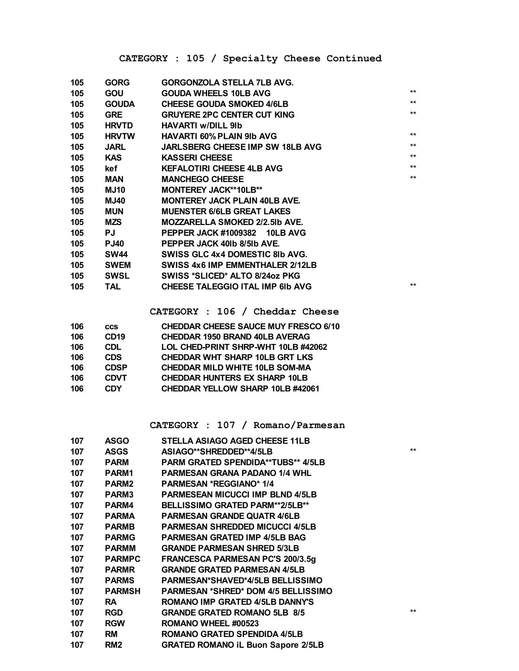| 105 | <b>GORG</b>  | GORGONZOLA STELLA 7LB AVG.              |      |
|-----|--------------|-----------------------------------------|------|
| 105 | GOU          | <b>GOUDA WHEELS 10LB AVG</b>            | $*$  |
| 105 | <b>GOUDA</b> | <b>CHEESE GOUDA SMOKED 4/6LB</b>        | $**$ |
| 105 | <b>GRE</b>   | <b>GRUYERE 2PC CENTER CUT KING</b>      | $**$ |
| 105 | <b>HRVTD</b> | <b>HAVARTI w/DILL 9lb</b>               |      |
| 105 | <b>HRVTW</b> | <b>HAVARTI 60% PLAIN 9Ib AVG</b>        | $**$ |
| 105 | <b>JARL</b>  | <b>JARLSBERG CHEESE IMP SW 18LB AVG</b> | $*$  |
| 105 | KAS.         | <b>KASSERI CHEESE</b>                   | $*$  |
| 105 | kef          | <b>KEFALOTIRI CHEESE 4LB AVG</b>        | $**$ |
| 105 | <b>MAN</b>   | <b>MANCHEGO CHEESE</b>                  | $**$ |
| 105 | <b>MJ10</b>  | <b>MONTEREY JACK**10LB**</b>            |      |
| 105 | <b>MJ40</b>  | <b>MONTEREY JACK PLAIN 40LB AVE.</b>    |      |
| 105 | <b>MUN</b>   | <b>MUENSTER 6/6LB GREAT LAKES</b>       |      |
| 105 | MZS.         | <b>MOZZARELLA SMOKED 2/2.5Ib AVE.</b>   |      |
| 105 | PJ           | PEPPER JACK #1009382 10LB AVG           |      |
| 105 | <b>PJ40</b>  | PEPPER JACK 401b 8/51b AVE.             |      |
| 105 | <b>SW44</b>  | SWISS GLC 4x4 DOMESTIC 8Ib AVG.         |      |
| 105 | <b>SWEM</b>  | SWISS 4x6 IMP EMMENTHALER 2/12LB        |      |
| 105 | <b>SWSL</b>  | SWISS *SLICED* ALTO 8/24oz PKG          |      |
| 105 | TAL          | <b>CHEESE TALEGGIO ITAL IMP 6Ib AVG</b> | $**$ |
|     |              |                                         |      |

**CATEGORY : 106 / Cheddar Cheese**

| 106 | <b>CCS</b>       | <b>CHEDDAR CHEESE SAUCE MUY FRESCO 6/10</b> |
|-----|------------------|---------------------------------------------|
| 106 | CD <sub>19</sub> | <b>CHEDDAR 1950 BRAND 40LB AVERAG</b>       |
| 106 | <b>CDL</b>       | LOL CHED-PRINT SHRP-WHT 10LB #42062         |
| 106 | <b>CDS</b>       | <b>CHEDDAR WHT SHARP 10LB GRT LKS</b>       |
| 106 | <b>CDSP</b>      | <b>CHEDDAR MILD WHITE 10LB SOM-MA</b>       |
| 106 | <b>CDVT</b>      | <b>CHEDDAR HUNTERS EX SHARP 10LB</b>        |
| 106 | <b>CDY</b>       | <b>CHEDDAR YELLOW SHARP 10LB #42061</b>     |
|     |                  |                                             |

**CATEGORY : 107 / Romano/Parmesan**

| 107 | <b>ASGO</b>     | STELLA ASIAGO AGED CHEESE 11LB             |      |
|-----|-----------------|--------------------------------------------|------|
| 107 | <b>ASGS</b>     | ASIAGO**SHREDDED**4/5LB                    | $**$ |
| 107 | <b>PARM</b>     | PARM GRATED SPENDIDA**TUBS** 4/5LB         |      |
| 107 | PARM1           | <b>PARMESAN GRANA PADANO 1/4 WHL</b>       |      |
| 107 | <b>PARM2</b>    | <b>PARMESAN *REGGIANO* 1/4</b>             |      |
| 107 | <b>PARM3</b>    | <b>PARMESEAN MICUCCI IMP BLND 4/5LB</b>    |      |
| 107 | PARM4           | <b>BELLISSIMO GRATED PARM**2/5LB**</b>     |      |
| 107 | <b>PARMA</b>    | <b>PARMESAN GRANDE QUATR 4/6LB</b>         |      |
| 107 | <b>PARMB</b>    | <b>PARMESAN SHREDDED MICUCCI 4/5LB</b>     |      |
| 107 | <b>PARMG</b>    | <b>PARMESAN GRATED IMP 4/5LB BAG</b>       |      |
| 107 | <b>PARMM</b>    | <b>GRANDE PARMESAN SHRED 5/3LB</b>         |      |
| 107 | <b>PARMPC</b>   | <b>FRANCESCA PARMESAN PC'S 200/3.5g</b>    |      |
| 107 | <b>PARMR</b>    | <b>GRANDE GRATED PARMESAN 4/5LB</b>        |      |
| 107 | <b>PARMS</b>    | <b>PARMESAN*SHAVED*4/5LB BELLISSIMO</b>    |      |
| 107 | <b>PARMSH</b>   | <b>PARMESAN *SHRED* DOM 4/5 BELLISSIMO</b> |      |
| 107 | <b>RA</b>       | <b>ROMANO IMP GRATED 4/5LB DANNY'S</b>     |      |
| 107 | <b>RGD</b>      | <b>GRANDE GRATED ROMANO 5LB 8/5</b>        | $**$ |
| 107 | <b>RGW</b>      | ROMANO WHEEL #00523                        |      |
| 107 | <b>RM</b>       | <b>ROMANO GRATED SPENDIDA 4/5LB</b>        |      |
| 107 | RM <sub>2</sub> | <b>GRATED ROMANO IL Buon Sapore 2/5LB</b>  |      |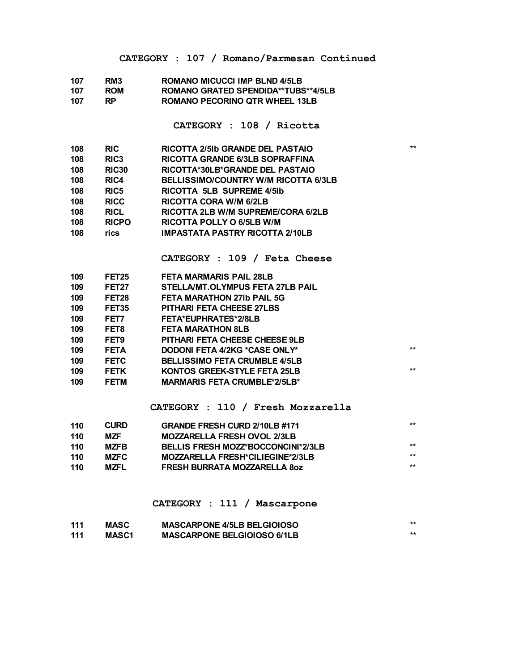#### **CATEGORY : 107 / Romano/Parmesan Continued**

| 107 | RM3        | <b>ROMANO MICUCCI IMP BLND 4/5LB</b>       |
|-----|------------|--------------------------------------------|
| 107 | <b>ROM</b> | <b>ROMANO GRATED SPENDIDA**TUBS**4/5LB</b> |
| 107 | RP.        | ROMANO PECORINO QTR WHEEL 13LB             |

**CATEGORY : 108 / Ricotta**

| 108 | <b>RIC</b>       | <b>RICOTTA 2/5Ib GRANDE DEL PASTAIO</b> | $***$ |
|-----|------------------|-----------------------------------------|-------|
| 108 | RIC <sub>3</sub> | <b>RICOTTA GRANDE 6/3LB SOPRAFFINA</b>  |       |
| 108 | <b>RIC30</b>     | RICOTTA*30LB*GRANDE DEL PASTAIO         |       |
| 108 | RIC4             | BELLISSIMO/COUNTRY W/M RICOTTA 6/3LB    |       |
| 108 | RIC <sub>5</sub> | RICOTTA 5LB SUPREME 4/51b               |       |
| 108 | <b>RICC</b>      | RICOTTA CORA W/M 6/2LB                  |       |
| 108 | <b>RICL</b>      | RICOTTA 2LB W/M SUPREME/CORA 6/2LB      |       |
| 108 | <b>RICPO</b>     | RICOTTA POLLY O 6/5LB W/M               |       |
| 108 | rics             | <b>IMPASTATA PASTRY RICOTTA 2/10LB</b>  |       |
|     |                  |                                         |       |

**CATEGORY : 109 / Feta Cheese**

| 109 | FET <sub>25</sub> | <b>FETA MARMARIS PAIL 28LB</b>        |       |
|-----|-------------------|---------------------------------------|-------|
| 109 | <b>FET27</b>      | STELLA/MT.OLYMPUS FETA 27LB PAIL      |       |
| 109 | FET28             | <b>FETA MARATHON 27Ib PAIL 5G</b>     |       |
| 109 | FET35             | <b>PITHARI FETA CHEESE 27LBS</b>      |       |
| 109 | FET7              | <b>FETA*EUPHRATES*2/8LB</b>           |       |
| 109 | FET8              | <b>FETA MARATHON 8LB</b>              |       |
| 109 | FET9              | <b>PITHARI FETA CHEESE CHEESE 9LB</b> |       |
| 109 | <b>FETA</b>       | DODONI FETA 4/2KG *CASE ONLY*         | $**$  |
| 109 | <b>FETC</b>       | <b>BELLISSIMO FETA CRUMBLE 4/5LB</b>  |       |
| 109 | <b>FETK</b>       | <b>KONTOS GREEK-STYLE FETA 25LB</b>   | $***$ |
| 109 | <b>FETM</b>       | <b>MARMARIS FETA CRUMBLE*2/5LB*</b>   |       |
|     |                   |                                       |       |

#### **CATEGORY : 110 / Fresh Mozzarella**

| 110 | <b>CURD</b> | <b>GRANDE FRESH CURD 2/10LB #171</b> | ** |
|-----|-------------|--------------------------------------|----|
| 110 | <b>MZF</b>  | <b>MOZZARELLA FRESH OVOL 2/3LB</b>   |    |
| 110 | <b>MZFB</b> | BELLIS FRESH MOZZ*BOCCONCINI*2/3LB   | ** |
| 110 | <b>MZFC</b> | MOZZARELLA FRESH*CILIEGINE*2/3LB     | ** |
| 110 | <b>MZFL</b> | <b>FRESH BURRATA MOZZARELLA 80Z</b>  | ** |

#### **CATEGORY : 111 / Mascarpone**

| 111 | <b>MASC</b>  | <b>MASCARPONE 4/5LB BELGIOIOSO</b> |  |
|-----|--------------|------------------------------------|--|
| 111 | <b>MASC1</b> | <b>MASCARPONE BELGIOIOSO 6/1LB</b> |  |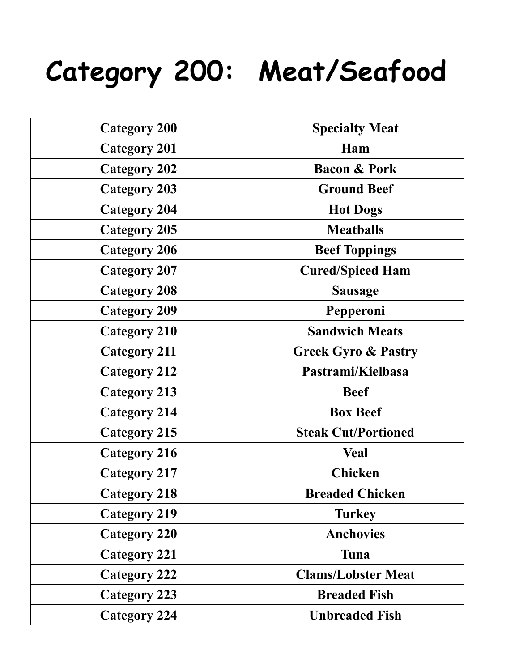### **Category 200: Meat/Seafood**

| <b>Category 200</b> | <b>Specialty Meat</b>          |
|---------------------|--------------------------------|
| <b>Category 201</b> | Ham                            |
| <b>Category 202</b> | <b>Bacon &amp; Pork</b>        |
| <b>Category 203</b> | <b>Ground Beef</b>             |
| <b>Category 204</b> | <b>Hot Dogs</b>                |
| <b>Category 205</b> | <b>Meatballs</b>               |
| <b>Category 206</b> | <b>Beef Toppings</b>           |
| <b>Category 207</b> | <b>Cured/Spiced Ham</b>        |
| <b>Category 208</b> | <b>Sausage</b>                 |
| <b>Category 209</b> | Pepperoni                      |
| <b>Category 210</b> | <b>Sandwich Meats</b>          |
| <b>Category 211</b> | <b>Greek Gyro &amp; Pastry</b> |
| <b>Category 212</b> | Pastrami/Kielbasa              |
| <b>Category 213</b> | <b>Beef</b>                    |
| <b>Category 214</b> | <b>Box Beef</b>                |
| <b>Category 215</b> | <b>Steak Cut/Portioned</b>     |
| <b>Category 216</b> | <b>Veal</b>                    |
| <b>Category 217</b> | <b>Chicken</b>                 |
| <b>Category 218</b> | <b>Breaded Chicken</b>         |
| <b>Category 219</b> | <b>Turkey</b>                  |
| <b>Category 220</b> | <b>Anchovies</b>               |
| <b>Category 221</b> | Tuna                           |
| <b>Category 222</b> | <b>Clams/Lobster Meat</b>      |
| <b>Category 223</b> | <b>Breaded Fish</b>            |
| <b>Category 224</b> | <b>Unbreaded Fish</b>          |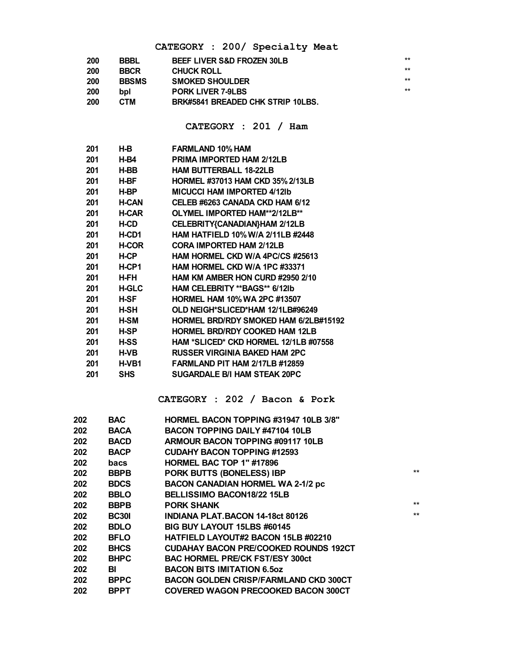#### **CATEGORY : 200/ Specialty Meat**

| 200 | <b>BBBL</b>  | <b>BEEF LIVER S&amp;D FROZEN 30LB</b> | **    |
|-----|--------------|---------------------------------------|-------|
| 200 | <b>BBCR</b>  | <b>CHUCK ROLL</b>                     | $***$ |
| 200 | <b>BBSMS</b> | <b>SMOKED SHOULDER</b>                | $***$ |
| 200 | bpl          | <b>PORK LIVER 7-9LBS</b>              | $**$  |
| 200 | CTM          | BRK#5841 BREADED CHK STRIP 10LBS.     |       |

**CATEGORY : 201 / Ham**

| 201 | H-B          | <b>FARMLAND 10% HAM</b>                  |
|-----|--------------|------------------------------------------|
| 201 | H-B4         | <b>PRIMA IMPORTED HAM 2/12LB</b>         |
| 201 | H-BB         | <b>HAM BUTTERBALL 18-22LB</b>            |
| 201 | H-BF         | <b>HORMEL #37013 HAM CKD 35% 2/13LB</b>  |
| 201 | H-BP         | <b>MICUCCI HAM IMPORTED 4/12Ib</b>       |
| 201 | <b>H-CAN</b> | CELEB #6263 CANADA CKD HAM 6/12          |
| 201 | <b>H-CAR</b> | OLYMEL IMPORTED HAM**2/12LB**            |
| 201 | <b>H-CD</b>  | CELEBRITY{CANADIAN}HAM 2/12LB            |
| 201 | H-CD1        | <b>HAM HATFIELD 10% W/A 2/11LB #2448</b> |
| 201 | <b>H-COR</b> | <b>CORA IMPORTED HAM 2/12LB</b>          |
| 201 | <b>H-CP</b>  | HAM HORMEL CKD W/A 4PC/CS #25613         |
| 201 | H-CP1        | HAM HORMEL CKD W/A 1PC #33371            |
| 201 | H-FH         | HAM KM AMBER HON CURD #2950 2/10         |
| 201 | <b>H-GLC</b> | <b>HAM CELEBRITY ** BAGS** 6/12lb</b>    |
| 201 | H-SF         | <b>HORMEL HAM 10% WA 2PC #13507</b>      |
| 201 | H-SH         | OLD NEIGH*SLICED*HAM 12/1LB#96249        |
| 201 | H-SM         | HORMEL BRD/RDY SMOKED HAM 6/2LB#15192    |
| 201 | <b>H-SP</b>  | <b>HORMEL BRD/RDY COOKED HAM 12LB</b>    |
| 201 | <b>H-SS</b>  | HAM *SLICED* CKD HORMEL 12/1LB #07558    |
| 201 | <b>H-VB</b>  | <b>RUSSER VIRGINIA BAKED HAM 2PC</b>     |
| 201 | H-VB1        | <b>FARMLAND PIT HAM 2/17LB #12859</b>    |
| 201 | <b>SHS</b>   | <b>SUGARDALE B/I HAM STEAK 20PC</b>      |
|     |              |                                          |

#### **CATEGORY : 202 / Bacon & Pork**

| 202 | <b>BAC</b>   | <b>HORMEL BACON TOPPING #31947 10LB 3/8"</b> |       |
|-----|--------------|----------------------------------------------|-------|
| 202 | <b>BACA</b>  | <b>BACON TOPPING DAILY #47104 10LB</b>       |       |
| 202 | <b>BACD</b>  | ARMOUR BACON TOPPING #09117 10LB             |       |
| 202 | <b>BACP</b>  | <b>CUDAHY BACON TOPPING #12593</b>           |       |
| 202 | bacs         | HORMEL BAC TOP 1" #17896                     |       |
| 202 | <b>BBPB</b>  | PORK BUTTS (BONELESS) IBP                    | $***$ |
| 202 | <b>BDCS</b>  | <b>BACON CANADIAN HORMEL WA 2-1/2 pc</b>     |       |
| 202 | <b>BBLO</b>  | <b>BELLISSIMO BACON18/22 15LB</b>            |       |
| 202 | <b>BBPB</b>  | <b>PORK SHANK</b>                            | $***$ |
| 202 | <b>BC301</b> | <b>INDIANA PLAT.BACON 14-18ct 80126</b>      | $***$ |
| 202 | <b>BDLO</b>  | BIG BUY LAYOUT 15LBS #60145                  |       |
| 202 | <b>BFLO</b>  | <b>HATFIELD LAYOUT#2 BACON 15LB #02210</b>   |       |
| 202 | <b>BHCS</b>  | <b>CUDAHAY BACON PRE/COOKED ROUNDS 192CT</b> |       |
| 202 | <b>BHPC</b>  | <b>BAC HORMEL PRE/CK FST/ESY 300ct</b>       |       |
| 202 | BI           | <b>BACON BITS IMITATION 6.50Z</b>            |       |
| 202 | <b>BPPC</b>  | <b>BACON GOLDEN CRISP/FARMLAND CKD 300CT</b> |       |
| 202 | <b>BPPT</b>  | <b>COVERED WAGON PRECOOKED BACON 300CT</b>   |       |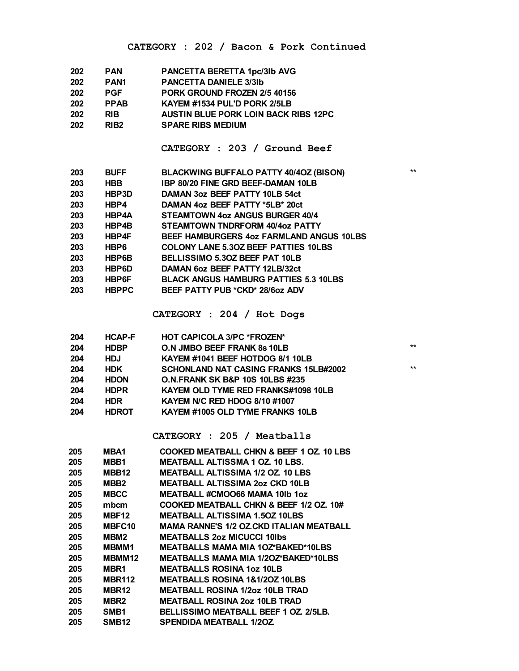| 202 | <b>PAN</b>       | PANCETTA BERETTA 1pc/3lb AVG                |
|-----|------------------|---------------------------------------------|
| 202 | PAN <sub>1</sub> | <b>PANCETTA DANIELE 3/3Ib</b>               |
| 202 | <b>PGF</b>       | PORK GROUND FROZEN 2/5 40156                |
| 202 | <b>PPAB</b>      | KAYEM #1534 PUL'D PORK 2/5LB                |
| 202 | <b>RIB</b>       | <b>AUSTIN BLUE PORK LOIN BACK RIBS 12PC</b> |
| 202 | RIB <sub>2</sub> | <b>SPARE RIBS MEDIUM</b>                    |
|     |                  |                                             |

#### **CATEGORY : 203 / Ground Beef**

| 203 | <b>BUFF</b>  | <b>BLACKWING BUFFALO PATTY 40/4OZ (BISON)</b> | $**$ |
|-----|--------------|-----------------------------------------------|------|
| 203 | <b>HBB</b>   | <b>IBP 80/20 FINE GRD BEEF-DAMAN 10LB</b>     |      |
| 203 | HBP3D        | DAMAN 3oz BEEF PATTY 10LB 54ct                |      |
| 203 | HBP4         | DAMAN 4oz BEEF PATTY *5LB* 20ct               |      |
| 203 | HBP4A        | STEAMTOWN 4oz ANGUS BURGER 40/4               |      |
| 203 | HBP4B        | STEAMTOWN TNDRFORM 40/4oz PATTY               |      |
| 203 | HBP4F        | BEEF HAMBURGERS 4oz FARMLAND ANGUS 10LBS      |      |
| 203 | HBP6         | <b>COLONY LANE 5.30Z BEEF PATTIES 10LBS</b>   |      |
| 203 | HBP6B        | BELLISSIMO 5.30Z BEEF PAT 10LB                |      |
| 203 | HBP6D        | DAMAN 6oz BEEF PATTY 12LB/32ct                |      |
| 203 | <b>HBP6F</b> | <b>BLACK ANGUS HAMBURG PATTIES 5.3 10LBS</b>  |      |
| 203 | <b>HBPPC</b> | BEEF PATTY PUB *CKD* 28/6oz ADV               |      |
|     |              |                                               |      |

**CATEGORY : 204 / Hot Dogs**

| 204 | <b>HCAP-F</b> | <b>HOT CAPICOLA 3/PC *FROZEN*</b>            |       |
|-----|---------------|----------------------------------------------|-------|
| 204 | <b>HDBP</b>   | O.N JMBO BEEF FRANK 8s 10LB                  | $***$ |
| 204 | <b>HDJ</b>    | KAYEM #1041 BEEF HOTDOG 8/1 10LB             |       |
| 204 | <b>HDK</b>    | <b>SCHONLAND NAT CASING FRANKS 15LB#2002</b> | $**$  |
| 204 | <b>HDON</b>   | O.N.FRANK SK B&P 10S 10LBS #235              |       |
| 204 | <b>HDPR</b>   | <b>KAYEM OLD TYME RED FRANKS#1098 10LB</b>   |       |
| 204 | <b>HDR</b>    | KAYEM N/C RED HDOG 8/10 #1007                |       |
| 204 | <b>HDROT</b>  | KAYEM #1005 OLD TYME FRANKS 10LB             |       |

**CATEGORY : 205 / Meatballs**

| 205 | MBA1               | COOKED MEATBALL CHKN & BEEF 1 OZ. 10 LBS  |
|-----|--------------------|-------------------------------------------|
| 205 | MBB1               | <b>MEATBALL ALTISSMA 1 OZ. 10 LBS.</b>    |
| 205 | MBB <sub>12</sub>  | <b>MEATBALL ALTISSIMA 1/2 OZ. 10 LBS</b>  |
| 205 | MBB <sub>2</sub>   | <b>MEATBALL ALTISSIMA 2oz CKD 10LB</b>    |
| 205 | <b>MBCC</b>        | MEATBALL #CMOO66 MAMA 10lb 1oz            |
| 205 | mbcm               | COOKED MEATBALL CHKN & BEEF 1/2 OZ 10#    |
| 205 | MBF12              | <b>MEATBALL ALTISSIMA 1.50Z 10LBS</b>     |
| 205 | MBFC <sub>10</sub> | MAMA RANNE'S 1/2 OZ CKD ITALIAN MEATBALL  |
| 205 | MBM2               | <b>MEATBALLS 2oz MICUCCI 10lbs</b>        |
| 205 | MBMM1              | <b>MEATBALLS MAMA MIA 10Z*BAKED*10LBS</b> |
| 205 | MBMM12             | MEATBALLS MAMA MIA 1/2OZ*BAKED*10LBS      |
| 205 | MBR1               | <b>MEATBALLS ROSINA 1oz 10LB</b>          |
| 205 | <b>MBR112</b>      | <b>MEATBALLS ROSINA 1&amp;1/2OZ 10LBS</b> |
| 205 | MBR <sub>12</sub>  | <b>MEATBALL ROSINA 1/2oz 10LB TRAD</b>    |
| 205 | MBR2               | <b>MEATBALL ROSINA 2oz 10LB TRAD</b>      |
| 205 | SMB <sub>1</sub>   | BELLISSIMO MEATBALL BEEF 1 OZ. 2/5LB.     |
| 205 | SMB12              | SPENDIDA MEATBALL 1/20Z                   |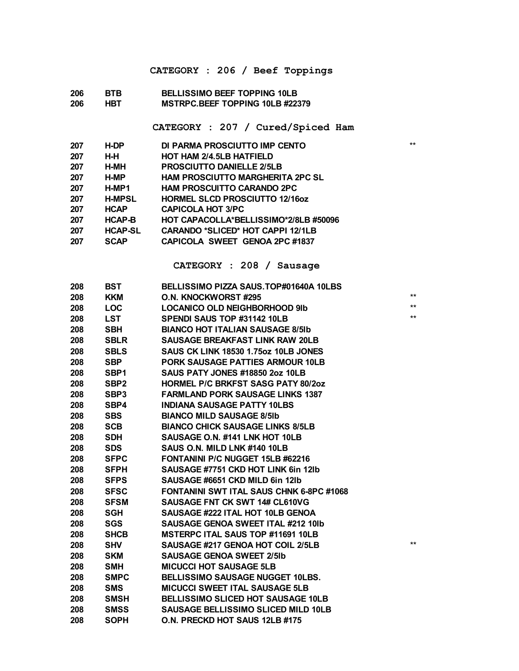#### **CATEGORY : 206 / Beef Toppings**

#### **BTB BELLISSIMO BEEF TOPPING 10LB HBT MSTRPC.BEEF TOPPING 10LB #22379**

**CATEGORY : 207 / Cured/Spiced Ham**

| 207 | H-DP           | DI PARMA PROSCIUTTO IMP CENTO            | $*$ |
|-----|----------------|------------------------------------------|-----|
|     |                |                                          |     |
| 207 | H-H            | <b>HOT HAM 2/4.5LB HATFIELD</b>          |     |
| 207 | H-MH           | <b>PROSCIUTTO DANIELLE 2/5LB</b>         |     |
| 207 | H-MP           | <b>HAM PROSCIUTTO MARGHERITA 2PC SL</b>  |     |
| 207 | H-MP1          | <b>HAM PROSCUITTO CARANDO 2PC</b>        |     |
| 207 | <b>H-MPSL</b>  | <b>HORMEL SLCD PROSCIUTTO 12/160Z</b>    |     |
| 207 | <b>HCAP</b>    | <b>CAPICOLA HOT 3/PC</b>                 |     |
| 207 | <b>HCAP-B</b>  | HOT CAPACOLLA*BELLISSIMO*2/8LB #50096    |     |
| 207 | <b>HCAP-SL</b> | <b>CARANDO *SLICED* HOT CAPPI 12/1LB</b> |     |
| 207 | <b>SCAP</b>    | CAPICOLA SWEET GENOA 2PC #1837           |     |
|     |                |                                          |     |

**CATEGORY : 208 / Sausage**

| 208 | BST              | BELLISSIMO PIZZA SAUS.TOP#01640A 10LBS          |              |
|-----|------------------|-------------------------------------------------|--------------|
| 208 | <b>KKM</b>       | <b>O.N. KNOCKWORST #295</b>                     | $**$         |
| 208 | <b>LOC</b>       | <b>LOCANICO OLD NEIGHBORHOOD 9Ib</b>            | $**$         |
| 208 | <b>LST</b>       | SPENDI SAUS TOP #31142 10LB                     | $**$         |
| 208 | <b>SBH</b>       | <b>BIANCO HOT ITALIAN SAUSAGE 8/5Ib</b>         |              |
| 208 | <b>SBLR</b>      | <b>SAUSAGE BREAKFAST LINK RAW 20LB</b>          |              |
| 208 | <b>SBLS</b>      | <b>SAUS CK LINK 18530 1.75oz 10LB JONES</b>     |              |
| 208 | <b>SBP</b>       | <b>PORK SAUSAGE PATTIES ARMOUR 10LB</b>         |              |
| 208 | SBP1             | <b>SAUS PATY JONES #18850 2oz 10LB</b>          |              |
| 208 | SBP <sub>2</sub> | <b>HORMEL P/C BRKFST SASG PATY 80/2oz</b>       |              |
| 208 | SBP3             | <b>FARMLAND PORK SAUSAGE LINKS 1387</b>         |              |
| 208 | SBP4             | <b>INDIANA SAUSAGE PATTY 10LBS</b>              |              |
| 208 | <b>SBS</b>       | <b>BIANCO MILD SAUSAGE 8/5Ib</b>                |              |
| 208 | <b>SCB</b>       | <b>BIANCO CHICK SAUSAGE LINKS 8/5LB</b>         |              |
| 208 | <b>SDH</b>       | SAUSAGE O.N. #141 LNK HOT 10LB                  |              |
| 208 | <b>SDS</b>       | SAUS O.N. MILD LNK #140 10LB                    |              |
| 208 | <b>SFPC</b>      | <b>FONTANINI P/C NUGGET 15LB #62216</b>         |              |
| 208 | <b>SFPH</b>      | SAUSAGE #7751 CKD HOT LINK 6in 12lb             |              |
| 208 | <b>SFPS</b>      | SAUSAGE #6651 CKD MILD 6in 12lb                 |              |
| 208 | <b>SFSC</b>      | <b>FONTANINI SWT ITAL SAUS CHNK 6-8PC #1068</b> |              |
| 208 | <b>SFSM</b>      | <b>SAUSAGE FNT CK SWT 14# CL610VG</b>           |              |
| 208 | SGH              | SAUSAGE #222 ITAL HOT 10LB GENOA                |              |
| 208 | <b>SGS</b>       | <b>SAUSAGE GENOA SWEET ITAL #212 10Ib</b>       |              |
| 208 | <b>SHCB</b>      | MSTERPC ITAL SAUS TOP #11691 10LB               |              |
| 208 | <b>SHV</b>       | SAUSAGE #217 GENOA HOT COIL 2/5LB               | $\star\star$ |
| 208 | <b>SKM</b>       | <b>SAUSAGE GENOA SWEET 2/5Ib</b>                |              |
| 208 | <b>SMH</b>       | <b>MICUCCI HOT SAUSAGE 5LB</b>                  |              |
| 208 | <b>SMPC</b>      | <b>BELLISSIMO SAUSAGE NUGGET 10LBS.</b>         |              |
| 208 | <b>SMS</b>       | <b>MICUCCI SWEET ITAL SAUSAGE 5LB</b>           |              |
| 208 | <b>SMSH</b>      | <b>BELLISSIMO SLICED HOT SAUSAGE 10LB</b>       |              |
| 208 | <b>SMSS</b>      | <b>SAUSAGE BELLISSIMO SLICED MILD 10LB</b>      |              |
| 208 | <b>SOPH</b>      | O.N. PRECKD HOT SAUS 12LB #175                  |              |
|     |                  |                                                 |              |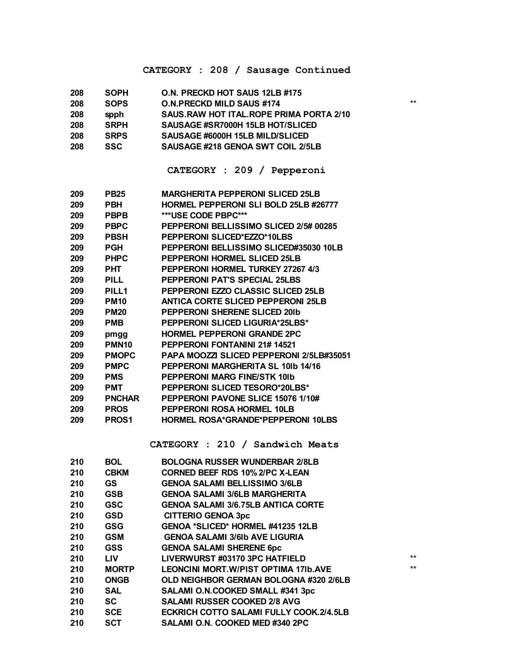#### **CATEGORY : 208 / Sausage Continued**

| 208 | <b>SOPH</b> | O.N. PRECKD HOT SAUS 12LB #175            |      |
|-----|-------------|-------------------------------------------|------|
| 208 | <b>SOPS</b> | <b>O.N.PRECKD MILD SAUS #174</b>          | $**$ |
| 208 | spph        | SAUS, RAW HOT ITAL, ROPE PRIMA PORTA 2/10 |      |
| 208 | <b>SRPH</b> | SAUSAGE #SR7000H 15LB HOT/SLICED          |      |
| 208 | <b>SRPS</b> | SAUSAGE #6000H 15LB MILD/SLICED           |      |
| 208 | <b>SSC</b>  | SAUSAGE #218 GENOA SWT COIL 2/5LB         |      |

#### **CATEGORY : 209 / Pepperoni**

| 209 | <b>PB25</b>       | <b>MARGHERITA PEPPERONI SLICED 25LB</b>   |
|-----|-------------------|-------------------------------------------|
| 209 | PBH               | HORMEL PEPPERONI SLI BOLD 25LB #26777     |
| 209 | <b>PBPB</b>       | ***USE CODE PBPC***                       |
| 209 | <b>PBPC</b>       | PEPPERONI BELLISSIMO SLICED 2/5# 00285    |
| 209 | <b>PBSH</b>       | PEPPERONI SLICED*EZZO*10LBS               |
| 209 | <b>PGH</b>        | PEPPERONI BELLISSIMO SLICED#35030 10LB    |
| 209 | <b>PHPC</b>       | PEPPERONI HORMEL SLICED 25LB              |
| 209 | <b>PHT</b>        | PEPPERONI HORMEL TURKEY 27267 4/3         |
| 209 | PILL              | <b>PEPPERONI PAT'S SPECIAL 25LBS</b>      |
| 209 | PILL1             | PEPPERONI EZZO CLASSIC SLICED 25LB        |
| 209 | <b>PM10</b>       | <b>ANTICA CORTE SLICED PEPPERONI 25LB</b> |
| 209 | <b>PM20</b>       | <b>PEPPERONI SHERENE SLICED 201b</b>      |
| 209 | <b>PMB</b>        | <b>PEPPERONI SLICED LIGURIA*25LBS*</b>    |
| 209 | pmgg              | <b>HORMEL PEPPERONI GRANDE 2PC</b>        |
| 209 | PMN <sub>10</sub> | <b>PEPPERONI FONTANINI 21# 14521</b>      |
| 209 | <b>PMOPC</b>      | PAPA MOOZZI SLICED PEPPERONI 2/5LB#35051  |
| 209 | <b>PMPC</b>       | PEPPERONI MARGHERITA SL 10Ib 14/16        |
| 209 | <b>PMS</b>        | PEPPERONI MARG FINE/STK 10Ib              |
| 209 | PMT               | PEPPERONI SLICED TESORO*20LBS*            |
| 209 | <b>PNCHAR</b>     | PEPPERONI PAVONE SLICE 15076 1/10#        |
| 209 | <b>PROS</b>       | PEPPERONI ROSA HORMEL 10LB                |
| 209 | PROS1             | HORMEL ROSA*GRANDE*PEPPERONI 10LBS        |

#### **CATEGORY : 210 / Sandwich Meats**

| <b>BOL</b>   | <b>BOLOGNA RUSSER WUNDERBAR 2/8LB</b>         |      |
|--------------|-----------------------------------------------|------|
| <b>CBKM</b>  | <b>CORNED BEEF RDS 10% 2/PC X-LEAN</b>        |      |
| <b>GS</b>    | <b>GENOA SALAMI BELLISSIMO 3/6LB</b>          |      |
| <b>GSB</b>   | <b>GENOA SALAMI 3/6LB MARGHERITA</b>          |      |
| <b>GSC</b>   | <b>GENOA SALAMI 3/6.75LB ANTICA CORTE</b>     |      |
| <b>GSD</b>   | <b>CITTERIO GENOA 3pc</b>                     |      |
| <b>GSG</b>   | <b>GENOA *SLICED* HORMEL #41235 12LB</b>      |      |
| <b>GSM</b>   | <b>GENOA SALAMI 3/6Ib AVE LIGURIA</b>         |      |
| GSS          | <b>GENOA SALAMI SHERENE 6pc</b>               |      |
| <b>LIV</b>   | LIVERWURST #03170 3PC HATFIELD                | $**$ |
| <b>MORTP</b> | <b>LEONCINI MORT. W/PIST OPTIMA 171b. AVE</b> | $**$ |
| <b>ONGB</b>  | OLD NEIGHBOR GERMAN BOLOGNA #320 2/6LB        |      |
| SAL          | SALAMI O.N.COOKED SMALL #341 3pc              |      |
| <b>SC</b>    | <b>SALAMI RUSSER COOKED 2/8 AVG</b>           |      |
| <b>SCE</b>   | ECKRICH COTTO SALAMI FULLY COOK.2/4.5LB       |      |
| <b>SCT</b>   | SALAMI O.N. COOKED MED #340 2PC               |      |
|              |                                               |      |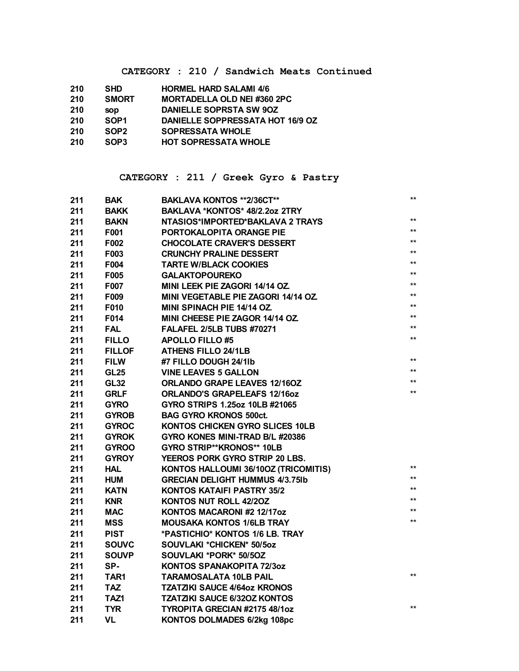**CATEGORY : 210 / Sandwich Meats Continued**

| 210 | <b>SHD</b>       | <b>HORMEL HARD SALAMI 4/6</b>      |
|-----|------------------|------------------------------------|
| 210 | <b>SMORT</b>     | <b>MORTADELLA OLD NEI #360 2PC</b> |
| 210 | <b>SOD</b>       | DANIELLE SOPRSTA SW 90Z            |
| 210 | SOP <sub>1</sub> | DANIELLE SOPPRESSATA HOT 16/9 OZ   |
| 210 | SOP <sub>2</sub> | <b>SOPRESSATA WHOLE</b>            |
| 210 | SOP3             | <b>HOT SOPRESSATA WHOLE</b>        |
|     |                  |                                    |

#### **CATEGORY : 211 / Greek Gyro & Pastry**

| 211 | <b>BAK</b>    | BAKLAVA KONTOS **2/36CT**              | $**$         |
|-----|---------------|----------------------------------------|--------------|
| 211 | <b>BAKK</b>   | BAKLAVA *KONTOS* 48/2.2oz 2TRY         |              |
| 211 | <b>BAKN</b>   | NTASIOS*IMPORTED*BAKLAVA 2 TRAYS       | $**$         |
| 211 | F001          | PORTOKALOPITA ORANGE PIE               | $**$         |
| 211 | F002          | <b>CHOCOLATE CRAVER'S DESSERT</b>      | $***$        |
| 211 | F003          | <b>CRUNCHY PRALINE DESSERT</b>         | $\star\star$ |
| 211 | F004          | <b>TARTE W/BLACK COOKIES</b>           | $\star\star$ |
| 211 | F005          | <b>GALAKTOPOUREKO</b>                  | $\star\star$ |
| 211 | F007          | MINI LEEK PIE ZAGORI 14/14 OZ.         | $\star\star$ |
| 211 | F009          | MINI VEGETABLE PIE ZAGORI 14/14 OZ.    | $**$         |
| 211 | F010          | <b>MINI SPINACH PIE 14/14 OZ.</b>      | $***$        |
| 211 | F014          | <b>MINI CHEESE PIE ZAGOR 14/14 OZ.</b> | $\star\star$ |
| 211 | <b>FAL</b>    | <b>FALAFEL 2/5LB TUBS #70271</b>       | $\star\star$ |
| 211 | <b>FILLO</b>  | <b>APOLLO FILLO #5</b>                 | $\star\star$ |
| 211 | <b>FILLOF</b> | <b>ATHENS FILLO 24/1LB</b>             |              |
| 211 | <b>FILW</b>   | #7 FILLO DOUGH 24/1lb                  | $***$        |
| 211 | <b>GL25</b>   | <b>VINE LEAVES 5 GALLON</b>            | $**$         |
| 211 | <b>GL32</b>   | <b>ORLANDO GRAPE LEAVES 12/160Z</b>    | $***$        |
| 211 | <b>GRLF</b>   | <b>ORLANDO'S GRAPELEAFS 12/16oz</b>    | $\star\star$ |
| 211 | <b>GYRO</b>   | GYRO STRIPS 1.25oz 10LB #21065         |              |
| 211 | <b>GYROB</b>  | <b>BAG GYRO KRONOS 500ct.</b>          |              |
| 211 | <b>GYROC</b>  | KONTOS CHICKEN GYRO SLICES 10LB        |              |
| 211 | <b>GYROK</b>  | GYRO KONES MINI-TRAD B/L #20386        |              |
| 211 | <b>GYROO</b>  | GYRO STRIP**KRONOS** 10LB              |              |
| 211 | <b>GYROY</b>  | YEEROS PORK GYRO STRIP 20 LBS.         |              |
| 211 | HAL           | KONTOS HALLOUMI 36/10OZ (TRICOMITIS)   | $**$         |
| 211 | <b>HUM</b>    | <b>GRECIAN DELIGHT HUMMUS 4/3.75Ib</b> | $\star\star$ |
| 211 | <b>KATN</b>   | KONTOS KATAIFI PASTRY 35/2             | $***$        |
| 211 | <b>KNR</b>    | <b>KONTOS NUT ROLL 42/20Z</b>          | $**$         |
| 211 | <b>MAC</b>    | KONTOS MACARONI #2 12/17oz             | $***$        |
| 211 | <b>MSS</b>    | <b>MOUSAKA KONTOS 1/6LB TRAY</b>       | $**$         |
| 211 | <b>PIST</b>   | *PASTICHIO* KONTOS 1/6 LB. TRAY        |              |
| 211 | <b>SOUVC</b>  | SOUVLAKI *CHICKEN* 50/5oz              |              |
| 211 | <b>SOUVP</b>  | SOUVLAKI *PORK* 50/5OZ                 |              |
| 211 | SP-           | <b>KONTOS SPANAKOPITA 72/30Z</b>       |              |
| 211 | TAR1          | <b>TARAMOSALATA 10LB PAIL</b>          | $**$         |
| 211 | <b>TAZ</b>    | <b>TZATZIKI SAUCE 4/64oz KRONOS</b>    |              |
| 211 | TAZ1          | <b>TZATZIKI SAUCE 6/320Z KONTOS</b>    |              |
| 211 | <b>TYR</b>    | TYROPITA GRECIAN #2175 48/1oz          | $**$         |
| 211 | <b>VL</b>     | <b>KONTOS DOLMADES 6/2kg 108pc</b>     |              |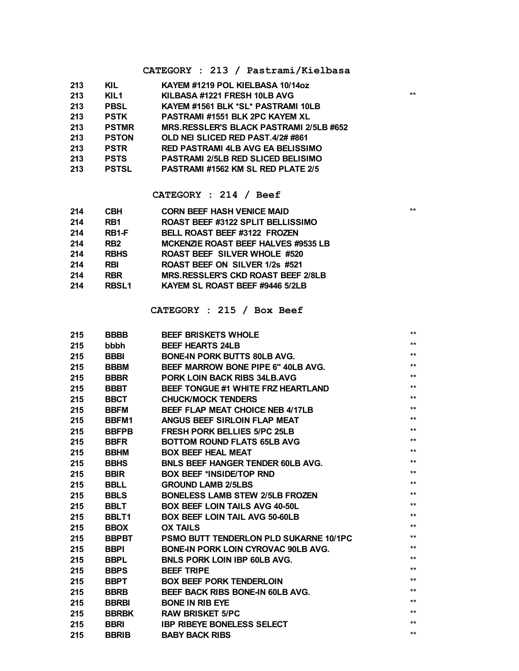#### **CATEGORY : 213 / Pastrami/Kielbasa**

| 213 | KIL          | KAYEM #1219 POL KIELBASA 10/14oz          |       |
|-----|--------------|-------------------------------------------|-------|
| 213 | KIL1         | KILBASA #1221 FRESH 10LB AVG              | $***$ |
| 213 | <b>PBSL</b>  | KAYEM #1561 BLK *SL* PASTRAMI 10LB        |       |
| 213 | <b>PSTK</b>  | <b>PASTRAMI #1551 BLK 2PC KAYEM XL</b>    |       |
| 213 | <b>PSTMR</b> | MRS.RESSLER'S BLACK PASTRAMI 2/5LB #652   |       |
| 213 | <b>PSTON</b> | OLD NEI SLICED RED PAST.4/2# #861         |       |
| 213 | <b>PSTR</b>  | <b>RED PASTRAMI 4LB AVG EA BELISSIMO</b>  |       |
| 213 | <b>PSTS</b>  | <b>PASTRAMI 2/5LB RED SLICED BELISIMO</b> |       |
| 213 | <b>PSTSL</b> | <b>PASTRAMI #1562 KM SL RED PLATE 2/5</b> |       |
|     |              |                                           |       |

#### **CATEGORY : 214 / Beef**

| 214 | <b>CBH</b>   | <b>CORN BEEF HASH VENICE MAID</b>         | $*$ |
|-----|--------------|-------------------------------------------|-----|
| 214 | RB1          | <b>ROAST BEEF #3122 SPLIT BELLISSIMO</b>  |     |
| 214 | RB1-F        | <b>BELL ROAST BEEF #3122 FROZEN</b>       |     |
| 214 | RB2          | MCKENZIE ROAST BEEF HALVES #9535 LB       |     |
| 214 | <b>RBHS</b>  | <b>ROAST BEEF SILVER WHOLE #520</b>       |     |
| 214 | <b>RBI</b>   | ROAST BEEF ON SILVER 1/2s #521            |     |
| 214 | <b>RBR</b>   | <b>MRS.RESSLER'S CKD ROAST BEEF 2/8LB</b> |     |
| 214 | <b>RBSL1</b> | KAYEM SL ROAST BEEF #9446 5/2LB           |     |
|     |              |                                           |     |

#### **CATEGORY : 215 / Box Beef**

| 215 | <b>BBBB</b>  | <b>BEEF BRISKETS WHOLE</b>                    | **           |
|-----|--------------|-----------------------------------------------|--------------|
| 215 | bbbh         | <b>BEEF HEARTS 24LB</b>                       | $***$        |
| 215 | <b>BBBI</b>  | <b>BONE-IN PORK BUTTS 80LB AVG.</b>           | $***$        |
| 215 | <b>BBBM</b>  | <b>BEEF MARROW BONE PIPE 6" 40LB AVG.</b>     | **           |
| 215 | <b>BBBR</b>  | PORK LOIN BACK RIBS 34LB.AVG                  | $***$        |
| 215 | <b>BBBT</b>  | <b>BEEF TONGUE #1 WHITE FRZ HEARTLAND</b>     | **           |
| 215 | <b>BBCT</b>  | <b>CHUCK/MOCK TENDERS</b>                     | $***$        |
| 215 | <b>BBFM</b>  | BEEF FLAP MEAT CHOICE NEB 4/17LB              | $***$        |
| 215 | BBFM1        | ANGUS BEEF SIRLOIN FLAP MEAT                  | **           |
| 215 | <b>BBFPB</b> | <b>FRESH PORK BELLIES 5/PC 25LB</b>           | $***$        |
| 215 | <b>BBFR</b>  | <b>BOTTOM ROUND FLATS 65LB AVG</b>            | $***$        |
| 215 | <b>BBHM</b>  | <b>BOX BEEF HEAL MEAT</b>                     | **           |
| 215 | <b>BBHS</b>  | <b>BNLS BEEF HANGER TENDER 60LB AVG.</b>      | $***$        |
| 215 | <b>BBIR</b>  | <b>BOX BEEF *INSIDE/TOP RND</b>               | $***$        |
| 215 | <b>BBLL</b>  | <b>GROUND LAMB 2/5LBS</b>                     | $\star\star$ |
| 215 | <b>BBLS</b>  | <b>BONELESS LAMB STEW 2/5LB FROZEN</b>        | $***$        |
| 215 | <b>BBLT</b>  | <b>BOX BEEF LOIN TAILS AVG 40-50L</b>         | $***$        |
| 215 | BBLT1        | <b>BOX BEEF LOIN TAIL AVG 50-60LB</b>         | $***$        |
| 215 | <b>BBOX</b>  | <b>OX TAILS</b>                               | $***$        |
| 215 | <b>BBPBT</b> | <b>PSMO BUTT TENDERLON PLD SUKARNE 10/1PC</b> | $***$        |
| 215 | <b>BBPI</b>  | <b>BONE-IN PORK LOIN CYROVAC 90LB AVG.</b>    | $***$        |
| 215 | <b>BBPL</b>  | <b>BNLS PORK LOIN IBP 60LB AVG.</b>           | $***$        |
| 215 | <b>BBPS</b>  | <b>BEEF TRIPE</b>                             | $***$        |
| 215 | <b>BBPT</b>  | <b>BOX BEEF PORK TENDERLOIN</b>               | $***$        |
| 215 | <b>BBRB</b>  | <b>BEEF BACK RIBS BONE-IN 60LB AVG.</b>       | $***$        |
| 215 | <b>BBRBI</b> | <b>BONE IN RIB EYE</b>                        | $***$        |
| 215 | <b>BBRBK</b> | <b>RAW BRISKET 5/PC</b>                       | $***$        |
| 215 | <b>BBRI</b>  | <b>IBP RIBEYE BONELESS SELECT</b>             | $***$        |
| 215 | <b>BBRIB</b> | <b>BABY BACK RIBS</b>                         | $***$        |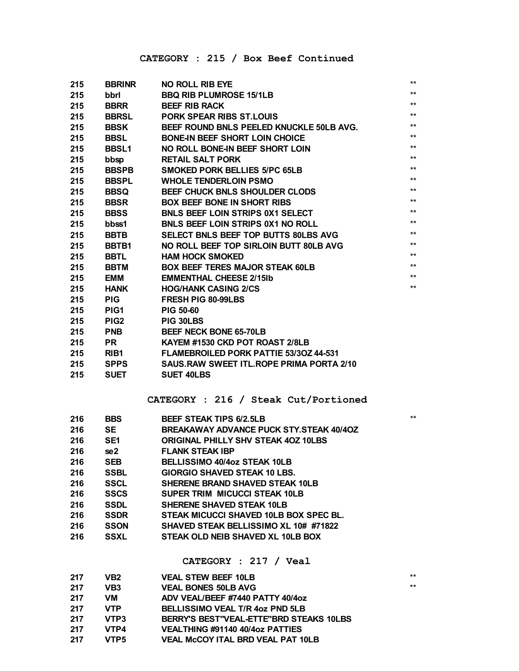| 215 | <b>BBRINR</b>    | <b>NO ROLL RIB EYE</b>                           | $\star\star$    |
|-----|------------------|--------------------------------------------------|-----------------|
| 215 | bbrl             | <b>BBQ RIB PLUMROSE 15/1LB</b>                   | $***$           |
| 215 | <b>BBRR</b>      | <b>BEEF RIB RACK</b>                             | $**$            |
| 215 | <b>BBRSL</b>     | <b>PORK SPEAR RIBS ST.LOUIS</b>                  | $**$            |
| 215 | <b>BBSK</b>      | BEEF ROUND BNLS PEELED KNUCKLE 50LB AVG.         | $**$            |
| 215 | <b>BBSL</b>      | <b>BONE-IN BEEF SHORT LOIN CHOICE</b>            | $**$            |
| 215 | <b>BBSL1</b>     | NO ROLL BONE-IN BEEF SHORT LOIN                  | $**$            |
| 215 | bbsp             | <b>RETAIL SALT PORK</b>                          | $**$            |
| 215 | <b>BBSPB</b>     | <b>SMOKED PORK BELLIES 5/PC 65LB</b>             | $^{\star\star}$ |
| 215 | <b>BBSPL</b>     | <b>WHOLE TENDERLOIN PSMO</b>                     | $**$            |
| 215 | <b>BBSQ</b>      | BEEF CHUCK BNLS SHOULDER CLODS                   | $**$            |
| 215 | <b>BBSR</b>      | <b>BOX BEEF BONE IN SHORT RIBS</b>               | $**$            |
| 215 | <b>BBSS</b>      | <b>BNLS BEEF LOIN STRIPS 0X1 SELECT</b>          | $**$            |
| 215 | bbss1            | <b>BNLS BEEF LOIN STRIPS 0X1 NO ROLL</b>         | $**$            |
| 215 | <b>BBTB</b>      | SELECT BNLS BEEF TOP BUTTS 80LBS AVG             | $***$           |
| 215 | BBTB1            | NO ROLL BEEF TOP SIRLOIN BUTT 80LB AVG           | $***$           |
| 215 | <b>BBTL</b>      | <b>HAM HOCK SMOKED</b>                           | $***$           |
| 215 | <b>BBTM</b>      | <b>BOX BEEF TERES MAJOR STEAK 60LB</b>           | $**$            |
| 215 | <b>EMM</b>       | <b>EMMENTHAL CHEESE 2/15Ib</b>                   | $**$            |
| 215 | <b>HANK</b>      | <b>HOG/HANK CASING 2/CS</b>                      | $^{\star\star}$ |
| 215 | <b>PIG</b>       | <b>FRESH PIG 80-99LBS</b>                        |                 |
| 215 | PIG <sub>1</sub> | <b>PIG 50-60</b>                                 |                 |
| 215 | PIG <sub>2</sub> | PIG 30LBS                                        |                 |
| 215 | <b>PNB</b>       | <b>BEEF NECK BONE 65-70LB</b>                    |                 |
| 215 | <b>PR</b>        | KAYEM #1530 CKD POT ROAST 2/8LB                  |                 |
|     |                  |                                                  |                 |
| 215 | RIB <sub>1</sub> | <b>FLAMEBROILED PORK PATTIE 53/30Z 44-531</b>    |                 |
| 215 | <b>SPPS</b>      | <b>SAUS.RAW SWEET ITL, ROPE PRIMA PORTA 2/10</b> |                 |
| 215 | <b>SUET</b>      | <b>SUET 40LBS</b>                                |                 |
|     |                  |                                                  |                 |
|     |                  | CATEGORY : 216 / Steak Cut/Portioned             |                 |
| 216 | <b>BBS</b>       | <b>BEEF STEAK TIPS 6/2.5LB</b>                   | $***$           |
| 216 | <b>SE</b>        | <b>BREAKAWAY ADVANCE PUCK STY STEAK 40/40Z</b>   |                 |
| 216 | SE1              | <b>ORIGINAL PHILLY SHV STEAK 40Z 10LBS</b>       |                 |
| 216 | se2              | <b>FLANK STEAK IBP</b>                           |                 |
| 216 | SEB              | BELLISSIMO 40/4oz STEAK 10LB                     |                 |
| 216 | <b>SSBL</b>      | <b>GIORGIO SHAVED STEAK 10 LBS.</b>              |                 |
| 216 | <b>SSCL</b>      | <b>SHERENE BRAND SHAVED STEAK 10LB</b>           |                 |
| 216 | <b>SSCS</b>      | <b>SUPER TRIM MICUCCI STEAK 10LB</b>             |                 |
| 216 | <b>SSDL</b>      | <b>SHERENE SHAVED STEAK 10LB</b>                 |                 |
| 216 | <b>SSDR</b>      | STEAK MICUCCI SHAVED 10LB BOX SPEC BL.           |                 |
| 216 | <b>SSON</b>      | SHAVED STEAK BELLISSIMO XL 10# #71822            |                 |
| 216 | <b>SSXL</b>      | STEAK OLD NEIB SHAVED XL 10LB BOX                |                 |
|     |                  |                                                  |                 |
|     |                  | $CATEGORY$ : 217 / $Veal$                        |                 |
| 217 | VB <sub>2</sub>  | <b>VEAL STEW BEEF 10LB</b>                       | $***$           |
| 217 | VB <sub>3</sub>  | <b>VEAL BONES 50LB AVG</b>                       | $***$           |
| 217 | VM               | ADV VEAL/BEEF #7440 PATTY 40/4oz                 |                 |

| 211  | V IVI      | ADV VEAL/DEEF #7440 FAILIT 40740Z        |
|------|------------|------------------------------------------|
| -217 | <b>VTP</b> | BELLISSIMO VEAL T/R 4oz PND 5LB          |
| 217  | VTP3       | BERRY'S BEST"VEAL-ETTE"BRD STEAKS 10LBS  |
| 217  | VTP4       | VEALTHING #91140 40/4oz PATTIES          |
| 217  | VTP5       | <b>VEAL McCOY ITAL BRD VEAL PAT 10LB</b> |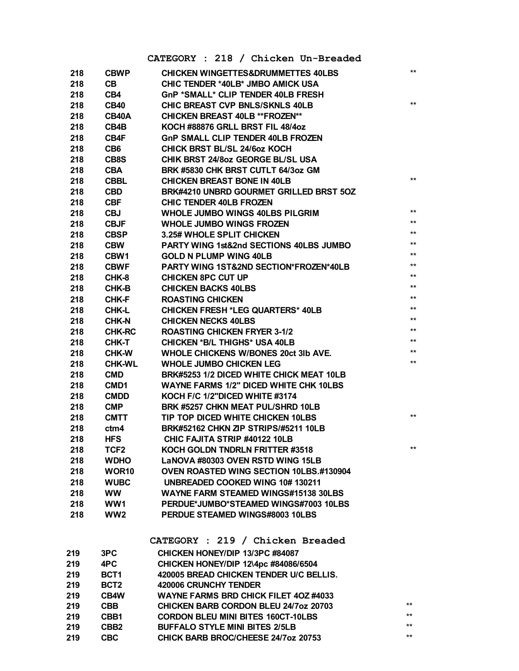|     |                   | CATEGORY : 218 / Chicken Un-Breaded                |              |
|-----|-------------------|----------------------------------------------------|--------------|
| 218 | <b>CBWP</b>       | <b>CHICKEN WINGETTES&amp;DRUMMETTES 40LBS</b>      | $\star\star$ |
| 218 | CВ                | CHIC TENDER *40LB* JMBO AMICK USA                  |              |
| 218 | CB4               | GnP *SMALL* CLIP TENDER 40LB FRESH                 |              |
| 218 | <b>CB40</b>       | <b>CHIC BREAST CVP BNLS/SKNLS 40LB</b>             | $\star\star$ |
| 218 | CB40A             | <b>CHICKEN BREAST 40LB ** FROZEN**</b>             |              |
| 218 | CB4B              | KOCH #88876 GRLL BRST FIL 48/4oz                   |              |
| 218 | CB4F              | <b>GnP SMALL CLIP TENDER 40LB FROZEN</b>           |              |
| 218 | CB <sub>6</sub>   | <b>CHICK BRST BL/SL 24/6oz KOCH</b>                |              |
| 218 | CB8S              | CHIK BRST 24/8oz GEORGE BL/SL USA                  |              |
| 218 | <b>CBA</b>        | BRK #5830 CHK BRST CUTLT 64/3oz GM                 |              |
| 218 | <b>CBBL</b>       | <b>CHICKEN BREAST BONE IN 40LB</b>                 | $***$        |
| 218 | <b>CBD</b>        | BRK#4210 UNBRD GOURMET GRILLED BRST 5OZ            |              |
| 218 | <b>CBF</b>        | <b>CHIC TENDER 40LB FROZEN</b>                     |              |
| 218 | <b>CBJ</b>        | <b>WHOLE JUMBO WINGS 40LBS PILGRIM</b>             | $**$         |
| 218 | <b>CBJF</b>       | <b>WHOLE JUMBO WINGS FROZEN</b>                    | $**$         |
| 218 | <b>CBSP</b>       | 3.25# WHOLE SPLIT CHICKEN                          | $***$        |
| 218 | <b>CBW</b>        | <b>PARTY WING 1st&amp;2nd SECTIONS 40LBS JUMBO</b> | $***$        |
| 218 | CBW1              | <b>GOLD N PLUMP WING 40LB</b>                      | $***$        |
| 218 | <b>CBWF</b>       | <b>PARTY WING 1ST&amp;2ND SECTION*FROZEN*40LB</b>  | $***$        |
| 218 | CHK-8             | <b>CHICKEN 8PC CUT UP</b>                          | $***$        |
| 218 | CHK-B             | <b>CHICKEN BACKS 40LBS</b>                         | $***$        |
| 218 | CHK-F             | <b>ROASTING CHICKEN</b>                            | $***$        |
| 218 | CHK-L             | <b>CHICKEN FRESH *LEG QUARTERS* 40LB</b>           | $\star\star$ |
| 218 | <b>CHK-N</b>      | <b>CHICKEN NECKS 40LBS</b>                         | $***$        |
| 218 | <b>CHK-RC</b>     | <b>ROASTING CHICKEN FRYER 3-1/2</b>                | $***$        |
| 218 | <b>CHK-T</b>      | <b>CHICKEN *B/L THIGHS* USA 40LB</b>               | $***$        |
| 218 | <b>CHK-W</b>      | WHOLE CHICKENS W/BONES 20ct 3lb AVE.               | $***$        |
| 218 | <b>CHK-WL</b>     | <b>WHOLE JUMBO CHICKEN LEG</b>                     | $\star\star$ |
| 218 | <b>CMD</b>        | BRK#5253 1/2 DICED WHITE CHICK MEAT 10LB           |              |
| 218 | CMD1              | <b>WAYNE FARMS 1/2" DICED WHITE CHK 10LBS</b>      |              |
| 218 | <b>CMDD</b>       | KOCH F/C 1/2"DICED WHITE #3174                     |              |
| 218 | <b>CMP</b>        | BRK #5257 CHKN MEAT PUL/SHRD 10LB                  |              |
| 218 | <b>CMTT</b>       | TIP TOP DICED WHITE CHICKEN 10LBS                  | $***$        |
| 218 | ctm4              | <b>BRK#52162 CHKN ZIP STRIPS/#5211 10LB</b>        |              |
| 218 | <b>HFS</b>        | CHIC FAJITA STRIP #40122 10LB                      |              |
| 218 | TCF <sub>2</sub>  | KOCH GOLDN TNDRLN FRITTER #3518                    | $\star\star$ |
| 218 | <b>WDHO</b>       | LaNOVA #80303 OVEN RSTD WING 15LB                  |              |
| 218 | WOR <sub>10</sub> | OVEN ROASTED WING SECTION 10LBS.#130904            |              |
| 218 | <b>WUBC</b>       | UNBREADED COOKED WING 10#130211                    |              |
| 218 | <b>WW</b>         | <b>WAYNE FARM STEAMED WINGS#15138 30LBS</b>        |              |
| 218 | WW1               | PERDUE*JUMBO*STEAMED WINGS#7003 10LBS              |              |
| 218 | WW <sub>2</sub>   | PERDUE STEAMED WINGS#8003 10LBS                    |              |
|     |                   |                                                    |              |
|     |                   | CATEGORY : 219 / Chicken Breaded                   |              |
| 219 | 3PC               | CHICKEN HONEY/DIP 13/3PC #84087                    |              |
| 219 | 4PC               | CHICKEN HONEY/DIP 12\4pc #84086/6504               |              |
| 219 | BCT1              | 420005 BREAD CHICKEN TENDER U/C BELLIS.            |              |
| 219 | BCT <sub>2</sub>  | <b>420006 CRUNCHY TENDER</b>                       |              |
| 219 | CB4W              | <b>WAYNE FARMS BRD CHICK FILET 40Z#4033</b>        |              |
| 219 | <b>CBB</b>        | CHICKEN BARB CORDON BLEU 24/7oz 20703              | $***$        |
| 219 | CBB1              | <b>CORDON BLEU MINI BITES 160CT-10LBS</b>          | $***$        |
| 219 | CBB <sub>2</sub>  | <b>BUFFALO STYLE MINI BITES 2/5LB</b>              | $***$        |
| 219 | <b>CBC</b>        | CHICK BARB BROC/CHEESE 24/7oz 20753                | **           |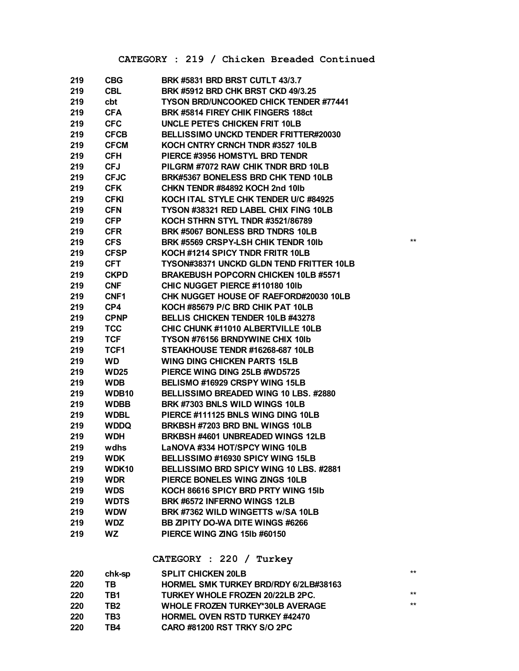#### **CATEGORY : 219 / Chicken Breaded Continued**

| 219 | <b>CBG</b>        | <b>BRK #5831 BRD BRST CUTLT 43/3.7</b>          |       |
|-----|-------------------|-------------------------------------------------|-------|
| 219 | CBL.              | BRK #5912 BRD CHK BRST CKD 49/3.25              |       |
| 219 | cbt               | <b>TYSON BRD/UNCOOKED CHICK TENDER #77441</b>   |       |
| 219 | <b>CFA</b>        | BRK #5814 FIREY CHIK FINGERS 188ct              |       |
| 219 | <b>CFC</b>        | UNCLE PETE'S CHICKEN FRIT 10LB                  |       |
| 219 | <b>CFCB</b>       | <b>BELLISSIMO UNCKD TENDER FRITTER#20030</b>    |       |
| 219 | <b>CFCM</b>       | KOCH CNTRY CRNCH TNDR #3527 10LB                |       |
| 219 | <b>CFH</b>        | PIERCE #3956 HOMSTYL BRD TENDR                  |       |
| 219 | <b>CFJ</b>        | PILGRM #7072 RAW CHIK TNDR BRD 10LB             |       |
| 219 | <b>CFJC</b>       | BRK#5367 BONELESS BRD CHK TEND 10LB             |       |
| 219 | <b>CFK</b>        | CHKN TENDR #84892 KOCH 2nd 10lb                 |       |
| 219 | <b>CFKI</b>       | KOCH ITAL STYLE CHK TENDER U/C #84925           |       |
| 219 | <b>CFN</b>        | TYSON #38321 RED LABEL CHIX FING 10LB           |       |
| 219 | <b>CFP</b>        | KOCH STHRN STYL TNDR #3521/86789                |       |
| 219 | <b>CFR</b>        | BRK #5067 BONLESS BRD TNDRS 10LB                |       |
| 219 | <b>CFS</b>        | BRK #5569 CRSPY-LSH CHIK TENDR 101b             | $***$ |
| 219 | <b>CFSP</b>       | KOCH #1214 SPICY TNDR FRITR 10LB                |       |
| 219 | <b>CFT</b>        | <b>TYSON#38371 UNCKD GLDN TEND FRITTER 10LB</b> |       |
| 219 | <b>CKPD</b>       | <b>BRAKEBUSH POPCORN CHICKEN 10LB #5571</b>     |       |
| 219 | <b>CNF</b>        | CHIC NUGGET PIERCE #110180 10lb                 |       |
| 219 | CNF1              | CHK NUGGET HOUSE OF RAEFORD#20030 10LB          |       |
| 219 | CP4               | KOCH #85679 P/C BRD CHIK PAT 10LB               |       |
| 219 | <b>CPNP</b>       | <b>BELLIS CHICKEN TENDER 10LB #43278</b>        |       |
| 219 | <b>TCC</b>        | CHIC CHUNK #11010 ALBERTVILLE 10LB              |       |
| 219 | <b>TCF</b>        | <b>TYSON #76156 BRNDYWINE CHIX 10Ib</b>         |       |
| 219 | TCF1              | STEAKHOUSE TENDR #16268-687 10LB                |       |
| 219 | <b>WD</b>         | <b>WING DING CHICKEN PARTS 15LB</b>             |       |
| 219 | <b>WD25</b>       | PIERCE WING DING 25LB #WD5725                   |       |
| 219 | <b>WDB</b>        | BELISMO #16929 CRSPY WING 15LB                  |       |
| 219 | WDB <sub>10</sub> | BELLISSIMO BREADED WING 10 LBS. #2880           |       |
| 219 | <b>WDBB</b>       | BRK #7303 BNLS WILD WINGS 10LB                  |       |
| 219 | <b>WDBL</b>       | PIERCE #111125 BNLS WING DING 10LB              |       |
| 219 | <b>WDDQ</b>       | BRKBSH #7203 BRD BNL WINGS 10LB                 |       |
| 219 | <b>WDH</b>        | BRKBSH #4601 UNBREADED WINGS 12LB               |       |
| 219 | wdhs              | <b>LaNOVA #334 HOT/SPCY WING 10LB</b>           |       |
| 219 | <b>WDK</b>        | BELLISSIMO #16930 SPICY WING 15LB               |       |
| 219 | <b>WDK10</b>      | BELLISSIMO BRD SPICY WING 10 LBS. #2881         |       |
| 219 | <b>WDR</b>        | PIERCE BONELES WING ZINGS 10LB                  |       |
| 219 | <b>WDS</b>        | KOCH 86616 SPICY BRD PRTY WING 151b             |       |
| 219 | <b>WDTS</b>       | BRK #6572 INFERNO WINGS 12LB                    |       |
| 219 | <b>WDW</b>        | BRK #7362 WILD WINGETTS w/SA 10LB               |       |
| 219 | <b>WDZ</b>        | <b>BB ZIPITY DO-WA DITE WINGS #6266</b>         |       |
| 219 | WZ                | PIERCE WING ZING 15Ib #60150                    |       |

#### **CATEGORY : 220 / Turkey**

| 220 | chk-sp | <b>SPLIT CHICKEN 20LB</b>               | $**$ |
|-----|--------|-----------------------------------------|------|
| 220 | ΤВ     | HORMEL SMK TURKEY BRD/RDY 6/2LB#38163   |      |
| 220 | TB1    | TURKEY WHOLE FROZEN 20/22LB 2PC.        | $**$ |
| 220 | TB2    | <b>WHOLE FROZEN TURKEY*30LB AVERAGE</b> | $**$ |
| 220 | TB3    | <b>HORMEL OVEN RSTD TURKEY #42470</b>   |      |
| 220 | TB4    | <b>CARO #81200 RST TRKY S/O 2PC</b>     |      |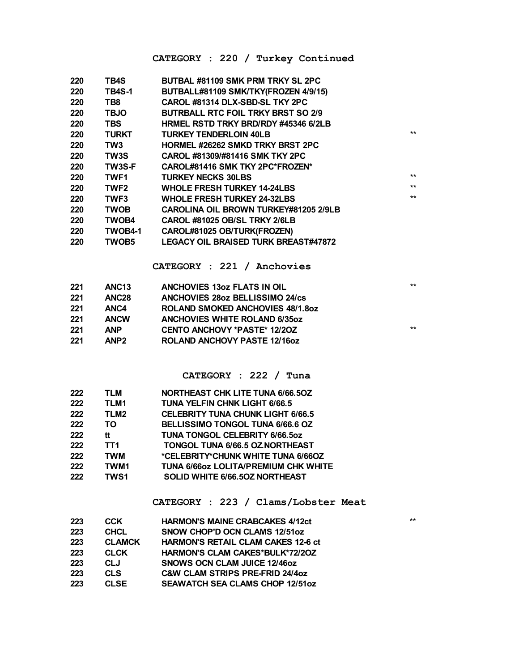#### **CATEGORY : 220 / Turkey Continued**

| 220        | TB4S                         | BUTBAL #81109 SMK PRM TRKY SL 2PC                                       |              |
|------------|------------------------------|-------------------------------------------------------------------------|--------------|
| 220        | <b>TB4S-1</b>                | BUTBALL#81109 SMK/TKY(FROZEN 4/9/15)                                    |              |
| 220        | TB <sub>8</sub>              | CAROL #81314 DLX-SBD-SL TKY 2PC                                         |              |
| 220        | <b>TBJO</b>                  | <b>BUTRBALL RTC FOIL TRKY BRST SO 2/9</b>                               |              |
| 220        | <b>TBS</b>                   | HRMEL RSTD TRKY BRD/RDY #45346 6/2LB                                    |              |
| 220        | <b>TURKT</b>                 | <b>TURKEY TENDERLOIN 40LB</b>                                           | $**$         |
| 220        | TW <sub>3</sub>              | <b>HORMEL #26262 SMKD TRKY BRST 2PC</b>                                 |              |
| 220        | TW3S                         | CAROL #81309/#81416 SMK TKY 2PC                                         |              |
| 220        | <b>TW3S-F</b>                | CAROL#81416 SMK TKY 2PC*FROZEN*                                         |              |
| 220        | TWF <sub>1</sub>             | <b>TURKEY NECKS 30LBS</b>                                               | $\star\star$ |
| 220        | TWF <sub>2</sub>             | <b>WHOLE FRESH TURKEY 14-24LBS</b>                                      | $**$         |
| 220        | <b>TWF3</b>                  | <b>WHOLE FRESH TURKEY 24-32LBS</b>                                      | $***$        |
| 220        | <b>TWOB</b>                  | CAROLINA OIL BROWN TURKEY#81205 2/9LB                                   |              |
| 220        | <b>TWOB4</b>                 | <b>CAROL #81025 OB/SL TRKY 2/6LB</b>                                    |              |
| 220        | TWOB4-1                      | CAROL#81025 OB/TURK(FROZEN)                                             |              |
| 220        | <b>TWOB5</b>                 | <b>LEGACY OIL BRAISED TURK BREAST#47872</b>                             |              |
|            |                              |                                                                         |              |
|            |                              | CATEGORY : 221 / Anchovies                                              |              |
|            |                              |                                                                         |              |
| 221        | ANC <sub>13</sub>            | <b>ANCHOVIES 130Z FLATS IN OIL</b>                                      | $**$         |
| 221        | ANC <sub>28</sub>            | <b>ANCHOVIES 28oz BELLISSIMO 24/cs</b>                                  |              |
| 221        | ANC4                         | <b>ROLAND SMOKED ANCHOVIES 48/1.80Z</b>                                 |              |
| 221        | <b>ANCW</b>                  | <b>ANCHOVIES WHITE ROLAND 6/35oz</b>                                    |              |
| 221        | <b>ANP</b>                   | <b>CENTO ANCHOVY *PASTE* 12/20Z</b>                                     | $**$         |
| 221        | ANP <sub>2</sub>             | <b>ROLAND ANCHOVY PASTE 12/160Z</b>                                     |              |
|            |                              |                                                                         |              |
|            |                              |                                                                         |              |
|            |                              | CATEGORY : 222 / Tuna                                                   |              |
| 222        | <b>TLM</b>                   | <b>NORTHEAST CHK LITE TUNA 6/66.50Z</b>                                 |              |
| 222        | TLM1                         | <b>TUNA YELFIN CHNK LIGHT 6/66.5</b>                                    |              |
| 222        | TLM <sub>2</sub>             | <b>CELEBRITY TUNA CHUNK LIGHT 6/66.5</b>                                |              |
| 222        | TO                           | BELLISSIMO TONGOL TUNA 6/66.6 OZ                                        |              |
| 222        | tt                           | TUNA TONGOL CELEBRITY 6/66.5oz                                          |              |
| 222        | TT <sub>1</sub>              | TONGOL TUNA 6/66.5 OZNORTHEAST                                          |              |
| 222        | <b>TWM</b>                   | *CELEBRITY*CHUNK WHITE TUNA 6/66OZ                                      |              |
| 222        | TWM1                         | <b>TUNA 6/66oz LOLITA/PREMIUM CHK WHITE</b>                             |              |
| 222        | <b>TWS1</b>                  | SOLID WHITE 6/66.50Z NORTHEAST                                          |              |
|            |                              |                                                                         |              |
|            |                              | CATEGORY : 223 / Clams/Lobster Meat                                     |              |
|            |                              |                                                                         | $***$        |
| 223<br>223 | <b>CCK</b><br><b>CHCL</b>    | <b>HARMON'S MAINE CRABCAKES 4/12ct</b><br>SNOW CHOP'D OCN CLAMS 12/51oz |              |
| 223        |                              | <b>HARMON'S RETAIL CLAM CAKES 12-6 ct</b>                               |              |
|            | <b>CLAMCK</b><br><b>CLCK</b> | HARMON'S CLAM CAKES*BULK*72/20Z                                         |              |
| 223        |                              |                                                                         |              |

 **CLJ SNOWS OCN CLAM JUICE 12/46oz CLS C&W CLAM STRIPS PRE-FRID 24/4oz**

**CLSE SEAWATCH SEA CLAMS CHOP 12/51oz**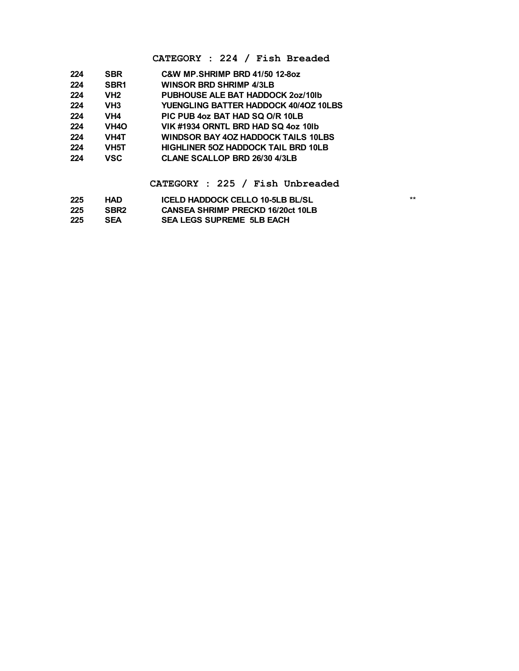#### **CATEGORY : 224 / Fish Breaded**

| 224 | <b>SBR</b>        | <b>C&amp;W MP.SHRIMP BRD 41/50 12-80Z</b>  |
|-----|-------------------|--------------------------------------------|
| 224 | SBR <sub>1</sub>  | <b>WINSOR BRD SHRIMP 4/3LB</b>             |
| 224 | VH <sub>2</sub>   | PUBHOUSE ALE BAT HADDOCK 207/10lb          |
| 224 | VH <sub>3</sub>   | YUENGLING BATTER HADDOCK 40/40Z 10LBS      |
| 224 | VH4               | PIC PUB 4oz BAT HAD SQ O/R 10LB            |
| 224 | VH <sub>4</sub> O | VIK #1934 ORNTL BRD HAD SQ 4oz 10lb        |
| 224 | <b>VH4T</b>       | WINDSOR BAY 40Z HADDOCK TAILS 10LBS        |
| 224 | VH <sub>5</sub> T | <b>HIGHLINER 50Z HADDOCK TAIL BRD 10LB</b> |
| 224 | <b>VSC</b>        | <b>CLANE SCALLOP BRD 26/30 4/3LB</b>       |
|     |                   |                                            |

**CATEGORY : 225 / Fish Unbreaded**

| 225 | HAD              | ICELD HADDOCK CELLO 10-5LB BL/SL         | $***$ |
|-----|------------------|------------------------------------------|-------|
| 225 | SBR <sub>2</sub> | <b>CANSEA SHRIMP PRECKD 16/20ct 10LB</b> |       |
| 225 | <b>SEA</b>       | <b>SEA LEGS SUPREME 5LB EACH</b>         |       |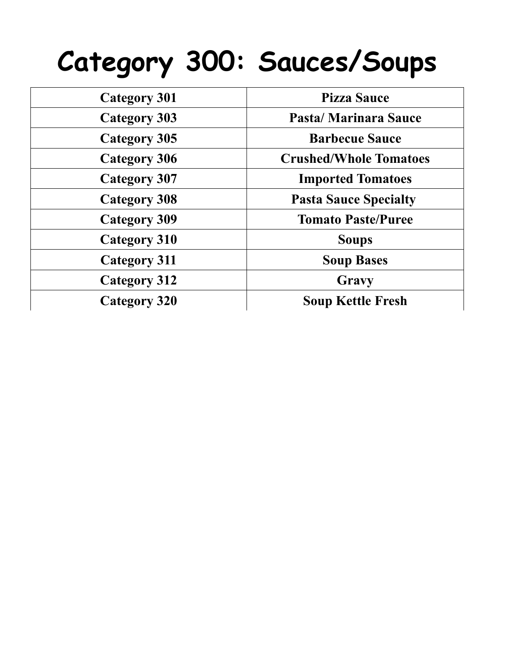### **Category 300: Sauces/Soups**

| <b>Category 301</b> | <b>Pizza Sauce</b>            |
|---------------------|-------------------------------|
| <b>Category 303</b> | Pasta/Marinara Sauce          |
| <b>Category 305</b> | <b>Barbecue Sauce</b>         |
| <b>Category 306</b> | <b>Crushed/Whole Tomatoes</b> |
| <b>Category 307</b> | <b>Imported Tomatoes</b>      |
| <b>Category 308</b> | <b>Pasta Sauce Specialty</b>  |
| <b>Category 309</b> | <b>Tomato Paste/Puree</b>     |
| <b>Category 310</b> | <b>Soups</b>                  |
| <b>Category 311</b> | <b>Soup Bases</b>             |
| <b>Category 312</b> | Gravy                         |
| <b>Category 320</b> | <b>Soup Kettle Fresh</b>      |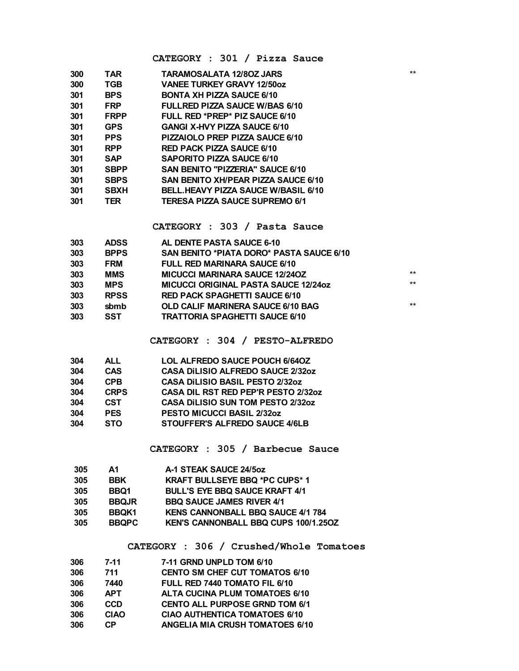| CATEGORY : 301 / Pizza Sauce |  |  |  |  |  |
|------------------------------|--|--|--|--|--|
|------------------------------|--|--|--|--|--|

| 300 | TAR         | TARAMOSALATA 12/80Z JARS                   | $***$ |
|-----|-------------|--------------------------------------------|-------|
| 300 | TGB         | <b>VANEE TURKEY GRAVY 12/50oz</b>          |       |
| 301 | <b>BPS</b>  | <b>BONTA XH PIZZA SAUCE 6/10</b>           |       |
| 301 | <b>FRP</b>  | <b>FULLRED PIZZA SAUCE W/BAS 6/10</b>      |       |
| 301 | <b>FRPP</b> | FULL RED *PREP* PIZ SAUCE 6/10             |       |
| 301 | <b>GPS</b>  | <b>GANGI X-HVY PIZZA SAUCE 6/10</b>        |       |
| 301 | <b>PPS</b>  | PIZZAIOLO PREP PIZZA SAUCE 6/10            |       |
| 301 | <b>RPP</b>  | <b>RED PACK PIZZA SAUCE 6/10</b>           |       |
| 301 | <b>SAP</b>  | SAPORITO PIZZA SAUCE 6/10                  |       |
| 301 | <b>SBPP</b> | <b>SAN BENITO "PIZZERIA" SAUCE 6/10</b>    |       |
| 301 | <b>SBPS</b> | <b>SAN BENITO XH/PEAR PIZZA SAUCE 6/10</b> |       |
| 301 | <b>SBXH</b> | <b>BELL.HEAVY PIZZA SAUCE W/BASIL 6/10</b> |       |
| 301 | TER         | TERESA PIZZA SAUCE SUPREMO 6/1             |       |
|     |             |                                            |       |

**CATEGORY : 303 / Pasta Sauce**

| 303 | <b>ADSS</b> | AL DENTE PASTA SAUCE 6-10                   |       |
|-----|-------------|---------------------------------------------|-------|
| 303 | <b>BPPS</b> | SAN BENITO *PIATA DORO* PASTA SAUCE 6/10    |       |
| 303 | <b>FRM</b>  | <b>FULL RED MARINARA SAUCE 6/10</b>         |       |
| 303 | <b>MMS</b>  | <b>MICUCCI MARINARA SAUCE 12/240Z</b>       | $***$ |
| 303 | <b>MPS</b>  | <b>MICUCCI ORIGINAL PASTA SAUCE 12/24oz</b> | $***$ |
| 303 | <b>RPSS</b> | <b>RED PACK SPAGHETTI SAUCE 6/10</b>        |       |
| 303 | sbmb        | OLD CALIF MARINERA SAUCE 6/10 BAG           | $***$ |
| 303 | SST         | <b>TRATTORIA SPAGHETTI SAUCE 6/10</b>       |       |
|     |             |                                             |       |

**CATEGORY : 304 / PESTO-ALFREDO**

| 304 | <b>ALL</b>  | <b>LOL ALFREDO SAUCE POUCH 6/64OZ</b>      |
|-----|-------------|--------------------------------------------|
| 304 | <b>CAS</b>  | <b>CASA DILISIO ALFREDO SAUCE 2/32oz</b>   |
| 304 | <b>CPB</b>  | <b>CASA DILISIO BASIL PESTO 2/32oz</b>     |
| 304 | <b>CRPS</b> | <b>CASA DIL RST RED PEP'R PESTO 2/32oz</b> |
| 304 | <b>CST</b>  | <b>CASA DILISIO SUN TOM PESTO 2/32oz</b>   |
| 304 | <b>PES</b>  | <b>PESTO MICUCCI BASIL 2/32oz</b>          |
| 304 | <b>STO</b>  | STOUFFER'S ALFREDO SAUCE 4/6LB             |
|     |             |                                            |

**CATEGORY : 305 / Barbecue Sauce**

| Δ1           | A-1 STEAK SAUCE 24/5oz                      |
|--------------|---------------------------------------------|
| <b>BBK</b>   | <b>KRAFT BULLSEYE BBQ *PC CUPS*1</b>        |
| BBQ1         | <b>BULL'S EYE BBQ SAUCE KRAFT 4/1</b>       |
| <b>BBQJR</b> | <b>BBQ SAUCE JAMES RIVER 4/1</b>            |
| BBQK1        | <b>KENS CANNONBALL BBQ SAUCE 4/1 784</b>    |
| <b>BBQPC</b> | <b>KEN'S CANNONBALL BBQ CUPS 100/1.250Z</b> |
|              |                                             |

#### **CATEGORY : 306 / Crushed/Whole Tomatoes**

| 306 | $7-11$      | 7-11 GRND UNPLD TOM 6/10               |
|-----|-------------|----------------------------------------|
| 306 | 711         | <b>CENTO SM CHEF CUT TOMATOS 6/10</b>  |
| 306 | 7440        | FULL RED 7440 TOMATO FIL 6/10          |
| 306 | <b>APT</b>  | <b>ALTA CUCINA PLUM TOMATOES 6/10</b>  |
| 306 | <b>CCD</b>  | <b>CENTO ALL PURPOSE GRND TOM 6/1</b>  |
| 306 | <b>CIAO</b> | <b>CIAO AUTHENTICA TOMATOES 6/10</b>   |
| 306 | CP.         | <b>ANGELIA MIA CRUSH TOMATOES 6/10</b> |
|     |             |                                        |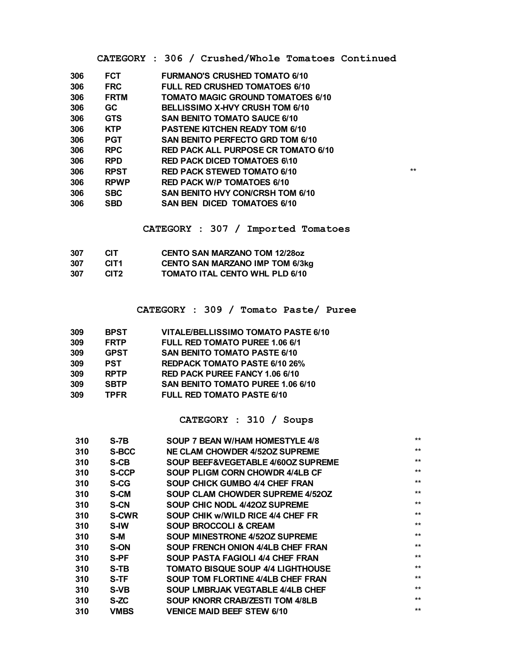|  |  | CATEGORY : 306 / Crushed/Whole Tomatoes Continued |  |
|--|--|---------------------------------------------------|--|

| 306 | <b>FCT</b>  | <b>FURMANO'S CRUSHED TOMATO 6/10</b>       |              |
|-----|-------------|--------------------------------------------|--------------|
| 306 | <b>FRC</b>  | <b>FULL RED CRUSHED TOMATOES 6/10</b>      |              |
| 306 | <b>FRTM</b> | <b>TOMATO MAGIC GROUND TOMATOES 6/10</b>   |              |
| 306 | <b>GC</b>   | BELLISSIMO X-HVY CRUSH TOM 6/10            |              |
| 306 | <b>GTS</b>  | <b>SAN BENITO TOMATO SAUCE 6/10</b>        |              |
| 306 | <b>KTP</b>  | <b>PASTENE KITCHEN READY TOM 6/10</b>      |              |
| 306 | <b>PGT</b>  | SAN BENITO PERFECTO GRD TOM 6/10           |              |
| 306 | <b>RPC</b>  | <b>RED PACK ALL PURPOSE CR TOMATO 6/10</b> |              |
| 306 | <b>RPD</b>  | <b>RED PACK DICED TOMATOES 6\10</b>        |              |
| 306 | <b>RPST</b> | <b>RED PACK STEWED TOMATO 6/10</b>         | $\star\star$ |
| 306 | <b>RPWP</b> | <b>RED PACK W/P TOMATOES 6/10</b>          |              |
| 306 | <b>SBC</b>  | SAN BENITO HVY CON/CRSH TOM 6/10           |              |
| 306 | <b>SBD</b>  | <b>SAN BEN DICED TOMATOES 6/10</b>         |              |
|     |             |                                            |              |

**CATEGORY : 307 / Imported Tomatoes**

| 307 | CIT.             | <b>CENTO SAN MARZANO TOM 12/280Z</b>   |
|-----|------------------|----------------------------------------|
| 307 | CIT <sub>1</sub> | <b>CENTO SAN MARZANO IMP TOM 6/3kg</b> |
| 307 | CIT <sub>2</sub> | <b>TOMATO ITAL CENTO WHL PLD 6/10</b>  |

**CATEGORY : 309 / Tomato Paste/ Puree**

| <b>BPST</b> | VITALE/BELLISSIMO TOMATO PASTE 6/10      |
|-------------|------------------------------------------|
| <b>FRTP</b> | <b>FULL RED TOMATO PUREE 1.06 6/1</b>    |
| <b>GPST</b> | <b>SAN BENITO TOMATO PASTE 6/10</b>      |
| <b>PST</b>  | <b>REDPACK TOMATO PASTE 6/10 26%</b>     |
| <b>RPTP</b> | <b>RED PACK PUREE FANCY 1.06 6/10</b>    |
| <b>SBTP</b> | <b>SAN BENITO TOMATO PUREE 1.06 6/10</b> |
| <b>TPFR</b> | <b>FULL RED TOMATO PASTE 6/10</b>        |
|             |                                          |

**CATEGORY : 310 / Soups**

| 310 | S-7B         | SOUP 7 BEAN W/HAM HOMESTYLE 4/8          | $***$ |
|-----|--------------|------------------------------------------|-------|
|     |              |                                          |       |
| 310 | <b>S-BCC</b> | NE CLAM CHOWDER 4/520Z SUPREME           | $***$ |
| 310 | S-CB         | SOUP BEEF&VEGETABLE 4/60OZ SUPREME       | $***$ |
| 310 | <b>S-CCP</b> | SOUP PLIGM CORN CHOWDR 4/4LB CF          | $***$ |
| 310 | <b>S-CG</b>  | SOUP CHICK GUMBO 4/4 CHEF FRAN           | $***$ |
| 310 | <b>S-CM</b>  | SOUP CLAM CHOWDER SUPREME 4/520Z         | $***$ |
| 310 | <b>S-CN</b>  | SOUP CHIC NODL 4/420Z SUPREME            | $***$ |
| 310 | <b>S-CWR</b> | SOUP CHIK w/WILD RICE 4/4 CHEF FR        | $***$ |
| 310 | <b>S-IW</b>  | <b>SOUP BROCCOLI &amp; CREAM</b>         | $***$ |
| 310 | S-M          | SOUP MINESTRONE 4/520Z SUPREME           | $***$ |
| 310 | S-ON         | SOUP FRENCH ONION 4/4LB CHEF FRAN        | $***$ |
| 310 | S-PF         | SOUP PASTA FAGIOLI 4/4 CHEF FRAN         | $***$ |
| 310 | S-TB         | <b>TOMATO BISQUE SOUP 4/4 LIGHTHOUSE</b> | $***$ |
| 310 | S-TF         | SOUP TOM FLORTINE 4/4LB CHEF FRAN        | $***$ |
| 310 | <b>S-VB</b>  | <b>SOUP LMBRJAK VEGTABLE 4/4LB CHEF</b>  | $***$ |
| 310 | S-ZC         | <b>SOUP KNORR CRAB/ZESTI TOM 4/8LB</b>   | $***$ |
| 310 | VMBS         | <b>VENICE MAID BEEF STEW 6/10</b>        | $***$ |
|     |              |                                          |       |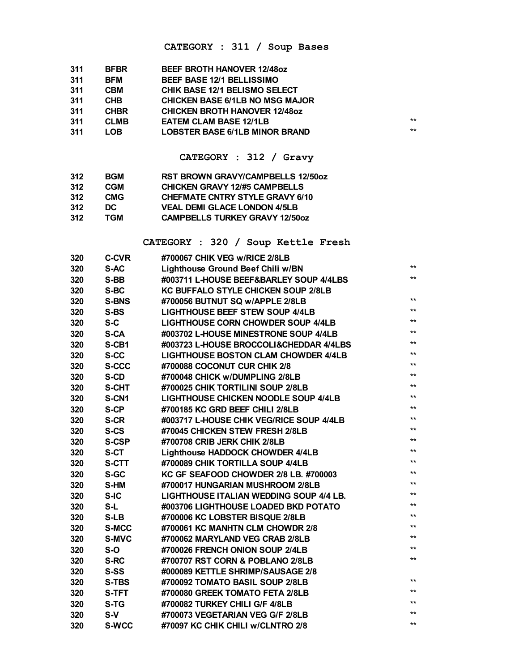#### **CATEGORY : 311 / Soup Bases**

| 311 | <b>BFBR</b> | <b>BEEF BROTH HANOVER 12/48oz</b>      |       |
|-----|-------------|----------------------------------------|-------|
| 311 | BFM         | <b>BEEF BASE 12/1 BELLISSIMO</b>       |       |
| 311 | <b>CBM</b>  | <b>CHIK BASE 12/1 BELISMO SELECT</b>   |       |
| 311 | <b>CHB</b>  | <b>CHICKEN BASE 6/1LB NO MSG MAJOR</b> |       |
| 311 | <b>CHBR</b> | <b>CHICKEN BROTH HANOVER 12/480Z</b>   |       |
| 311 | <b>CLMB</b> | <b>EATEM CLAM BASE 12/1LB</b>          | $***$ |
| 311 | LOB         | <b>LOBSTER BASE 6/1LB MINOR BRAND</b>  | $**$  |
|     |             |                                        |       |

**CATEGORY : 312 / Gravy**

| 312 | <b>BGM</b> | RST BROWN GRAVY/CAMPBELLS 12/50oz      |
|-----|------------|----------------------------------------|
| 312 | <b>CGM</b> | <b>CHICKEN GRAVY 12/#5 CAMPBELLS</b>   |
| 312 | <b>CMG</b> | <b>CHEFMATE CNTRY STYLE GRAVY 6/10</b> |
| 312 | DC.        | <b>VEAL DEMI GLACE LONDON 4/5LB</b>    |
| 312 | TGM        | <b>CAMPBELLS TURKEY GRAVY 12/50oz</b>  |

**CATEGORY : 320 / Soup Kettle Fresh**

| 320 | <b>C-CVR</b> | #700067 CHIK VEG w/RICE 2/8LB               |              |
|-----|--------------|---------------------------------------------|--------------|
| 320 | S-AC         | Lighthouse Ground Beef Chili w/BN           | $\star\star$ |
| 320 | S-BB         | #003711 L-HOUSE BEEF&BARLEY SOUP 4/4LBS     | $\star\star$ |
| 320 | S-BC         | <b>KC BUFFALO STYLE CHICKEN SOUP 2/8LB</b>  |              |
| 320 | <b>S-BNS</b> | #700056 BUTNUT SQ w/APPLE 2/8LB             | $**$         |
| 320 | S-BS         | <b>LIGHTHOUSE BEEF STEW SOUP 4/4LB</b>      | $**$         |
| 320 | $S-C$        | LIGHTHOUSE CORN CHOWDER SOUP 4/4LB          | $**$         |
| 320 | S-CA         | #003702 L-HOUSE MINESTRONE SOUP 4/4LB       | $**$         |
| 320 | S-CB1        | #003723 L-HOUSE BROCCOLI&CHEDDAR 4/4LBS     | $**$         |
| 320 | S-CC         | <b>LIGHTHOUSE BOSTON CLAM CHOWDER 4/4LB</b> | $***$        |
| 320 | S-CCC        | #700088 COCONUT CUR CHIK 2/8                | $**$         |
| 320 | S-CD         | #700048 CHICK w/DUMPLING 2/8LB              | $***$        |
| 320 | S-CHT        | #700025 CHIK TORTILINI SOUP 2/8LB           | $**$         |
| 320 | S-CN1        | <b>LIGHTHOUSE CHICKEN NOODLE SOUP 4/4LB</b> | $***$        |
| 320 | S-CP         | #700185 KC GRD BEEF CHILI 2/8LB             | $**$         |
| 320 | S-CR         | #003717 L-HOUSE CHIK VEG/RICE SOUP 4/4LB    | $**$         |
| 320 | S-CS         | #70045 CHICKEN STEW FRESH 2/8LB             | $***$        |
| 320 | <b>S-CSP</b> | #700708 CRIB JERK CHIK 2/8LB                | $**$         |
| 320 | S-CT         | Lighthouse HADDOCK CHOWDER 4/4LB            | $**$         |
| 320 | S-CTT        | #700089 CHIK TORTILLA SOUP 4/4LB            | $**$         |
| 320 | S-GC         | KC GF SEAFOOD CHOWDER 2/8 LB. #700003       | $**$         |
| 320 | S-HM         | #700017 HUNGARIAN MUSHROOM 2/8LB            | $**$         |
| 320 | S-IC         | LIGHTHOUSE ITALIAN WEDDING SOUP 4/4 LB.     | $***$        |
| 320 | S-L          | #003706 LIGHTHOUSE LOADED BKD POTATO        | $**$         |
| 320 | S-LB         | #700006 KC LOBSTER BISQUE 2/8LB             | $***$        |
| 320 | S-MCC        | #700061 KC MANHTN CLM CHOWDR 2/8            | $***$        |
| 320 | S-MVC        | #700062 MARYLAND VEG CRAB 2/8LB             | $**$         |
| 320 | $S-O$        | #700026 FRENCH ONION SOUP 2/4LB             | $**$         |
| 320 | S-RC         | #700707 RST CORN & POBLANO 2/8LB            | $**$         |
| 320 | S-SS         | #000089 KETTLE SHRIMP/SAUSAGE 2/8           |              |
| 320 | S-TBS        | #700092 TOMATO BASIL SOUP 2/8LB             | $***$        |
| 320 | S-TFT        | #700080 GREEK TOMATO FETA 2/8LB             | $**$         |
| 320 | S-TG         | #700082 TURKEY CHILI G/F 4/8LB              | $**$         |
| 320 | S-V          | #700073 VEGETARIAN VEG G/F 2/8LB            | $**$         |
| 320 | <b>S-WCC</b> | #70097 KC CHIK CHILI w/CLNTRO 2/8           | $**$         |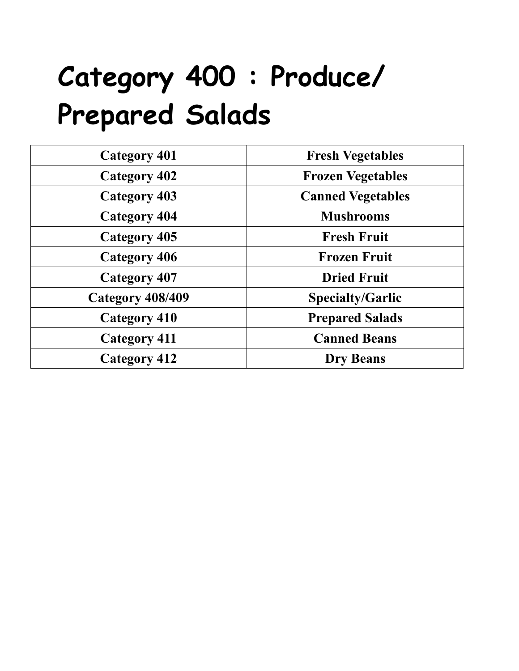### **Category 400 : Produce/ Prepared Salads**

| <b>Category 401</b> | <b>Fresh Vegetables</b>  |
|---------------------|--------------------------|
| <b>Category 402</b> | <b>Frozen Vegetables</b> |
| <b>Category 403</b> | <b>Canned Vegetables</b> |
| <b>Category 404</b> | <b>Mushrooms</b>         |
| <b>Category 405</b> | <b>Fresh Fruit</b>       |
| <b>Category 406</b> | <b>Frozen Fruit</b>      |
| <b>Category 407</b> | <b>Dried Fruit</b>       |
| Category 408/409    | <b>Specialty/Garlic</b>  |
| <b>Category 410</b> | <b>Prepared Salads</b>   |
| <b>Category 411</b> | <b>Canned Beans</b>      |
| <b>Category 412</b> | <b>Dry Beans</b>         |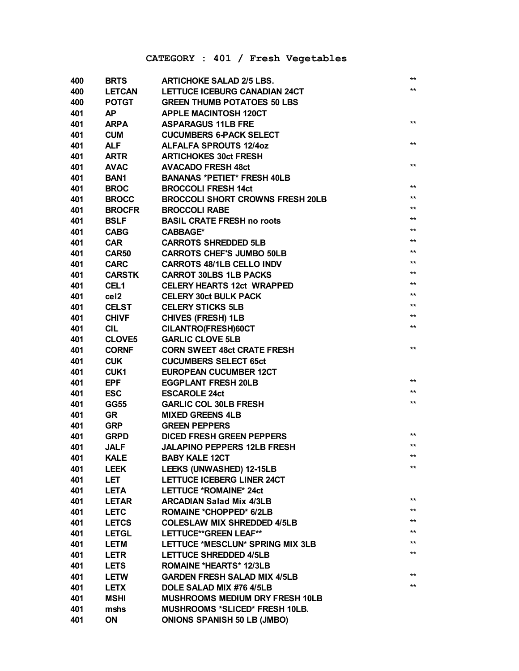#### **CATEGORY : 401 / Fresh Vegetables**

| 400 | <b>BRTS</b>      | <b>ARTICHOKE SALAD 2/5 LBS.</b>         | $***$           |
|-----|------------------|-----------------------------------------|-----------------|
| 400 | <b>LETCAN</b>    | <b>LETTUCE ICEBURG CANADIAN 24CT</b>    | $^{\star\star}$ |
| 400 | <b>POTGT</b>     | <b>GREEN THUMB POTATOES 50 LBS</b>      |                 |
| 401 | <b>AP</b>        | <b>APPLE MACINTOSH 120CT</b>            |                 |
| 401 | <b>ARPA</b>      | <b>ASPARAGUS 11LB FRE</b>               | $***$           |
| 401 | <b>CUM</b>       | <b>CUCUMBERS 6-PACK SELECT</b>          |                 |
| 401 | <b>ALF</b>       | <b>ALFALFA SPROUTS 12/4oz</b>           | $***$           |
| 401 | <b>ARTR</b>      | <b>ARTICHOKES 30ct FRESH</b>            |                 |
| 401 | <b>AVAC</b>      | <b>AVACADO FRESH 48ct</b>               | $**$            |
| 401 | <b>BAN1</b>      | <b>BANANAS *PETIET* FRESH 40LB</b>      |                 |
| 401 | <b>BROC</b>      | <b>BROCCOLI FRESH 14ct</b>              | $***$           |
| 401 | <b>BROCC</b>     | <b>BROCCOLI SHORT CROWNS FRESH 20LB</b> | $^{\star\star}$ |
| 401 | <b>BROCFR</b>    | <b>BROCCOLI RABE</b>                    | $^{\star\star}$ |
| 401 | <b>BSLF</b>      | <b>BASIL CRATE FRESH no roots</b>       | $^{\star\star}$ |
| 401 | <b>CABG</b>      | <b>CABBAGE*</b>                         | $***$           |
| 401 | <b>CAR</b>       | <b>CARROTS SHREDDED 5LB</b>             | $^{\star\star}$ |
| 401 | <b>CAR50</b>     | <b>CARROTS CHEF'S JUMBO 50LB</b>        | $***$           |
| 401 | <b>CARC</b>      | <b>CARROTS 48/1LB CELLO INDV</b>        | $***$           |
| 401 | <b>CARSTK</b>    | <b>CARROT 30LBS 1LB PACKS</b>           | $***$           |
| 401 | CEL <sub>1</sub> | <b>CELERY HEARTS 12ct WRAPPED</b>       | $***$           |
| 401 | ce <sub>l2</sub> | <b>CELERY 30ct BULK PACK</b>            | $***$           |
| 401 | <b>CELST</b>     | <b>CELERY STICKS 5LB</b>                | $***$           |
| 401 | <b>CHIVF</b>     | <b>CHIVES (FRESH) 1LB</b>               | $***$           |
| 401 | <b>CIL</b>       | CILANTRO(FRESH)60CT                     | $\star\star$    |
| 401 | <b>CLOVE5</b>    | <b>GARLIC CLOVE 5LB</b>                 |                 |
| 401 | <b>CORNF</b>     | <b>CORN SWEET 48ct CRATE FRESH</b>      | $***$           |
| 401 | <b>CUK</b>       | <b>CUCUMBERS SELECT 65ct</b>            |                 |
| 401 | CUK <sub>1</sub> | <b>EUROPEAN CUCUMBER 12CT</b>           |                 |
| 401 | <b>EPF</b>       | <b>EGGPLANT FRESH 20LB</b>              | $***$           |
| 401 | <b>ESC</b>       | <b>ESCAROLE 24ct</b>                    | $***$           |
| 401 | <b>GG55</b>      | <b>GARLIC COL 30LB FRESH</b>            | $\star\star$    |
| 401 | <b>GR</b>        | <b>MIXED GREENS 4LB</b>                 |                 |
| 401 | <b>GRP</b>       | <b>GREEN PEPPERS</b>                    |                 |
| 401 | <b>GRPD</b>      | <b>DICED FRESH GREEN PEPPERS</b>        | $***$           |
| 401 | <b>JALF</b>      | <b>JALAPINO PEPPERS 12LB FRESH</b>      | $***$           |
| 401 | <b>KALE</b>      | <b>BABY KALE 12CT</b>                   | $\star\star$    |
| 401 | <b>LEEK</b>      | LEEKS (UNWASHED) 12-15LB                | $***$           |
| 401 | LET              | <b>LETTUCE ICEBERG LINER 24CT</b>       |                 |
| 401 | <b>LETA</b>      | LETTUCE *ROMAINE* 24ct                  |                 |
| 401 | <b>LETAR</b>     | <b>ARCADIAN Salad Mix 4/3LB</b>         | $***$           |
| 401 | <b>LETC</b>      | <b>ROMAINE *CHOPPED* 6/2LB</b>          | $***$           |
| 401 | <b>LETCS</b>     | <b>COLESLAW MIX SHREDDED 4/5LB</b>      | $***$           |
| 401 | <b>LETGL</b>     | LETTUCE**GREEN LEAF**                   | $***$           |
| 401 | <b>LETM</b>      | LETTUCE *MESCLUN* SPRING MIX 3LB        | $***$           |
| 401 | <b>LETR</b>      | <b>LETTUCE SHREDDED 4/5LB</b>           | $***$           |
| 401 | <b>LETS</b>      | <b>ROMAINE *HEARTS* 12/3LB</b>          |                 |
| 401 | <b>LETW</b>      | <b>GARDEN FRESH SALAD MIX 4/5LB</b>     | $***$           |
| 401 | <b>LETX</b>      | DOLE SALAD MIX #76 4/5LB                | $***$           |
| 401 | <b>MSHI</b>      | MUSHROOMS MEDIUM DRY FRESH 10LB         |                 |
| 401 | mshs             | MUSHROOMS *SLICED* FRESH 10LB.          |                 |
| 401 | ON               | <b>ONIONS SPANISH 50 LB (JMBO)</b>      |                 |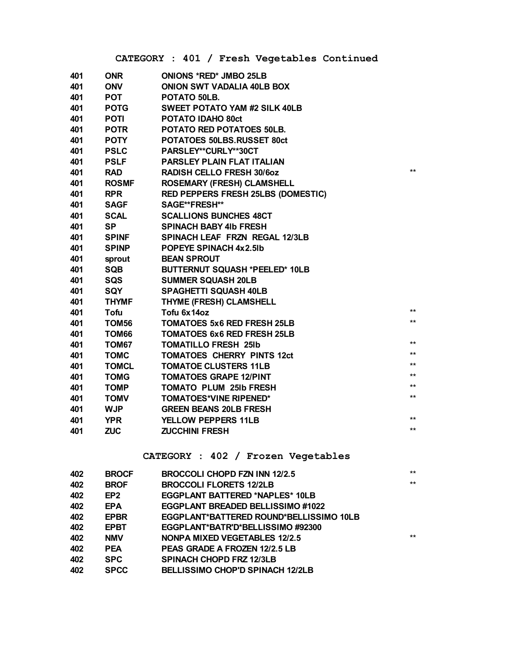|     |              | CATEGORY : 401 / Fresh Vegetables Continued |       |
|-----|--------------|---------------------------------------------|-------|
| 401 | <b>ONR</b>   | <b>ONIONS *RED* JMBO 25LB</b>               |       |
| 401 | <b>ONV</b>   | <b>ONION SWT VADALIA 40LB BOX</b>           |       |
| 401 | <b>POT</b>   | POTATO 50LB.                                |       |
| 401 | <b>POTG</b>  | <b>SWEET POTATO YAM #2 SILK 40LB</b>        |       |
| 401 | <b>POTI</b>  | POTATO IDAHO 80ct                           |       |
| 401 | <b>POTR</b>  | POTATO RED POTATOES 50LB.                   |       |
| 401 | <b>POTY</b>  | POTATOES 50LBS.RUSSET 80ct                  |       |
| 401 | <b>PSLC</b>  | PARSLEY**CURLY**30CT                        |       |
| 401 | <b>PSLF</b>  | <b>PARSLEY PLAIN FLAT ITALIAN</b>           |       |
| 401 | <b>RAD</b>   | <b>RADISH CELLO FRESH 30/60Z</b>            | $**$  |
| 401 | <b>ROSMF</b> | <b>ROSEMARY (FRESH) CLAMSHELL</b>           |       |
| 401 | <b>RPR</b>   | RED PEPPERS FRESH 25LBS (DOMESTIC)          |       |
| 401 | <b>SAGF</b>  | SAGE**FRESH**                               |       |
| 401 | <b>SCAL</b>  | <b>SCALLIONS BUNCHES 48CT</b>               |       |
| 401 | <b>SP</b>    | <b>SPINACH BABY 41b FRESH</b>               |       |
| 401 | <b>SPINF</b> | SPINACH LEAF FRZN REGAL 12/3LB              |       |
| 401 | <b>SPINP</b> | <b>POPEYE SPINACH 4x2.5lb</b>               |       |
| 401 | sprout       | <b>BEAN SPROUT</b>                          |       |
| 401 | <b>SQB</b>   | <b>BUTTERNUT SQUASH *PEELED* 10LB</b>       |       |
| 401 | SQS          | <b>SUMMER SQUASH 20LB</b>                   |       |
| 401 | <b>SQY</b>   | <b>SPAGHETTI SQUASH 40LB</b>                |       |
| 401 | <b>THYMF</b> | THYME (FRESH) CLAMSHELL                     |       |
| 401 | <b>Tofu</b>  | Tofu 6x14oz                                 | $***$ |
| 401 | TOM56        | <b>TOMATOES 5x6 RED FRESH 25LB</b>          | $**$  |
| 401 | TOM66        | <b>TOMATOES 6x6 RED FRESH 25LB</b>          |       |
| 401 | TOM67        | <b>TOMATILLO FRESH 25Ib</b>                 | $**$  |
| 401 | <b>TOMC</b>  | <b>TOMATOES CHERRY PINTS 12ct</b>           | $***$ |
| 401 | <b>TOMCL</b> | <b>TOMATOE CLUSTERS 11LB</b>                | $**$  |
| 401 | <b>TOMG</b>  | <b>TOMATOES GRAPE 12/PINT</b>               | $**$  |
| 401 | <b>TOMP</b>  | <b>TOMATO PLUM 25Ib FRESH</b>               | $**$  |
| 401 | <b>TOMV</b>  | <b>TOMATOES*VINE RIPENED*</b>               | $***$ |
| 401 | <b>WJP</b>   | <b>GREEN BEANS 20LB FRESH</b>               |       |
| 401 | <b>YPR</b>   | <b>YELLOW PEPPERS 11LB</b>                  | $***$ |
| 401 | <b>ZUC</b>   | <b>ZUCCHINI FRESH</b>                       | $**$  |

#### **CATEGORY : 402 / Frozen Vegetables**

| 402 | <b>BROCF</b> | BROCCOLI CHOPD FZN INN 12/2.5           | $***$ |
|-----|--------------|-----------------------------------------|-------|
| 402 | <b>BROF</b>  | <b>BROCCOLI FLORETS 12/2LB</b>          | $***$ |
| 402 | EP2          | <b>EGGPLANT BATTERED *NAPLES* 10LB</b>  |       |
| 402 | EPA.         | EGGPLANT BREADED BELLISSIMO #1022       |       |
| 402 | <b>EPBR</b>  | EGGPLANT*BATTERED ROUND*BELLISSIMO 10LB |       |
| 402 | <b>EPBT</b>  | EGGPLANT*BATR'D*BELLISSIMO#92300        |       |
| 402 | <b>NMV</b>   | NONPA MIXED VEGETABLES 12/2.5           | $***$ |
| 402 | PEA          | PEAS GRADE A FROZEN 12/2.5 LB           |       |
| 402 | <b>SPC</b>   | <b>SPINACH CHOPD FRZ 12/3LB</b>         |       |
| 402 | <b>SPCC</b>  | <b>BELLISSIMO CHOP'D SPINACH 12/2LB</b> |       |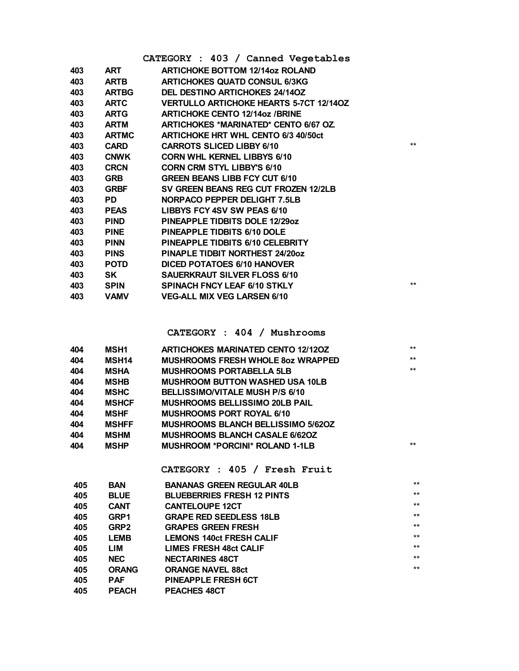|     |              | CATEGORY : 403 / Canned Vegetables             |       |
|-----|--------------|------------------------------------------------|-------|
| 403 | ART          | <b>ARTICHOKE BOTTOM 12/14oz ROLAND</b>         |       |
| 403 | <b>ARTB</b>  | <b>ARTICHOKES QUATD CONSUL 6/3KG</b>           |       |
| 403 | <b>ARTBG</b> | <b>DEL DESTINO ARTICHOKES 24/140Z</b>          |       |
| 403 | <b>ARTC</b>  | <b>VERTULLO ARTICHOKE HEARTS 5-7CT 12/140Z</b> |       |
| 403 | <b>ARTG</b>  | <b>ARTICHOKE CENTO 12/14oz /BRINE</b>          |       |
| 403 | <b>ARTM</b>  | <b>ARTICHOKES *MARINATED* CENTO 6/67 OZ.</b>   |       |
| 403 | <b>ARTMC</b> | <b>ARTICHOKE HRT WHL CENTO 6/3 40/50ct</b>     |       |
| 403 | <b>CARD</b>  | <b>CARROTS SLICED LIBBY 6/10</b>               | $**$  |
| 403 | <b>CNWK</b>  | <b>CORN WHL KERNEL LIBBYS 6/10</b>             |       |
| 403 | <b>CRCN</b>  | <b>CORN CRM STYL LIBBY'S 6/10</b>              |       |
| 403 | <b>GRB</b>   | <b>GREEN BEANS LIBB FCY CUT 6/10</b>           |       |
| 403 | <b>GRBF</b>  | SV GREEN BEANS REG CUT FROZEN 12/2LB           |       |
| 403 | <b>PD</b>    | NORPACO PEPPER DELIGHT 7.5LB                   |       |
| 403 | <b>PEAS</b>  | LIBBYS FCY 4SV SW PEAS 6/10                    |       |
| 403 | <b>PIND</b>  | <b>PINEAPPLE TIDBITS DOLE 12/29oz</b>          |       |
| 403 | <b>PINE</b>  | PINEAPPLE TIDBITS 6/10 DOLE                    |       |
| 403 | <b>PINN</b>  | PINEAPPLE TIDBITS 6/10 CELEBRITY               |       |
| 403 | <b>PINS</b>  | <b>PINAPLE TIDBIT NORTHEST 24/200Z</b>         |       |
| 403 | <b>POTD</b>  | <b>DICED POTATOES 6/10 HANOVER</b>             |       |
| 403 | SK.          | <b>SAUERKRAUT SILVER FLOSS 6/10</b>            |       |
| 403 | <b>SPIN</b>  | SPINACH FNCY LEAF 6/10 STKLY                   | $***$ |
| 403 | <b>VAMV</b>  | <b>VEG-ALL MIX VEG LARSEN 6/10</b>             |       |

**CATEGORY : 404 / Mushrooms**

| 404 | <b>MSH1</b>  | <b>ARTICHOKES MARINATED CENTO 12/120Z</b> | $***$ |
|-----|--------------|-------------------------------------------|-------|
| 404 | <b>MSH14</b> | <b>MUSHROOMS FRESH WHOLE 80Z WRAPPED</b>  | $***$ |
| 404 | <b>MSHA</b>  | <b>MUSHROOMS PORTABELLA 5LB</b>           | $***$ |
| 404 | <b>MSHB</b>  | <b>MUSHROOM BUTTON WASHED USA 10LB</b>    |       |
| 404 | <b>MSHC</b>  | <b>BELLISSIMO/VITALE MUSH P/S 6/10</b>    |       |
| 404 | <b>MSHCF</b> | <b>MUSHROOMS BELLISSIMO 20LB PAIL</b>     |       |
| 404 | <b>MSHF</b>  | <b>MUSHROOMS PORT ROYAL 6/10</b>          |       |
| 404 | <b>MSHFF</b> | <b>MUSHROOMS BLANCH BELLISSIMO 5/620Z</b> |       |
| 404 | <b>MSHM</b>  | <b>MUSHROOMS BLANCH CASALE 6/620Z</b>     |       |
| 404 | <b>MSHP</b>  | <b>MUSHROOM *PORCINI* ROLAND 1-1LB</b>    | $***$ |
|     |              |                                           |       |

**CATEGORY : 405 / Fresh Fruit**

| 405 | <b>BAN</b>       | <b>BANANAS GREEN REGULAR 40LB</b> | $***$ |
|-----|------------------|-----------------------------------|-------|
| 405 | <b>BLUE</b>      | <b>BLUEBERRIES FRESH 12 PINTS</b> | $***$ |
| 405 | <b>CANT</b>      | <b>CANTELOUPE 12CT</b>            | $***$ |
| 405 | GRP1             | <b>GRAPE RED SEEDLESS 18LB</b>    | $***$ |
| 405 | GRP <sub>2</sub> | <b>GRAPES GREEN FRESH</b>         | $***$ |
| 405 | <b>LEMB</b>      | <b>LEMONS 140ct FRESH CALIF</b>   | $***$ |
| 405 | LIM              | <b>LIMES FRESH 48ct CALIF</b>     | $***$ |
| 405 | <b>NEC</b>       | <b>NECTARINES 48CT</b>            | $***$ |
| 405 | <b>ORANG</b>     | <b>ORANGE NAVEL 88ct</b>          | $***$ |
| 405 | <b>PAF</b>       | <b>PINEAPPLE FRESH 6CT</b>        |       |
| 405 | <b>PEACH</b>     | <b>PEACHES 48CT</b>               |       |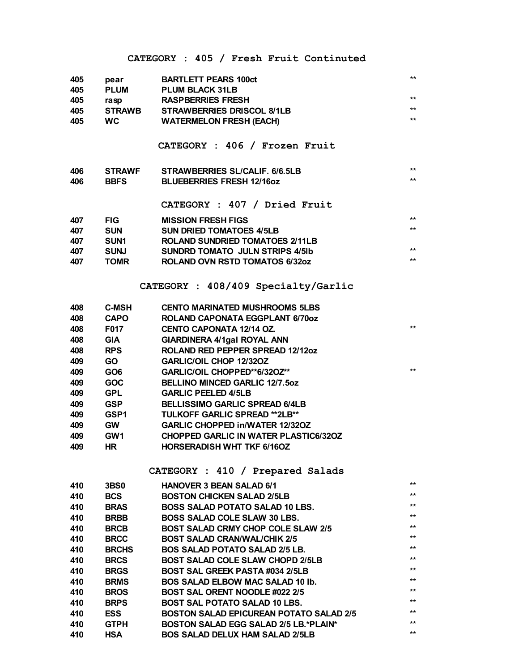#### **CATEGORY : 405 / Fresh Fruit Continuted**

| 405 | pear             | <b>BARTLETT PEARS 100ct</b>                    | $***$           |
|-----|------------------|------------------------------------------------|-----------------|
| 405 | <b>PLUM</b>      | <b>PLUM BLACK 31LB</b>                         |                 |
| 405 | rasp             | <b>RASPBERRIES FRESH</b>                       | $***$           |
| 405 | <b>STRAWB</b>    | <b>STRAWBERRIES DRISCOL 8/1LB</b>              | $***$           |
| 405 | <b>WC</b>        | <b>WATERMELON FRESH (EACH)</b>                 | $***$           |
|     |                  |                                                |                 |
|     |                  | CATEGORY : 406 / Frozen Fruit                  |                 |
|     |                  |                                                |                 |
| 406 | <b>STRAWF</b>    | STRAWBERRIES SL/CALIF. 6/6.5LB                 | $***$           |
| 406 | <b>BBFS</b>      | <b>BLUEBERRIES FRESH 12/16oz</b>               | $^{\star\star}$ |
|     |                  |                                                |                 |
|     |                  | CATEGORY : 407 / Dried Fruit                   |                 |
| 407 | <b>FIG</b>       | <b>MISSION FRESH FIGS</b>                      | $***$           |
| 407 | <b>SUN</b>       | <b>SUN DRIED TOMATOES 4/5LB</b>                | $***$           |
| 407 | SUN <sub>1</sub> | <b>ROLAND SUNDRIED TOMATOES 2/11LB</b>         |                 |
| 407 | <b>SUNJ</b>      | <b>SUNDRD TOMATO JULN STRIPS 4/5lb</b>         | $***$           |
| 407 | <b>TOMR</b>      | <b>ROLAND OVN RSTD TOMATOS 6/32oz</b>          | $***$           |
|     |                  |                                                |                 |
|     |                  | CATEGORY : 408/409 Specialty/Garlic            |                 |
| 408 | <b>C-MSH</b>     | <b>CENTO MARINATED MUSHROOMS 5LBS</b>          |                 |
| 408 | <b>CAPO</b>      | <b>ROLAND CAPONATA EGGPLANT 6/70oz</b>         |                 |
| 408 | <b>F017</b>      | <b>CENTO CAPONATA 12/14 OZ.</b>                | $***$           |
| 408 | <b>GIA</b>       | <b>GIARDINERA 4/1gal ROYAL ANN</b>             |                 |
| 408 | <b>RPS</b>       | ROLAND RED PEPPER SPREAD 12/12oz               |                 |
| 409 | <b>GO</b>        | <b>GARLIC/OIL CHOP 12/32OZ</b>                 |                 |
| 409 | GO <sub>6</sub>  | GARLIC/OIL CHOPPED**6/32OZ**                   | $***$           |
| 409 | <b>GOC</b>       | <b>BELLINO MINCED GARLIC 12/7.50Z</b>          |                 |
| 409 | <b>GPL</b>       | <b>GARLIC PEELED 4/5LB</b>                     |                 |
|     | <b>GSP</b>       | <b>BELLISSIMO GARLIC SPREAD 6/4LB</b>          |                 |
| 409 |                  | TULKOFF GARLIC SPREAD ** 2LB**                 |                 |
| 409 | GSP <sub>1</sub> |                                                |                 |
| 409 | <b>GW</b>        | <b>GARLIC CHOPPED in/WATER 12/320Z</b>         |                 |
| 409 | GW <sub>1</sub>  | <b>CHOPPED GARLIC IN WATER PLASTIC6/32OZ</b>   |                 |
| 409 | HR.              | <b>HORSERADISH WHT TKF 6/16OZ</b>              |                 |
|     |                  | CATEGORY : 410 / Prepared Salads               |                 |
| 410 | <b>3BS0</b>      | <b>HANOVER 3 BEAN SALAD 6/1</b>                | $***$           |
| 410 | <b>BCS</b>       | <b>BOSTON CHICKEN SALAD 2/5LB</b>              | $***$           |
| 410 | <b>BRAS</b>      | <b>BOSS SALAD POTATO SALAD 10 LBS.</b>         | $**$            |
| 410 | <b>BRBB</b>      | <b>BOSS SALAD COLE SLAW 30 LBS.</b>            | $***$           |
| 410 |                  | <b>BOST SALAD CRMY CHOP COLE SLAW 2/5</b>      | $***$           |
|     | <b>BRCB</b>      |                                                | $***$           |
| 410 | <b>BRCC</b>      | <b>BOST SALAD CRAN/WAL/CHIK 2/5</b>            | $***$           |
| 410 | <b>BRCHS</b>     | <b>BOS SALAD POTATO SALAD 2/5 LB.</b>          | $***$           |
| 410 | <b>BRCS</b>      | <b>BOST SALAD COLE SLAW CHOPD 2/5LB</b>        |                 |
| 410 | <b>BRGS</b>      | <b>BOST SAL GREEK PASTA #034 2/5LB</b>         | $***$           |
| 410 | <b>BRMS</b>      | <b>BOS SALAD ELBOW MAC SALAD 10 lb.</b>        | $***$           |
| 410 | <b>BROS</b>      | <b>BOST SAL ORENT NOODLE #022 2/5</b>          | $***$           |
| 410 | <b>BRPS</b>      | <b>BOST SAL POTATO SALAD 10 LBS.</b>           | $***$           |
| 410 | <b>ESS</b>       | <b>BOSTON SALAD EPICUREAN POTATO SALAD 2/5</b> | $***$           |
| 410 | <b>GTPH</b>      | BOSTON SALAD EGG SALAD 2/5 LB.*PLAIN*          | $***$           |
| 410 | <b>HSA</b>       | <b>BOS SALAD DELUX HAM SALAD 2/5LB</b>         | $***$           |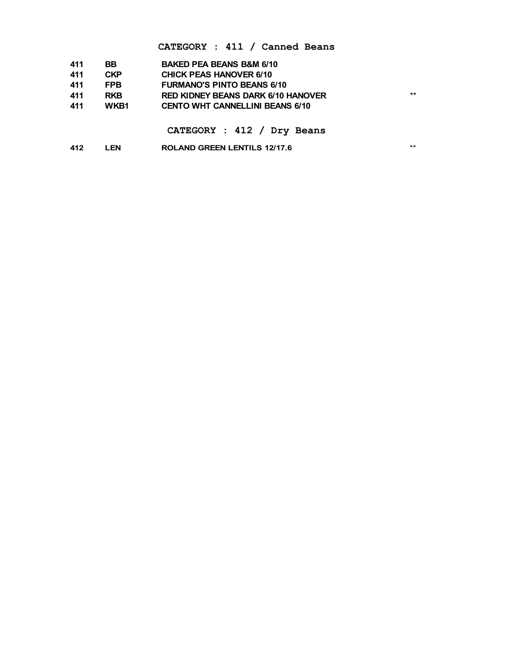#### **CATEGORY : 411 / Canned Beans**

| 411 | <b>BB</b>  | <b>BAKED PEA BEANS B&amp;M 6/10</b>       |     |
|-----|------------|-------------------------------------------|-----|
| 411 | <b>CKP</b> | <b>CHICK PEAS HANOVER 6/10</b>            |     |
| 411 | <b>FPB</b> | <b>FURMANO'S PINTO BEANS 6/10</b>         |     |
| 411 | <b>RKB</b> | <b>RED KIDNEY BEANS DARK 6/10 HANOVER</b> | $*$ |
| 411 | WKB1       | <b>CENTO WHT CANNELLINI BEANS 6/10</b>    |     |
|     |            |                                           |     |
|     |            | CATEGORY : 412 / Dry Beans                |     |

**LEN ROLAND GREEN LENTILS 12/17.6** \*\*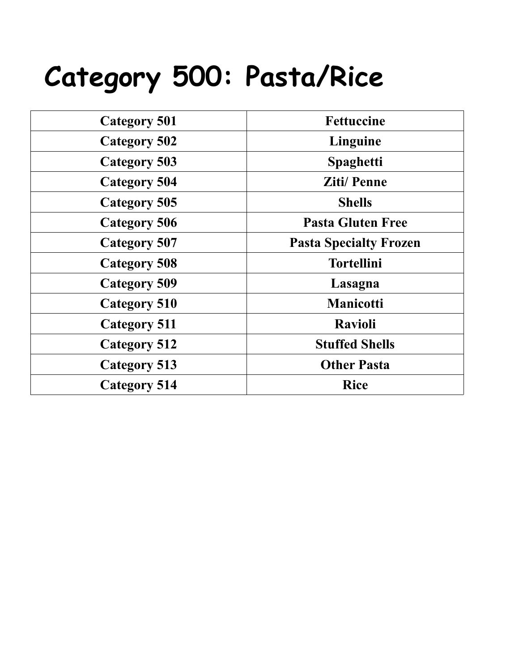### **Category 500: Pasta/Rice**

| <b>Category 501</b> | <b>Fettuccine</b>             |
|---------------------|-------------------------------|
| <b>Category 502</b> | Linguine                      |
| <b>Category 503</b> | <b>Spaghetti</b>              |
| <b>Category 504</b> | <b>Ziti/Penne</b>             |
| Category 505        | <b>Shells</b>                 |
| <b>Category 506</b> | <b>Pasta Gluten Free</b>      |
| <b>Category 507</b> | <b>Pasta Specialty Frozen</b> |
| <b>Category 508</b> | <b>Tortellini</b>             |
| <b>Category 509</b> | Lasagna                       |
| Category 510        | <b>Manicotti</b>              |
| <b>Category 511</b> | <b>Ravioli</b>                |
| <b>Category 512</b> | <b>Stuffed Shells</b>         |
| <b>Category 513</b> | <b>Other Pasta</b>            |
| <b>Category 514</b> | <b>Rice</b>                   |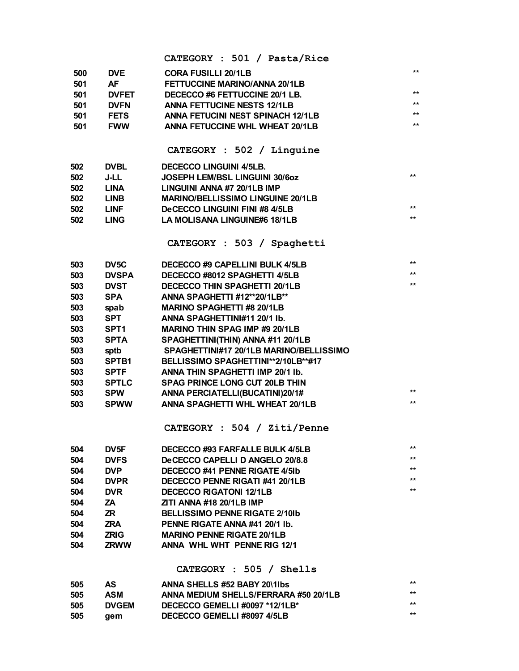|     |                   | CATEGORY : 501 / Pasta/Rice                                               |              |
|-----|-------------------|---------------------------------------------------------------------------|--------------|
| 500 | <b>DVE</b>        | <b>CORA FUSILLI 20/1LB</b>                                                | $***$        |
| 501 | AF                | <b>FETTUCCINE MARINO/ANNA 20/1LB</b>                                      |              |
| 501 | <b>DVFET</b>      | DECECCO #6 FETTUCCINE 20/1 LB.                                            | $***$        |
| 501 | <b>DVFN</b>       | <b>ANNA FETTUCINE NESTS 12/1LB</b>                                        | $***$        |
| 501 | <b>FETS</b>       | ANNA FETUCINI NEST SPINACH 12/1LB                                         | $***$        |
| 501 | <b>FWW</b>        | <b>ANNA FETUCCINE WHL WHEAT 20/1LB</b>                                    | $***$        |
|     |                   |                                                                           |              |
|     |                   | CATEGORY : 502 / Linguine                                                 |              |
| 502 | <b>DVBL</b>       | <b>DECECCO LINGUINI 4/5LB.</b>                                            |              |
| 502 | J-LL              | <b>JOSEPH LEM/BSL LINGUINI 30/6oz</b>                                     | $***$        |
| 502 | <b>LINA</b>       | LINGUINI ANNA #7 20/1LB IMP                                               |              |
| 502 | <b>LINB</b>       | <b>MARINO/BELLISSIMO LINGUINE 20/1LB</b>                                  |              |
| 502 | <b>LINF</b>       | <b>DeCECCO LINGUINI FINI #8 4/5LB</b>                                     | **           |
| 502 | <b>LING</b>       | <b>LA MOLISANA LINGUINE#6 18/1LB</b>                                      | $***$        |
|     |                   |                                                                           |              |
|     |                   | CATEGORY : 503 / Spaghetti                                                |              |
| 503 | DV <sub>5</sub> C | DECECCO#9 CAPELLINI BULK 4/5LB                                            | $***$        |
| 503 | <b>DVSPA</b>      | DECECCO #8012 SPAGHETTI 4/5LB                                             | **           |
| 503 | <b>DVST</b>       | <b>DECECCO THIN SPAGHETTI 20/1LB</b>                                      | $***$        |
| 503 | <b>SPA</b>        | ANNA SPAGHETTI #12**20/1LB**                                              |              |
| 503 | spab              | <b>MARINO SPAGHETTI #8 20/1LB</b>                                         |              |
| 503 | <b>SPT</b>        | ANNA SPAGHETTINI#11 20/1 lb.                                              |              |
| 503 | SPT <sub>1</sub>  | <b>MARINO THIN SPAG IMP #9 20/1LB</b>                                     |              |
| 503 | <b>SPTA</b>       | SPAGHETTINI(THIN) ANNA #11 20/1LB                                         |              |
|     |                   | SPAGHETTINI#17 20/1LB MARINO/BELLISSIMO                                   |              |
| 503 | sptb              | BELLISSIMO SPAGHETTINI**2/10LB**#17                                       |              |
| 503 | <b>SPTB1</b>      |                                                                           |              |
| 503 | <b>SPTF</b>       | ANNA THIN SPAGHETTI IMP 20/1 lb.                                          |              |
| 503 | <b>SPTLC</b>      | SPAG PRINCE LONG CUT 20LB THIN                                            | $***$        |
| 503 | <b>SPW</b>        | ANNA PERCIATELLI(BUCATINI)20/1#<br><b>ANNA SPAGHETTI WHL WHEAT 20/1LB</b> | **           |
| 503 | <b>SPWW</b>       |                                                                           |              |
|     |                   | CATEGORY : 504 / Ziti/Penne                                               |              |
| 504 | DV <sub>5F</sub>  | DECECCO #93 FARFALLE BULK 4/5LB                                           | $***$        |
| 504 | <b>DVFS</b>       | DeCECCO CAPELLI D ANGELO 20/8.8                                           | $\star\star$ |
| 504 | <b>DVP</b>        | DECECCO #41 PENNE RIGATE 4/5Ib                                            | $**$         |
| 504 | <b>DVPR</b>       | DECECCO PENNE RIGATI #41 20/1LB                                           | **           |
| 504 | <b>DVR</b>        | <b>DECECCO RIGATONI 12/1LB</b>                                            | $\star\star$ |
| 504 | ZΑ                | <b>ZITI ANNA #18 20/1LB IMP</b>                                           |              |
| 504 | ZR.               | <b>BELLISSIMO PENNE RIGATE 2/10Ib</b>                                     |              |
| 504 | ZRA               | PENNE RIGATE ANNA #41 20/1 lb.                                            |              |
| 504 | <b>ZRIG</b>       | <b>MARINO PENNE RIGATE 20/1LB</b>                                         |              |
| 504 | <b>ZRWW</b>       | ANNA WHL WHT PENNE RIG 12/1                                               |              |
|     |                   |                                                                           |              |
|     |                   | $CATEGORY$ : 505 / Shells                                                 |              |
| 505 | <b>AS</b>         | ANNA SHELLS #52 BABY 20\1lbs                                              | **           |
| 505 | <b>ASM</b>        | ANNA MEDIUM SHELLS/FERRARA #50 20/1LB                                     | $\star\star$ |
| 505 | <b>DVGEM</b>      | DECECCO GEMELLI #0097 *12/1LB*                                            | $\star\star$ |
| 505 | gem               | DECECCO GEMELLI #8097 4/5LB                                               | $\star\star$ |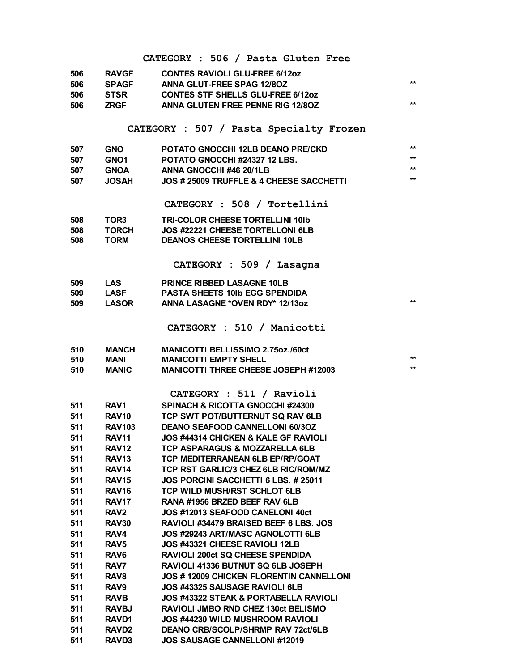|            |                                | CATEGORY : 506 / Pasta Gluten Free                                          |       |
|------------|--------------------------------|-----------------------------------------------------------------------------|-------|
| 506        | <b>RAVGF</b>                   | <b>CONTES RAVIOLI GLU-FREE 6/12oz</b>                                       |       |
| 506        | <b>SPAGF</b>                   | <b>ANNA GLUT-FREE SPAG 12/80Z</b>                                           | $***$ |
| 506        | <b>STSR</b>                    | <b>CONTES STF SHELLS GLU-FREE 6/12oz</b>                                    |       |
| 506        | <b>ZRGF</b>                    | ANNA GLUTEN FREE PENNE RIG 12/80Z                                           | $***$ |
|            |                                |                                                                             |       |
|            |                                | CATEGORY : 507 / Pasta Specialty Frozen                                     |       |
|            |                                |                                                                             | $***$ |
| 507<br>507 | <b>GNO</b><br>GNO <sub>1</sub> | POTATO GNOCCHI 12LB DEANO PRE/CKD<br>POTATO GNOCCHI #24327 12 LBS.          | $***$ |
| 507        | <b>GNOA</b>                    | ANNA GNOCCHI #46 20/1LB                                                     | $***$ |
| 507        | <b>JOSAH</b>                   | JOS # 25009 TRUFFLE & 4 CHEESE SACCHETTI                                    | $***$ |
|            |                                |                                                                             |       |
|            |                                | CATEGORY : 508 / Tortellini                                                 |       |
| 508        | TOR <sub>3</sub>               | <b>TRI-COLOR CHEESE TORTELLINI 101b</b>                                     |       |
| 508        | <b>TORCH</b>                   | JOS #22221 CHEESE TORTELLONI 6LB                                            |       |
| 508        | <b>TORM</b>                    | <b>DEANOS CHEESE TORTELLINI 10LB</b>                                        |       |
|            |                                |                                                                             |       |
|            |                                | CATEGORY : 509 / Lasagna                                                    |       |
| 509        | <b>LAS</b>                     | <b>PRINCE RIBBED LASAGNE 10LB</b>                                           |       |
| 509        | <b>LASF</b>                    | <b>PASTA SHEETS 10Ib EGG SPENDIDA</b>                                       |       |
| 509        | <b>LASOR</b>                   | ANNA LASAGNE *OVEN RDY* 12/13oz                                             | $**$  |
|            |                                |                                                                             |       |
|            |                                | CATEGORY : 510 / Manicotti                                                  |       |
|            |                                |                                                                             |       |
| 510        | <b>MANCH</b>                   | <b>MANICOTTI BELLISSIMO 2.75oz./60ct</b>                                    | $**$  |
| 510<br>510 | MANI<br>MANIC                  | <b>MANICOTTI EMPTY SHELL</b><br><b>MANICOTTI THREE CHEESE JOSEPH #12003</b> | $**$  |
|            |                                |                                                                             |       |
|            |                                | CATEGORY : 511 / Ravioli                                                    |       |
| 511        | RAV1                           | SPINACH & RICOTTA GNOCCHI #24300                                            |       |
| 511        | RAV10                          | TCP SWT POT/BUTTERNUT SQ RAV 6LB                                            |       |
| 511        | <b>RAV103</b>                  | <b>DEANO SEAFOOD CANNELLONI 60/3OZ</b>                                      |       |
| 511        | <b>RAV11</b>                   | <b>JOS #44314 CHICKEN &amp; KALE GF RAVIOLI</b>                             |       |
| 511        | RAV <sub>12</sub>              | <b>TCP ASPARAGUS &amp; MOZZARELLA 6LB</b>                                   |       |
| 511        | RAV <sub>13</sub>              | TCP MEDITERRANEAN 6LB EP/RP/GOAT                                            |       |
| 511        | RAV <sub>14</sub>              | TCP RST GARLIC/3 CHEZ 6LB RIC/ROM/MZ                                        |       |
| 511        | RAV <sub>15</sub>              | JOS PORCINI SACCHETTI 6 LBS. # 25011                                        |       |
| 511        | RAV <sub>16</sub>              | <b>TCP WILD MUSH/RST SCHLOT 6LB</b>                                         |       |
| 511        | RAV <sub>17</sub>              | RANA #1956 BRZED BEEF RAV 6LB                                               |       |
| 511        | RAV <sub>2</sub>               | JOS #12013 SEAFOOD CANELONI 40ct                                            |       |
| 511        | RAV30                          | RAVIOLI #34479 BRAISED BEEF 6 LBS. JOS                                      |       |
| 511        | RAV4                           | JOS #29243 ART/MASC AGNOLOTTI 6LB                                           |       |
| 511        | RAV <sub>5</sub>               | JOS #43321 CHEESE RAVIOLI 12LB                                              |       |
| 511        | RAV <sub>6</sub>               | <b>RAVIOLI 200ct SQ CHEESE SPENDIDA</b>                                     |       |
| 511        | RAV7                           | RAVIOLI 41336 BUTNUT SQ 6LB JOSEPH                                          |       |
| 511        | RAV <sub>8</sub>               | JOS # 12009 CHICKEN FLORENTIN CANNELLONI                                    |       |
| 511        | RAV <sub>9</sub>               | JOS #43325 SAUSAGE RAVIOLI 6LB                                              |       |
| 511        | <b>RAVB</b>                    | <b>JOS #43322 STEAK &amp; PORTABELLA RAVIOLI</b>                            |       |
| 511        | <b>RAVBJ</b>                   | RAVIOLI JMBO RND CHEZ 130ct BELISMO                                         |       |
| 511        | RAVD1                          | JOS #44230 WILD MUSHROOM RAVIOLI                                            |       |
| 511        | RAVD <sub>2</sub>              | <b>DEANO CRB/SCOLP/SHRMP RAV 72ct/6LB</b>                                   |       |
| 511        | <b>RAVD3</b>                   | JOS SAUSAGE CANNELLONI #12019                                               |       |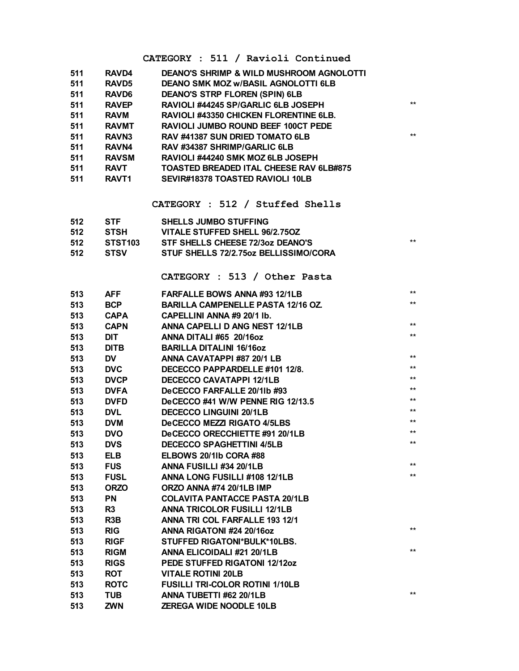#### **CATEGORY : 511 / Ravioli Continued**

| 511<br>511 | RAVD4<br><b>RAVD5</b> | <b>DEANO'S SHRIMP &amp; WILD MUSHROOM AGNOLOTTI</b><br><b>DEANO SMK MOZ w/BASIL AGNOLOTTI 6LB</b><br><b>DEANO'S STRP FLOREN (SPIN) 6LB</b> |       |
|------------|-----------------------|--------------------------------------------------------------------------------------------------------------------------------------------|-------|
| 511        | <b>RAVD6</b>          |                                                                                                                                            | $***$ |
| 511        | <b>RAVEP</b>          | RAVIOLI #44245 SP/GARLIC 6LB JOSEPH                                                                                                        |       |
| 511        | <b>RAVM</b>           | RAVIOLI #43350 CHICKEN FLORENTINE 6LB.                                                                                                     |       |
| 511        | <b>RAVMT</b>          | <b>RAVIOLI JUMBO ROUND BEEF 100CT PEDE</b><br>RAV #41387 SUN DRIED TOMATO 6LB                                                              | $***$ |
| 511<br>511 | RAVN <sub>3</sub>     | RAV #34387 SHRIMP/GARLIC 6LB                                                                                                               |       |
| 511        | RAVN4<br><b>RAVSM</b> | RAVIOLI #44240 SMK MOZ 6LB JOSEPH                                                                                                          |       |
| 511        | <b>RAVT</b>           | TOASTED BREADED ITAL CHEESE RAV 6LB#875                                                                                                    |       |
| 511        | <b>RAVT1</b>          | SEVIR#18378 TOASTED RAVIOLI 10LB                                                                                                           |       |
|            |                       |                                                                                                                                            |       |
|            |                       | CATEGORY : 512 / Stuffed Shells                                                                                                            |       |
| 512        | STF                   | <b>SHELLS JUMBO STUFFING</b>                                                                                                               |       |
| 512        | <b>STSH</b>           | VITALE STUFFED SHELL 96/2.75OZ                                                                                                             |       |
| 512        | STST103               | STF SHELLS CHEESE 72/3oz DEANO'S                                                                                                           | $***$ |
| 512        | <b>STSV</b>           | STUF SHELLS 72/2.75oz BELLISSIMO/CORA                                                                                                      |       |
|            |                       | CATEGORY : 513 / Other Pasta                                                                                                               |       |
| 513        | <b>AFF</b>            | <b>FARFALLE BOWS ANNA #93 12/1LB</b>                                                                                                       | $***$ |
| 513        | <b>BCP</b>            | <b>BARILLA CAMPENELLE PASTA 12/16 OZ</b>                                                                                                   | $***$ |
| 513        | <b>CAPA</b>           | CAPELLINI ANNA #9 20/1 lb.                                                                                                                 |       |
| 513        | <b>CAPN</b>           | ANNA CAPELLI D ANG NEST 12/1LB                                                                                                             | $***$ |
| 513        | <b>DIT</b>            | ANNA DITALI#65 20/16oz                                                                                                                     | $***$ |
| 513        | <b>DITB</b>           | <b>BARILLA DITALINI 16/16oz</b>                                                                                                            |       |
| 513        | <b>DV</b>             | ANNA CAVATAPPI #87 20/1 LB                                                                                                                 | $***$ |
| 513        | <b>DVC</b>            | DECECCO PAPPARDELLE #101 12/8.                                                                                                             | $***$ |
| 513        | <b>DVCP</b>           | <b>DECECCO CAVATAPPI 12/1LB</b>                                                                                                            | $***$ |
| 513        | <b>DVFA</b>           | DeCECCO FARFALLE 20/1lb #93                                                                                                                | $***$ |
| 513        | <b>DVFD</b>           | DeCECCO #41 W/W PENNE RIG 12/13.5                                                                                                          | $***$ |
| 513        | <b>DVL</b>            | <b>DECECCO LINGUINI 20/1LB</b>                                                                                                             | $***$ |
| 513        | <b>DVM</b>            | <b>DeCECCO MEZZI RIGATO 4/5LBS</b>                                                                                                         | $***$ |
| 513        | <b>DVO</b>            | DeCECCO ORECCHIETTE #91 20/1LB                                                                                                             | $***$ |
| 513        | <b>DVS</b>            | <b>DECECCO SPAGHETTINI 4/5LB</b>                                                                                                           | $***$ |
| 513        | <b>ELB</b>            | ELBOWS 20/1lb CORA #88                                                                                                                     |       |
| 513        | <b>FUS</b>            | ANNA FUSILLI #34 20/1LB                                                                                                                    | $***$ |
| 513        | <b>FUSL</b>           | ANNA LONG FUSILLI #108 12/1LB                                                                                                              | $***$ |
| 513        | <b>ORZO</b>           | ORZO ANNA #74 20/1LB IMP                                                                                                                   |       |
| 513        | <b>PN</b>             | <b>COLAVITA PANTACCE PASTA 20/1LB</b>                                                                                                      |       |
| 513        | R <sub>3</sub>        | <b>ANNA TRICOLOR FUSILLI 12/1LB</b>                                                                                                        |       |
| 513        | R <sub>3</sub> B      | ANNA TRI COL FARFALLE 193 12/1                                                                                                             |       |
| 513        | <b>RIG</b>            | ANNA RIGATONI #24 20/16oz                                                                                                                  | $***$ |
| 513        | <b>RIGF</b>           | STUFFED RIGATONI*BULK*10LBS.                                                                                                               |       |
| 513        | <b>RIGM</b>           | ANNA ELICOIDALI #21 20/1LB                                                                                                                 | $***$ |
| 513        | <b>RIGS</b>           | PEDE STUFFED RIGATONI 12/12oz                                                                                                              |       |
| 513        | <b>ROT</b>            | <b>VITALE ROTINI 20LB</b>                                                                                                                  |       |
| 513        | <b>ROTC</b>           | <b>FUSILLI TRI-COLOR ROTINI 1/10LB</b>                                                                                                     |       |
| 513        | <b>TUB</b>            | ANNA TUBETTI #62 20/1LB                                                                                                                    | $***$ |
| 513        | <b>ZWN</b>            | <b>ZEREGA WIDE NOODLE 10LB</b>                                                                                                             |       |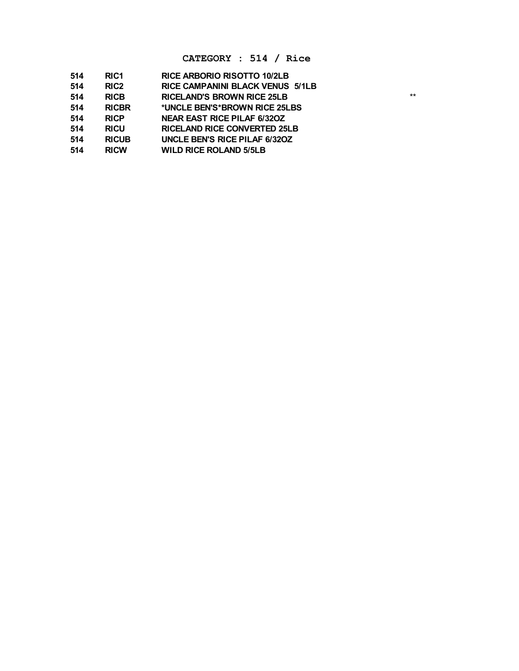#### **CATEGORY : 514 / Rice**

| 514 | RIC <sub>1</sub> | <b>RICE ARBORIO RISOTTO 10/2LB</b>      |       |
|-----|------------------|-----------------------------------------|-------|
| 514 | RIC <sub>2</sub> | <b>RICE CAMPANINI BLACK VENUS 5/1LB</b> |       |
| 514 | <b>RICB</b>      | <b>RICELAND'S BROWN RICE 25LB</b>       | $***$ |
| 514 | <b>RICBR</b>     | *UNCLE BEN'S*BROWN RICE 25LBS           |       |
| 514 | <b>RICP</b>      | <b>NEAR EAST RICE PILAF 6/320Z</b>      |       |
| 514 | <b>RICU</b>      | <b>RICELAND RICE CONVERTED 25LB</b>     |       |
| 514 | <b>RICUB</b>     | UNCLE BEN'S RICE PILAF 6/320Z           |       |
| 514 | <b>RICW</b>      | <b>WILD RICE ROLAND 5/5LB</b>           |       |
|     |                  |                                         |       |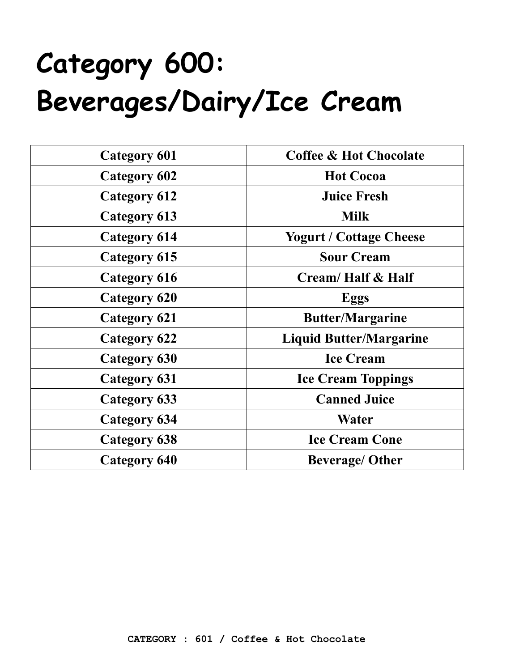### **Category 600: Beverages/Dairy/Ice Cream**

| <b>Category 601</b> | <b>Coffee &amp; Hot Chocolate</b> |
|---------------------|-----------------------------------|
| Category 602        | <b>Hot Cocoa</b>                  |
| <b>Category 612</b> | <b>Juice Fresh</b>                |
| Category 613        | <b>Milk</b>                       |
| Category 614        | <b>Yogurt / Cottage Cheese</b>    |
| Category 615        | <b>Sour Cream</b>                 |
| Category 616        | Cream/ Half & Half                |
| <b>Category 620</b> | <b>Eggs</b>                       |
| Category 621        | <b>Butter/Margarine</b>           |
| <b>Category 622</b> | <b>Liquid Butter/Margarine</b>    |
| Category 630        | <b>Ice Cream</b>                  |
| Category 631        | <b>Ice Cream Toppings</b>         |
| Category 633        | <b>Canned Juice</b>               |
| <b>Category 634</b> | Water                             |
| Category 638        | <b>Ice Cream Cone</b>             |
| <b>Category 640</b> | <b>Beverage/ Other</b>            |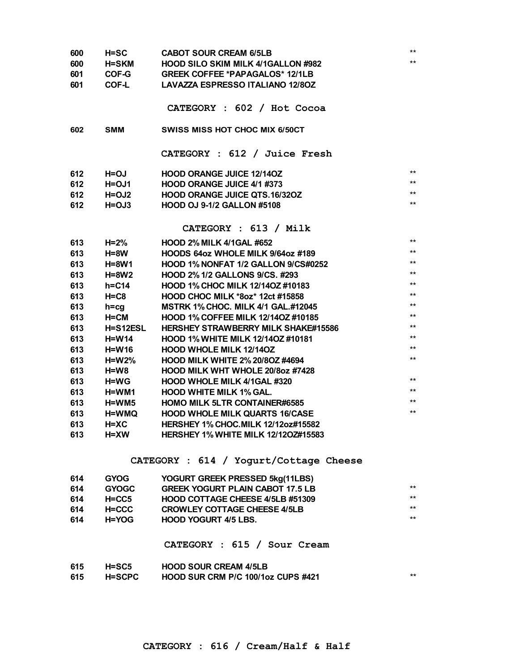| 600 | $H = SC$        | <b>CABOT SOUR CREAM 6/5LB</b>              | $***$        |
|-----|-----------------|--------------------------------------------|--------------|
| 600 | <b>H=SKM</b>    | <b>HOOD SILO SKIM MILK 4/1GALLON #982</b>  | $***$        |
| 601 | COF-G           | <b>GREEK COFFEE *PAPAGALOS* 12/1LB</b>     |              |
| 601 | COF-L           | <b>LAVAZZA ESPRESSO ITALIANO 12/80Z</b>    |              |
|     |                 |                                            |              |
|     |                 | CATEGORY : 602 / Hot Cocoa                 |              |
|     |                 |                                            |              |
| 602 | <b>SMM</b>      | <b>SWISS MISS HOT CHOC MIX 6/50CT</b>      |              |
|     |                 |                                            |              |
|     |                 | CATEGORY : 612 / Juice Fresh               |              |
|     |                 |                                            |              |
| 612 | H=OJ            | <b>HOOD ORANGE JUICE 12/140Z</b>           | $***$        |
| 612 | $H = 0J1$       | HOOD ORANGE JUICE 4/1 #373                 | $***$        |
| 612 | $H = OJ2$       | <b>HOOD ORANGE JUICE QTS.16/32OZ</b>       | $***$        |
| 612 | $H = 0J3$       | <b>HOOD OJ 9-1/2 GALLON #5108</b>          | $***$        |
|     |                 |                                            |              |
|     |                 | CATEGORY : 613 / Milk                      |              |
| 613 | $H=2%$          | <b>HOOD 2% MILK 4/1GAL #652</b>            | $\star\star$ |
| 613 | H=8W            | HOODS 64oz WHOLE MILK 9/64oz #189          | $***$        |
| 613 | <b>H=8W1</b>    | HOOD 1% NONFAT 1/2 GALLON 9/CS#0252        | $***$        |
| 613 | $H=8W2$         | HOOD 2% 1/2 GALLONS 9/CS. #293             | $\star\star$ |
| 613 | $h = C14$       | HOOD 1% CHOC MILK 12/140Z #10183           | $***$        |
| 613 | $H = C8$        | <b>HOOD CHOC MILK *80z* 12ct #15858</b>    | $***$        |
| 613 | $h = cq$        | <b>MSTRK 1% CHOC. MILK 4/1 GAL.#12045</b>  | $***$        |
| 613 | H=CM            | HOOD 1% COFFEE MILK 12/14OZ #10185         | $***$        |
| 613 | <b>H=S12ESL</b> | <b>HERSHEY STRAWBERRY MILK SHAKE#15586</b> | $***$        |
| 613 | $H= W14$        | HOOD 1% WHITE MILK 12/140Z #10181          | $***$        |
| 613 | <b>H=W16</b>    | <b>HOOD WHOLE MILK 12/140Z</b>             | $***$        |
| 613 | <b>H=W2%</b>    | <b>HOOD MILK WHITE 2% 20/8OZ #4694</b>     | $***$        |
| 613 | H=W8            | HOOD MILK WHT WHOLE 20/8oz #7428           |              |
| 613 | <b>H=WG</b>     | HOOD WHOLE MILK 4/1GAL #320                | $***$        |
| 613 | H=WM1           | <b>HOOD WHITE MILK 1% GAL.</b>             | $***$        |
| 613 | H=WM5           | <b>HOMO MILK 5LTR CONTAINER#6585</b>       | $***$        |
| 613 | H=WMQ           | <b>HOOD WHOLE MILK QUARTS 16/CASE</b>      | $***$        |
| 613 | H=XC            | <b>HERSHEY 1% CHOC.MILK 12/12oz#15582</b>  |              |
| 613 | $H = XW$        | <b>HERSHEY 1% WHITE MILK 12/1202#15583</b> |              |
|     |                 |                                            |              |
|     |                 |                                            |              |

#### **CATEGORY : 614 / Yogurt/Cottage Cheese**

| 614 | <b>GYOG</b>  | YOGURT GREEK PRESSED 5kg(11LBS)         |       |
|-----|--------------|-----------------------------------------|-------|
| 614 | <b>GYOGC</b> | <b>GREEK YOGURT PLAIN CABOT 17.5 LB</b> | $***$ |
| 614 | $H = C C 5$  | HOOD COTTAGE CHEESE 4/5LB #51309        | $***$ |
| 614 | $H = C C C$  | <b>CROWLEY COTTAGE CHEESE 4/5LB</b>     | $***$ |
| 614 | H=YOG        | <b>HOOD YOGURT 4/5 LBS.</b>             | **    |
|     |              |                                         |       |

#### **CATEGORY : 615 / Sour Cream**

| 615 | $H = SC5$     | <b>HOOD SOUR CREAM 4/5LB</b>       |  |
|-----|---------------|------------------------------------|--|
| 615 | <b>H=SCPC</b> | HOOD SUR CRM P/C 100/1oz CUPS #421 |  |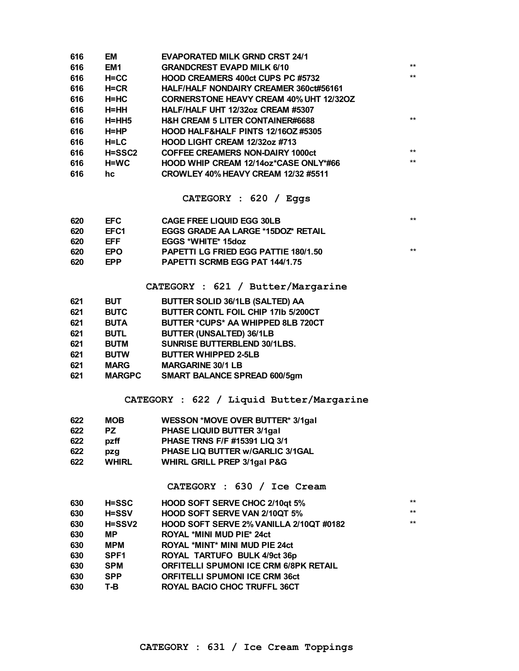| 616 | EM            | <b>EVAPORATED MILK GRND CRST 24/1</b>          |       |
|-----|---------------|------------------------------------------------|-------|
| 616 | EM1           | <b>GRANDCREST EVAPD MILK 6/10</b>              | $***$ |
| 616 | $H=CC$        | <b>HOOD CREAMERS 400ct CUPS PC #5732</b>       | $***$ |
| 616 | $H=CR$        | <b>HALF/HALF NONDAIRY CREAMER 360ct#56161</b>  |       |
| 616 | H=HC          | <b>CORNERSTONE HEAVY CREAM 40% UHT 12/32OZ</b> |       |
| 616 | H=HH          | HALF/HALF UHT 12/32oz CREAM #5307              |       |
| 616 | $H=HH5$       | <b>H&amp;H CREAM 5 LITER CONTAINER#6688</b>    | $***$ |
| 616 | H=HP          | <b>HOOD HALF&amp;HALF PINTS 12/16OZ #5305</b>  |       |
| 616 | $H = LC$      | <b>HOOD LIGHT CREAM 12/32oz #713</b>           |       |
| 616 | <b>H=SSC2</b> | <b>COFFEE CREAMERS NON-DAIRY 1000ct</b>        | $***$ |
| 616 | H=WC          | HOOD WHIP CREAM 12/14oz*CASE ONLY*#66          | $***$ |
| 616 | hc            | <b>CROWLEY 40% HEAVY CREAM 12/32 #5511</b>     |       |
|     |               |                                                |       |

#### **CATEGORY : 620 / Eggs**

| 620 | EFC.             | <b>CAGE FREE LIQUID EGG 30LB</b>            | $***$ |
|-----|------------------|---------------------------------------------|-------|
| 620 | EFC <sub>1</sub> | EGGS GRADE AA LARGE *15DOZ* RETAIL          |       |
| 620 | EFF.             | EGGS *WHITE* 15doz                          |       |
| 620 | EPO.             | <b>PAPETTI LG FRIED EGG PATTIE 180/1.50</b> | $***$ |
| 620 | <b>EPP</b>       | <b>PAPETTI SCRMB EGG PAT 144/1.75</b>       |       |

#### **CATEGORY : 621 / Butter/Margarine**

| 621 | <b>BUT</b>    | BUTTER SOLID 36/1LB (SALTED) AA     |
|-----|---------------|-------------------------------------|
| 621 | <b>BUTC</b>   | BUTTER CONTL FOIL CHIP 17Ib 5/200CT |
| 621 | <b>BUTA</b>   | BUTTER *CUPS* AA WHIPPED 8LB 720CT  |
| 621 | <b>BUTL</b>   | <b>BUTTER (UNSALTED) 36/1LB</b>     |
| 621 | <b>BUTM</b>   | SUNRISE BUTTERBLEND 30/1LBS.        |
| 621 | <b>BUTW</b>   | <b>BUTTER WHIPPED 2-5LB</b>         |
| 621 | <b>MARG</b>   | <b>MARGARINE 30/1 LB</b>            |
| 621 | <b>MARGPC</b> | <b>SMART BALANCE SPREAD 600/5gm</b> |

#### **CATEGORY : 622 / Liquid Butter/Margarine**

| 622 | <b>MOB</b>   | WESSON *MOVE OVER BUTTER* 3/1gal       |
|-----|--------------|----------------------------------------|
| 622 | PZ.          | <b>PHASE LIQUID BUTTER 3/1gal</b>      |
| 622 | pzff         | <b>PHASE TRNS F/F #15391 LIQ 3/1</b>   |
| 622 | pzq          | PHASE LIQ BUTTER w/GARLIC 3/1GAL       |
| 622 | <b>WHIRL</b> | <b>WHIRL GRILL PREP 3/1gal P&amp;G</b> |

#### **CATEGORY : 630 / Ice Cream**

| 630 | <b>H=SSC</b>     | HOOD SOFT SERVE CHOC 2/10qt 5%                | $***$ |
|-----|------------------|-----------------------------------------------|-------|
|     |                  |                                               |       |
| 630 | <b>H=SSV</b>     | HOOD SOFT SERVE VAN 2/10QT 5%                 | $***$ |
| 630 | <b>H=SSV2</b>    | HOOD SOFT SERVE 2% VANILLA 2/10QT #0182       | **    |
| 630 | <b>MP</b>        | <b>ROYAL *MINI MUD PIE* 24ct</b>              |       |
| 630 | <b>MPM</b>       | <b>ROYAL *MINT* MINI MUD PIE 24ct</b>         |       |
| 630 | SPF <sub>1</sub> | ROYAL TARTUFO BULK 4/9ct 36p                  |       |
| 630 | <b>SPM</b>       | <b>ORFITELLI SPUMONI ICE CRM 6/8PK RETAIL</b> |       |
| 630 | <b>SPP</b>       | <b>ORFITELLI SPUMONI ICE CRM 36ct</b>         |       |
| 630 | T-B              | <b>ROYAL BACIO CHOC TRUFFL 36CT</b>           |       |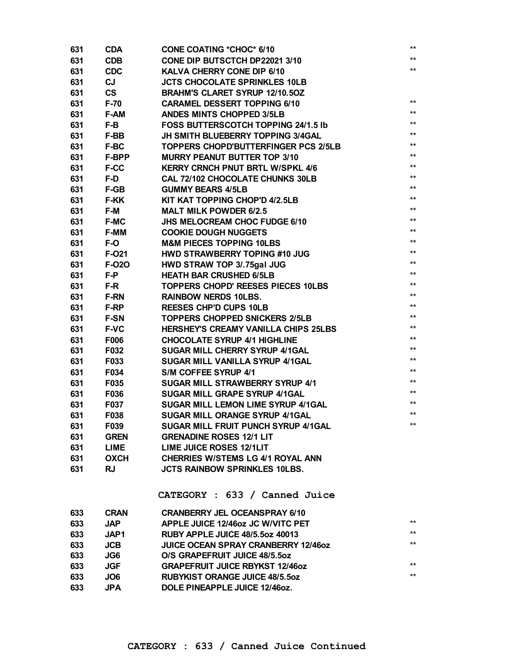| 631 | <b>CDA</b>   | <b>CONE COATING *CHOC* 6/10</b>            | $^{\star\star}$ |
|-----|--------------|--------------------------------------------|-----------------|
| 631 | <b>CDB</b>   | CONE DIP BUTSCTCH DP22021 3/10             | $***$           |
| 631 | <b>CDC</b>   | KALVA CHERRY CONE DIP 6/10                 | $^{\star\star}$ |
| 631 | CJ           | <b>JCTS CHOCOLATE SPRINKLES 10LB</b>       |                 |
| 631 | <b>CS</b>    | <b>BRAHM'S CLARET SYRUP 12/10.50Z</b>      |                 |
| 631 | $F-70$       | <b>CARAMEL DESSERT TOPPING 6/10</b>        | $***$           |
| 631 | F-AM         | <b>ANDES MINTS CHOPPED 3/5LB</b>           | $***$           |
| 631 | F-B          | FOSS BUTTERSCOTCH TOPPING 24/1.5 lb        | $***$           |
| 631 | F-BB         | JH SMITH BLUEBERRY TOPPING 3/4GAL          | $***$           |
| 631 | F-BC         | TOPPERS CHOPD'BUTTERFINGER PCS 2/5LB       | $***$           |
| 631 | <b>F-BPP</b> | <b>MURRY PEANUT BUTTER TOP 3/10</b>        | $***$           |
| 631 | <b>F-CC</b>  | <b>KERRY CRNCH PNUT BRTL W/SPKL 4/6</b>    | $***$           |
| 631 | F-D          | CAL 72/102 CHOCOLATE CHUNKS 30LB           | $***$           |
| 631 | F-GB         | <b>GUMMY BEARS 4/5LB</b>                   | $***$           |
| 631 | <b>F-KK</b>  | KIT KAT TOPPING CHOP'D 4/2.5LB             | $***$           |
| 631 | F-M          | <b>MALT MILK POWDER 6/2.5</b>              | $***$           |
| 631 | <b>F-MC</b>  | JHS MELOCREAM CHOC FUDGE 6/10              | $***$           |
| 631 | F-MM         | <b>COOKIE DOUGH NUGGETS</b>                | $***$           |
| 631 | F-O          | <b>M&amp;M PIECES TOPPING 10LBS</b>        | $***$           |
| 631 | F-021        | HWD STRAWBERRY TOPING #10 JUG              | $***$           |
| 631 | F-020        | HWD STRAW TOP 3/.75gal JUG                 | $***$           |
| 631 | F-P          | <b>HEATH BAR CRUSHED 6/5LB</b>             | $***$           |
| 631 | F-R          | <b>TOPPERS CHOPD' REESES PIECES 10LBS</b>  | $***$           |
| 631 | <b>F-RN</b>  | <b>RAINBOW NERDS 10LBS.</b>                | $***$           |
| 631 | F-RP         | <b>REESES CHP'D CUPS 10LB</b>              | $***$           |
| 631 | <b>F-SN</b>  | <b>TOPPERS CHOPPED SNICKERS 2/5LB</b>      | $***$           |
| 631 | <b>F-VC</b>  | HERSHEY'S CREAMY VANILLA CHIPS 25LBS       | $***$           |
| 631 | F006         | <b>CHOCOLATE SYRUP 4/1 HIGHLINE</b>        | $***$           |
| 631 | F032         | <b>SUGAR MILL CHERRY SYRUP 4/1GAL</b>      | $***$           |
| 631 | F033         | SUGAR MILL VANILLA SYRUP 4/1GAL            | $***$           |
| 631 | F034         | S/M COFFEE SYRUP 4/1                       | $***$           |
| 631 | F035         | <b>SUGAR MILL STRAWBERRY SYRUP 4/1</b>     | $***$           |
| 631 | F036         | SUGAR MILL GRAPE SYRUP 4/1GAL              | $***$           |
| 631 | F037         | SUGAR MILL LEMON LIME SYRUP 4/1GAL         | $***$           |
| 631 | F038         | <b>SUGAR MILL ORANGE SYRUP 4/1GAL</b>      | $***$           |
| 631 | F039         | SUGAR MILL FRUIT PUNCH SYRUP 4/1GAL        | $***$           |
| 631 | <b>GREN</b>  | <b>GRENADINE ROSES 12/1 LIT</b>            |                 |
| 631 | LIME         | LIME JUICE ROSES 12/1LIT                   |                 |
| 631 | OXCH         | <b>CHERRIES W/STEMS LG 4/1 ROYAL ANN</b>   |                 |
| 631 | <b>RJ</b>    | <b>JCTS RAINBOW SPRINKLES 10LBS.</b>       |                 |
|     |              |                                            |                 |
|     |              | CATEGORY : 633 / Canned Juice              |                 |
| 633 | <b>CRAN</b>  | <b>CRANBERRY JEL OCEANSPRAY 6/10</b>       |                 |
| 633 | <b>JAP</b>   | APPLE JUICE 12/46oz JC W/VITC PET          | $***$           |
| 633 | JAP1         | RUBY APPLE JUICE 48/5.5oz 40013            | $***$           |
| 633 | <b>JCB</b>   | <b>JUICE OCEAN SPRAY CRANBERRY 12/460Z</b> | $***$           |
| 633 | JG6          | O/S GRAPEFRUIT JUICE 48/5.5oz              |                 |
| 633 | <b>JGF</b>   | <b>GRAPEFRUIT JUICE RBYKST 12/46oz</b>     | $***$           |
| 633 | JO6          | <b>RUBYKIST ORANGE JUICE 48/5.50Z</b>      | $***$           |
| 633 | <b>JPA</b>   | DOLE PINEAPPLE JUICE 12/46oz.              |                 |
|     |              |                                            |                 |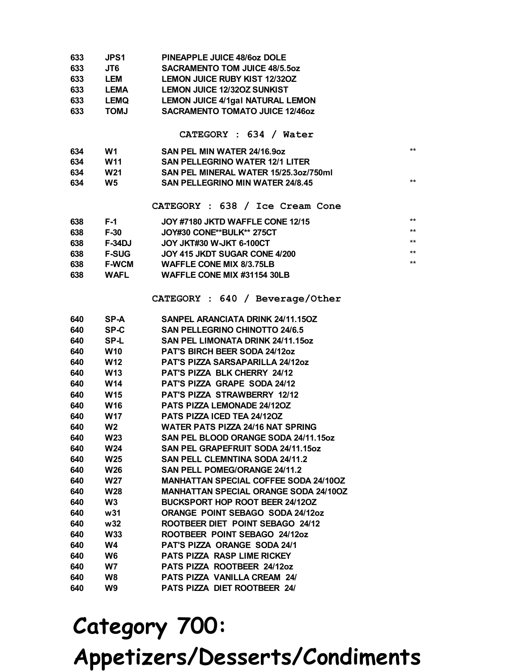| 633 | <b>JPS1</b> | PINEAPPLE JUICE 48/6oz DOLE             |
|-----|-------------|-----------------------------------------|
| 633 | JT6         | <b>SACRAMENTO TOM JUICE 48/5.50Z</b>    |
| 633 | <b>LEM</b>  | <b>LEMON JUICE RUBY KIST 12/320Z</b>    |
| 633 | <b>LEMA</b> | <b>LEMON JUICE 12/320Z SUNKIST</b>      |
| 633 | <b>LEMQ</b> | <b>LEMON JUICE 4/1gal NATURAL LEMON</b> |
| 633 | <b>LMOT</b> | <b>SACRAMENTO TOMATO JUICE 12/460Z</b>  |

#### **CATEGORY : 634 / Water**

| 634 | W1  | SAN PEL MIN WATER 24/16.9oz             | $**$ |
|-----|-----|-----------------------------------------|------|
| 634 | W11 | <b>SAN PELLEGRINO WATER 12/1 LITER</b>  |      |
| 634 | W21 | SAN PEL MINERAL WATER 15/25.3oz/750ml   |      |
| 634 | W5  | <b>SAN PELLEGRINO MIN WATER 24/8.45</b> | $**$ |
|     |     |                                         |      |

**CATEGORY : 638 / Ice Cream Cone**

| 638 | F-1           | JOY #7180 JKTD WAFFLE CONE 12/15 | $***$ |
|-----|---------------|----------------------------------|-------|
| 638 | F-30          | JOY#30 CONE**BULK** 275CT        | $***$ |
| 638 | <b>F-34DJ</b> | JOY JKT#30 W-JKT 6-100CT         | $***$ |
| 638 | <b>F-SUG</b>  | JOY 415 JKDT SUGAR CONE 4/200    | $***$ |
| 638 | <b>F-WCM</b>  | <b>WAFFLE CONE MIX 8/3.75LB</b>  | $***$ |
| 638 | <b>WAFL</b>   | WAFFLE CONE MIX #31154 30LB      |       |

**CATEGORY : 640 / Beverage/Other**

| 640 | SP-A        | SANPEL ARANCIATA DRINK 24/11.150Z            |
|-----|-------------|----------------------------------------------|
| 640 | SP-C        | <b>SAN PELLEGRINO CHINOTTO 24/6.5</b>        |
| 640 | SP-L        | <b>SAN PEL LIMONATA DRINK 24/11.15oz</b>     |
| 640 | <b>W10</b>  | PAT'S BIRCH BEER SODA 24/12oz                |
| 640 | <b>W12</b>  | <b>PAT'S PIZZA SARSAPARILLA 24/12oz</b>      |
| 640 | <b>W13</b>  | <b>PAT'S PIZZA BLK CHERRY 24/12</b>          |
| 640 | W14         | <b>PAT'S PIZZA GRAPE SODA 24/12</b>          |
| 640 | <b>W15</b>  | <b>PAT'S PIZZA STRAWBERRY 12/12</b>          |
| 640 | <b>W16</b>  | <b>PATS PIZZA LEMONADE 24/120Z</b>           |
| 640 | W17         | PATS PIZZA ICED TEA 24/120Z                  |
| 640 | W2 <b>W</b> | <b>WATER PATS PIZZA 24/16 NAT SPRING</b>     |
| 640 | <b>W23</b>  | SAN PEL BLOOD ORANGE SODA 24/11.15oz         |
| 640 | <b>W24</b>  | SAN PEL GRAPEFRUIT SODA 24/11.15oz           |
| 640 | <b>W25</b>  | <b>SAN PELL CLEMNTINA SODA 24/11.2</b>       |
| 640 | <b>W26</b>  | <b>SAN PELL POMEG/ORANGE 24/11.2</b>         |
| 640 | <b>W27</b>  | <b>MANHATTAN SPECIAL COFFEE SODA 24/10OZ</b> |
| 640 | <b>W28</b>  | <b>MANHATTAN SPECIAL ORANGE SODA 24/100Z</b> |
| 640 | W3.         | BUCKSPORT HOP ROOT BEER 24/120Z              |
| 640 | w31         | ORANGE POINT SEBAGO SODA 24/12oz             |
| 640 | w32         | ROOTBEER DIET POINT SEBAGO 24/12             |
| 640 | <b>W33</b>  | ROOTBEER POINT SEBAGO 24/12oz                |
| 640 | W4          | PAT'S PIZZA ORANGE SODA 24/1                 |
| 640 | W6          | PATS PIZZA RASP LIME RICKEY                  |
| 640 | W7          | PATS PIZZA ROOTBEER 24/12oz                  |
| 640 | W8          | <b>PATS PIZZA VANILLA CREAM 24/</b>          |
| 640 | W9          | <b>PATS PIZZA DIET ROOTBEER 24/</b>          |
|     |             |                                              |

## **Category 700: Appetizers/Desserts/Condiments**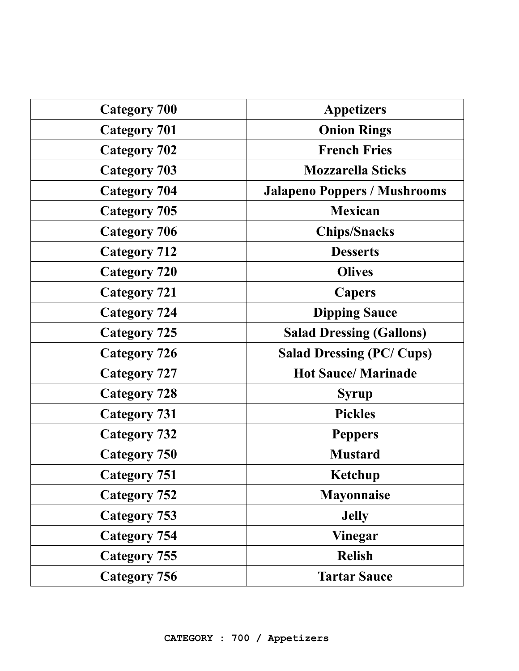| <b>Category 700</b> | <b>Appetizers</b>                   |
|---------------------|-------------------------------------|
| <b>Category 701</b> | <b>Onion Rings</b>                  |
| <b>Category 702</b> | <b>French Fries</b>                 |
| <b>Category 703</b> | <b>Mozzarella Sticks</b>            |
| <b>Category 704</b> | <b>Jalapeno Poppers / Mushrooms</b> |
| <b>Category 705</b> | <b>Mexican</b>                      |
| <b>Category 706</b> | <b>Chips/Snacks</b>                 |
| <b>Category 712</b> | <b>Desserts</b>                     |
| <b>Category 720</b> | <b>Olives</b>                       |
| <b>Category 721</b> | <b>Capers</b>                       |
| <b>Category 724</b> | <b>Dipping Sauce</b>                |
| <b>Category 725</b> | <b>Salad Dressing (Gallons)</b>     |
| <b>Category 726</b> | <b>Salad Dressing (PC/Cups)</b>     |
| <b>Category 727</b> | <b>Hot Sauce/Marinade</b>           |
| <b>Category 728</b> | <b>Syrup</b>                        |
| <b>Category 731</b> | <b>Pickles</b>                      |
| <b>Category 732</b> | <b>Peppers</b>                      |
| <b>Category 750</b> | <b>Mustard</b>                      |
| <b>Category 751</b> | Ketchup                             |
| <b>Category 752</b> | <b>Mayonnaise</b>                   |
| <b>Category 753</b> | <b>Jelly</b>                        |
| <b>Category 754</b> | <b>Vinegar</b>                      |
| <b>Category 755</b> | <b>Relish</b>                       |
| <b>Category 756</b> | <b>Tartar Sauce</b>                 |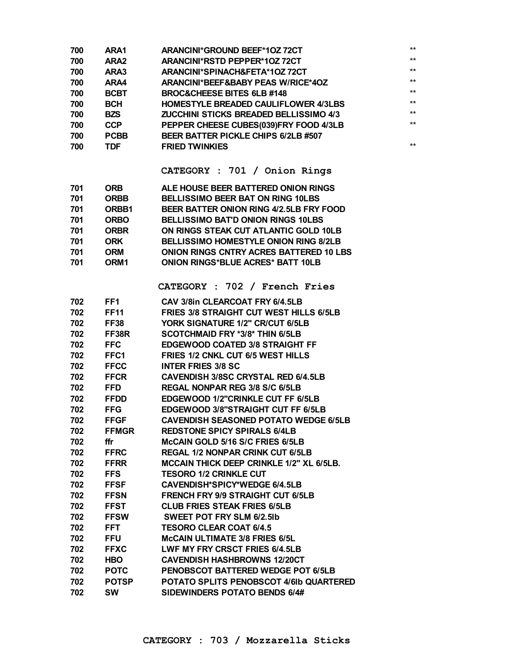| 700 | ARA1             | <b>ARANCINI*GROUND BEEF*10Z 72CT</b>            | $***$ |
|-----|------------------|-------------------------------------------------|-------|
| 700 | ARA <sub>2</sub> | ARANCINI*RSTD PEPPER*10Z 72CT                   | $***$ |
| 700 | ARA3             | ARANCINI*SPINACH&FETA*10Z72CT                   | $***$ |
| 700 | ARA4             | ARANCINI*BEEF&BABY PEAS W/RICE*4OZ              | $***$ |
| 700 | <b>BCBT</b>      | <b>BROC&amp;CHEESE BITES 6LB #148</b>           | $***$ |
| 700 | <b>BCH</b>       | <b>HOMESTYLE BREADED CAULIFLOWER 4/3LBS</b>     | $***$ |
| 700 | <b>BZS</b>       | <b>ZUCCHINI STICKS BREADED BELLISSIMO 4/3</b>   | $***$ |
| 700 | <b>CCP</b>       | PEPPER CHEESE CUBES(039)FRY FOOD 4/3LB          | $***$ |
| 700 | <b>PCBB</b>      | BEER BATTER PICKLE CHIPS 6/2LB #507             |       |
| 700 | <b>TDF</b>       | <b>FRIED TWINKIES</b>                           | $***$ |
|     |                  |                                                 |       |
|     |                  | CATEGORY : 701 / Onion Rings                    |       |
| 701 | <b>ORB</b>       | ALE HOUSE BEER BATTERED ONION RINGS             |       |
| 701 | <b>ORBB</b>      | <b>BELLISSIMO BEER BAT ON RING 10LBS</b>        |       |
| 701 | ORBB1            | BEER BATTER ONION RING 4/2.5LB FRY FOOD         |       |
| 701 | <b>ORBO</b>      | <b>BELLISSIMO BAT'D ONION RINGS 10LBS</b>       |       |
| 701 | <b>ORBR</b>      | ON RINGS STEAK CUT ATLANTIC GOLD 10LB           |       |
| 701 | <b>ORK</b>       | <b>BELLISSIMO HOMESTYLE ONION RING 8/2LB</b>    |       |
| 701 | <b>ORM</b>       | <b>ONION RINGS CNTRY ACRES BATTERED 10 LBS</b>  |       |
| 701 | ORM <sub>1</sub> | <b>ONION RINGS*BLUE ACRES* BATT 10LB</b>        |       |
|     |                  | CATEGORY : 702 / French Fries                   |       |
|     |                  |                                                 |       |
| 702 | FF1              | CAV 3/8in CLEARCOAT FRY 6/4.5LB                 |       |
| 702 | <b>FF11</b>      | <b>FRIES 3/8 STRAIGHT CUT WEST HILLS 6/5LB</b>  |       |
| 702 | <b>FF38</b>      | YORK SIGNATURE 1/2" CR/CUT 6/5LB                |       |
| 702 | FF38R            | <b>SCOTCHMAID FRY *3/8* THIN 6/5LB</b>          |       |
| 702 | <b>FFC</b>       | <b>EDGEWOOD COATED 3/8 STRAIGHT FF</b>          |       |
| 702 | FFC1             | FRIES 1/2 CNKL CUT 6/5 WEST HILLS               |       |
| 702 | <b>FFCC</b>      | <b>INTER FRIES 3/8 SC</b>                       |       |
| 702 | <b>FFCR</b>      | <b>CAVENDISH 3/8SC CRYSTAL RED 6/4.5LB</b>      |       |
| 702 | <b>FFD</b>       | <b>REGAL NONPAR REG 3/8 S/C 6/5LB</b>           |       |
| 702 | <b>FFDD</b>      | EDGEWOOD 1/2"CRINKLE CUT FF 6/5LB               |       |
| 702 | <b>FFG</b>       | EDGEWOOD 3/8"STRAIGHT CUT FF 6/5LB              |       |
| 702 | <b>FFGF</b>      | <b>CAVENDISH SEASONED POTATO WEDGE 6/5LB</b>    |       |
| 702 | <b>FFMGR</b>     | <b>REDSTONE SPICY SPIRALS 6/4LB</b>             |       |
| 702 | ffr              | McCAIN GOLD 5/16 S/C FRIES 6/5LB                |       |
| 702 | <b>FFRC</b>      | <b>REGAL 1/2 NONPAR CRINK CUT 6/5LB</b>         |       |
| 702 | <b>FFRR</b>      | <b>MCCAIN THICK DEEP CRINKLE 1/2" XL 6/5LB.</b> |       |
| 702 | <b>FFS</b>       | <b>TESORO 1/2 CRINKLE CUT</b>                   |       |
| 702 | <b>FFSF</b>      | CAVENDISH*SPICY*WEDGE 6/4.5LB                   |       |
| 702 | <b>FFSN</b>      | <b>FRENCH FRY 9/9 STRAIGHT CUT 6/5LB</b>        |       |
| 702 | <b>FFST</b>      | <b>CLUB FRIES STEAK FRIES 6/5LB</b>             |       |
| 702 | <b>FFSW</b>      | <b>SWEET POT FRY SLM 6/2.5lb</b>                |       |
| 702 | FFT.             | <b>TESORO CLEAR COAT 6/4.5</b>                  |       |
| 702 | <b>FFU</b>       | <b>McCAIN ULTIMATE 3/8 FRIES 6/5L</b>           |       |
| 702 | <b>FFXC</b>      | LWF MY FRY CRSCT FRIES 6/4.5LB                  |       |
| 702 | <b>HBO</b>       | <b>CAVENDISH HASHBROWNS 12/20CT</b>             |       |
| 702 | <b>POTC</b>      | <b>PENOBSCOT BATTERED WEDGE POT 6/5LB</b>       |       |
| 702 | <b>POTSP</b>     | POTATO SPLITS PENOBSCOT 4/6lb QUARTERED         |       |
| 702 | <b>SW</b>        | SIDEWINDERS POTATO BENDS 6/4#                   |       |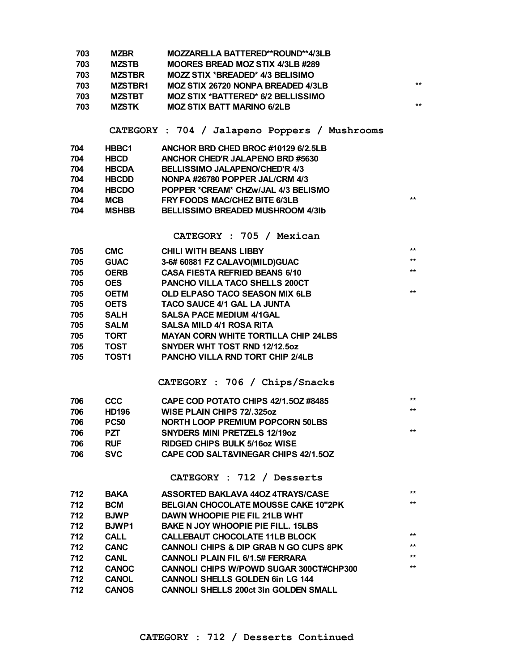| 703<br>703<br>703<br>703<br>703<br>703 | <b>MZBR</b><br><b>MZSTB</b><br><b>MZSTBR</b><br><b>MZSTBR1</b><br><b>MZSTBT</b><br><b>MZSTK</b> | MOZZARELLA BATTERED**ROUND**4/3LB<br><b>MOORES BREAD MOZ STIX 4/3LB #289</b><br>MOZZ STIX *BREADED* 4/3 BELISIMO<br><b>MOZ STIX 26720 NONPA BREADED 4/3LB</b><br><b>MOZ STIX *BATTERED* 6/2 BELLISSIMO</b><br><b>MOZ STIX BATT MARINO 6/2LB</b> | $***$<br>$***$ |
|----------------------------------------|-------------------------------------------------------------------------------------------------|-------------------------------------------------------------------------------------------------------------------------------------------------------------------------------------------------------------------------------------------------|----------------|
|                                        |                                                                                                 | CATEGORY : 704 / Jalapeno Poppers / Mushrooms                                                                                                                                                                                                   |                |
| 704                                    | HBBC1                                                                                           | ANCHOR BRD CHED BROC #10129 6/2.5LB                                                                                                                                                                                                             |                |
| 704                                    | <b>HBCD</b>                                                                                     | ANCHOR CHED'R JALAPENO BRD #5630                                                                                                                                                                                                                |                |
| 704                                    | <b>HBCDA</b>                                                                                    | <b>BELLISSIMO JALAPENO/CHED'R 4/3</b>                                                                                                                                                                                                           |                |
| 704                                    | <b>HBCDD</b>                                                                                    | NONPA #26780 POPPER JAL/CRM 4/3                                                                                                                                                                                                                 |                |
| 704                                    | <b>HBCDO</b>                                                                                    | POPPER *CREAM* CHZw/JAL 4/3 BELISMO                                                                                                                                                                                                             |                |
| 704                                    | <b>MCB</b>                                                                                      | FRY FOODS MAC/CHEZ BITE 6/3LB                                                                                                                                                                                                                   | $***$          |
| 704                                    | <b>MSHBB</b>                                                                                    | <b>BELLISSIMO BREADED MUSHROOM 4/3lb</b>                                                                                                                                                                                                        |                |
|                                        |                                                                                                 | CATEGORY : 705 / Mexican                                                                                                                                                                                                                        |                |
| 705                                    | <b>CMC</b>                                                                                      | <b>CHILI WITH BEANS LIBBY</b>                                                                                                                                                                                                                   | **             |
| 705                                    | <b>GUAC</b>                                                                                     | 3-6# 60881 FZ CALAVO(MILD)GUAC                                                                                                                                                                                                                  | $***$          |
| 705                                    | <b>OERB</b>                                                                                     | <b>CASA FIESTA REFRIED BEANS 6/10</b>                                                                                                                                                                                                           | $***$          |
| 705                                    | <b>OES</b>                                                                                      | PANCHO VILLA TACO SHELLS 200CT                                                                                                                                                                                                                  |                |
| 705                                    | <b>OETM</b>                                                                                     | OLD ELPASO TACO SEASON MIX 6LB                                                                                                                                                                                                                  | $***$          |
| 705                                    | <b>OETS</b>                                                                                     | TACO SAUCE 4/1 GAL LA JUNTA                                                                                                                                                                                                                     |                |
| 705                                    | <b>SALH</b>                                                                                     | <b>SALSA PACE MEDIUM 4/1GAL</b>                                                                                                                                                                                                                 |                |
| 705                                    | <b>SALM</b>                                                                                     | <b>SALSA MILD 4/1 ROSA RITA</b>                                                                                                                                                                                                                 |                |
| 705                                    | <b>TORT</b>                                                                                     | <b>MAYAN CORN WHITE TORTILLA CHIP 24LBS</b>                                                                                                                                                                                                     |                |
| 705                                    | <b>TOST</b>                                                                                     | SNYDER WHT TOST RND 12/12.5oz                                                                                                                                                                                                                   |                |
| 705                                    | <b>TOST1</b>                                                                                    | <b>PANCHO VILLA RND TORT CHIP 2/4LB</b>                                                                                                                                                                                                         |                |
|                                        |                                                                                                 | CATEGORY : 706 / Chips/Snacks                                                                                                                                                                                                                   |                |
| 706                                    | <b>CCC</b>                                                                                      | CAPE COD POTATO CHIPS 42/1.50Z #8485                                                                                                                                                                                                            | $***$          |
| 706                                    | <b>HD196</b>                                                                                    | <b>WISE PLAIN CHIPS 72/.325oz</b>                                                                                                                                                                                                               | $***$          |
| 706                                    | <b>PC50</b>                                                                                     | <b>NORTH LOOP PREMIUM POPCORN 50LBS</b>                                                                                                                                                                                                         |                |
| 706                                    | PZT.                                                                                            | <b>SNYDERS MINI PRETZELS 12/19oz</b>                                                                                                                                                                                                            | $***$          |
| 706                                    | <b>RUF</b>                                                                                      | <b>RIDGED CHIPS BULK 5/160Z WISE</b>                                                                                                                                                                                                            |                |
| 706                                    | <b>SVC</b>                                                                                      | <b>CAPE COD SALT&amp;VINEGAR CHIPS 42/1.50Z</b>                                                                                                                                                                                                 |                |
|                                        |                                                                                                 | CATEGORY : 712 / Desserts                                                                                                                                                                                                                       |                |
| 712                                    | <b>BAKA</b>                                                                                     | ASSORTED BAKLAVA 440Z 4TRAYS/CASE                                                                                                                                                                                                               | $***$          |
| 712                                    | <b>BCM</b>                                                                                      | <b>BELGIAN CHOCOLATE MOUSSE CAKE 10"2PK</b>                                                                                                                                                                                                     | $***$          |
| 712                                    | <b>BJWP</b>                                                                                     | <b>DAWN WHOOPIE PIE FIL 21LB WHT</b>                                                                                                                                                                                                            |                |
| 712                                    | <b>BJWP1</b>                                                                                    | <b>BAKE N JOY WHOOPIE PIE FILL. 15LBS</b>                                                                                                                                                                                                       |                |
| 712                                    | <b>CALL</b>                                                                                     | <b>CALLEBAUT CHOCOLATE 11LB BLOCK</b>                                                                                                                                                                                                           | $***$          |
| 712                                    | <b>CANC</b>                                                                                     | <b>CANNOLI CHIPS &amp; DIP GRAB N GO CUPS 8PK</b>                                                                                                                                                                                               | $***$          |
| 712                                    | <b>CANL</b>                                                                                     | <b>CANNOLI PLAIN FIL 6/1.5# FERRARA</b>                                                                                                                                                                                                         | $***$          |
| 712                                    | <b>CANOC</b>                                                                                    | <b>CANNOLI CHIPS W/POWD SUGAR 300CT#CHP300</b>                                                                                                                                                                                                  | $***$          |
| 712                                    | <b>CANOL</b>                                                                                    | <b>CANNOLI SHELLS GOLDEN 6in LG 144</b>                                                                                                                                                                                                         |                |
| 712                                    | <b>CANOS</b>                                                                                    | <b>CANNOLI SHELLS 200ct 3in GOLDEN SMALL</b>                                                                                                                                                                                                    |                |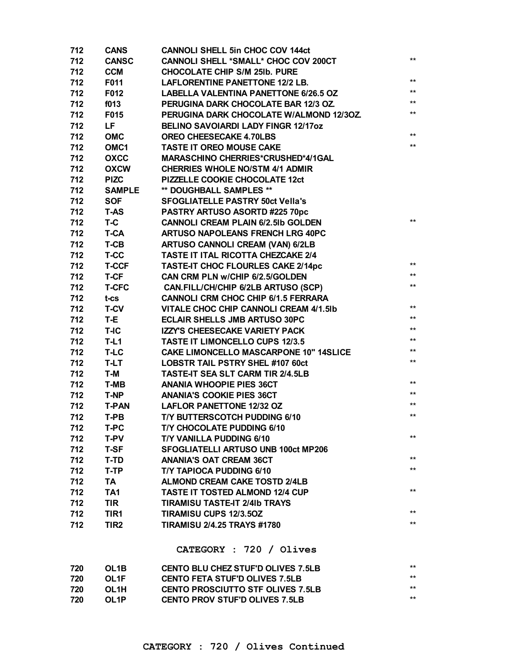| 712 | <b>CANS</b>       | <b>CANNOLI SHELL 5in CHOC COV 144ct</b>       |              |
|-----|-------------------|-----------------------------------------------|--------------|
| 712 | <b>CANSC</b>      | CANNOLI SHELL *SMALL* CHOC COV 200CT          | $\star\star$ |
| 712 | <b>CCM</b>        | <b>CHOCOLATE CHIP S/M 25Ib. PURE</b>          |              |
| 712 | F011              | <b>LAFLORENTINE PANETTONE 12/2 LB.</b>        | $***$        |
| 712 | F012              | <b>LABELLA VALENTINA PANETTONE 6/26.5 OZ</b>  | $***$        |
| 712 | f013              | PERUGINA DARK CHOCOLATE BAR 12/3 OZ.          | $\star\star$ |
| 712 | F015              | PERUGINA DARK CHOCOLATE W/ALMOND 12/30Z.      | $***$        |
| 712 | LF                | <b>BELINO SAVOIARDI LADY FINGR 12/17oz</b>    |              |
| 712 | <b>OMC</b>        | <b>OREO CHEESECAKE 4.70LBS</b>                | $***$        |
| 712 | OMC <sub>1</sub>  | TASTE IT OREO MOUSE CAKE                      | $***$        |
| 712 | <b>OXCC</b>       | <b>MARASCHINO CHERRIES*CRUSHED*4/1GAL</b>     |              |
| 712 | <b>OXCW</b>       | <b>CHERRIES WHOLE NO/STM 4/1 ADMIR</b>        |              |
| 712 | <b>PIZC</b>       | PIZZELLE COOKIE CHOCOLATE 12ct                |              |
| 712 | <b>SAMPLE</b>     | ** DOUGHBALL SAMPLES **                       |              |
| 712 | <b>SOF</b>        | <b>SFOGLIATELLE PASTRY 50ct Vella's</b>       |              |
| 712 | <b>T-AS</b>       | PASTRY ARTUSO ASORTD #225 70pc                |              |
| 712 | T-C               | <b>CANNOLI CREAM PLAIN 6/2.5Ib GOLDEN</b>     | $***$        |
| 712 | <b>T-CA</b>       | <b>ARTUSO NAPOLEANS FRENCH LRG 40PC</b>       |              |
| 712 | T-CB              | <b>ARTUSO CANNOLI CREAM (VAN) 6/2LB</b>       |              |
| 712 | T-CC              | TASTE IT ITAL RICOTTA CHEZCAKE 2/4            |              |
| 712 | <b>T-CCF</b>      | <b>TASTE-IT CHOC FLOURLES CAKE 2/14pc</b>     | $\star\star$ |
| 712 | T-CF              | CAN CRM PLN w/CHIP 6/2.5/GOLDEN               | $***$        |
| 712 | <b>T-CFC</b>      | CAN.FILL/CH/CHIP 6/2LB ARTUSO (SCP)           | $***$        |
| 712 | $t$ -cs           | <b>CANNOLI CRM CHOC CHIP 6/1.5 FERRARA</b>    |              |
| 712 | <b>T-CV</b>       | VITALE CHOC CHIP CANNOLI CREAM 4/1.5Ib        | $***$        |
| 712 | T-E               | <b>ECLAIR SHELLS JMB ARTUSO 30PC</b>          | $***$        |
| 712 | T-IC              | <b>IZZY'S CHEESECAKE VARIETY PACK</b>         | $***$        |
| 712 | $T-L1$            | <b>TASTE IT LIMONCELLO CUPS 12/3.5</b>        | $***$        |
| 712 | T-LC              | <b>CAKE LIMONCELLO MASCARPONE 10" 14SLICE</b> | $\star\star$ |
| 712 | T-LT              | <b>LOBSTR TAIL PSTRY SHEL #107 60ct</b>       | $***$        |
| 712 | T-M               | <b>TASTE-IT SEA SLT CARM TIR 2/4.5LB</b>      |              |
| 712 | <b>T-MB</b>       | <b>ANANIA WHOOPIE PIES 36CT</b>               | $***$        |
| 712 | <b>T-NP</b>       | <b>ANANIA'S COOKIE PIES 36CT</b>              | $***$        |
| 712 | <b>T-PAN</b>      | <b>LAFLOR PANETTONE 12/32 OZ</b>              | $***$        |
| 712 | T-PB              | T/Y BUTTERSCOTCH PUDDING 6/10                 | $***$        |
| 712 | T-PC              | T/Y CHOCOLATE PUDDING 6/10                    |              |
| 712 | T-PV              | <b>T/Y VANILLA PUDDING 6/10</b>               | $***$        |
| 712 | <b>T-SF</b>       | <b>SFOGLIATELLI ARTUSO UNB 100ct MP206</b>    |              |
| 712 | T-TD              | <b>ANANIA'S OAT CREAM 36CT</b>                | $**$         |
| 712 | T-TP              | <b>T/Y TAPIOCA PUDDING 6/10</b>               | $***$        |
| 712 | TA                | <b>ALMOND CREAM CAKE TOSTD 2/4LB</b>          |              |
| 712 | <b>TA1</b>        | <b>TASTE IT TOSTED ALMOND 12/4 CUP</b>        | $***$        |
| 712 | <b>TIR</b>        | <b>TIRAMISU TASTE-IT 2/4Ib TRAYS</b>          |              |
| 712 | TIR1              | TIRAMISU CUPS 12/3.50Z                        | $***$        |
| 712 | TIR <sub>2</sub>  | <b>TIRAMISU 2/4.25 TRAYS #1780</b>            | $***$        |
|     |                   |                                               |              |
|     |                   | CATEGORY : 720 / Olives                       |              |
| 720 | OL <sub>1</sub> B | <b>CENTO BLU CHEZ STUF'D OLIVES 7.5LB</b>     | $***$        |
| 720 | OL1F              | <b>CENTO FETA STUF'D OLIVES 7.5LB</b>         | **           |
| 720 | OL1H              | <b>CENTO PROSCIUTTO STF OLIVES 7.5LB</b>      | $***$        |
| 720 | OL1P              | <b>CENTO PROV STUF'D OLIVES 7.5LB</b>         | $***$        |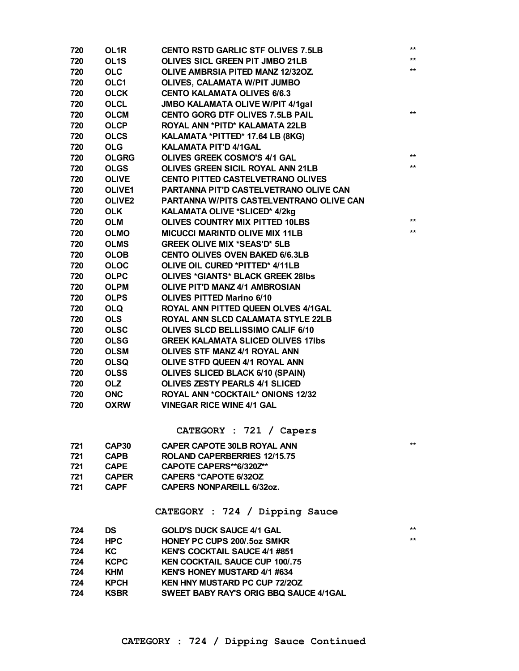| 720 | OL1R              | <b>CENTO RSTD GARLIC STF OLIVES 7.5LB</b> | $***$ |
|-----|-------------------|-------------------------------------------|-------|
| 720 | OL <sub>1</sub> S | <b>OLIVES SICL GREEN PIT JMBO 21LB</b>    | $***$ |
| 720 | <b>OLC</b>        | OLIVE AMBRSIA PITED MANZ 12/32OZ.         | $***$ |
| 720 | OLC1              | <b>OLIVES, CALAMATA W/PIT JUMBO</b>       |       |
| 720 | <b>OLCK</b>       | <b>CENTO KALAMATA OLIVES 6/6.3</b>        |       |
| 720 | <b>OLCL</b>       | <b>JMBO KALAMATA OLIVE W/PIT 4/1gal</b>   |       |
| 720 | <b>OLCM</b>       | <b>CENTO GORG DTF OLIVES 7.5LB PAIL</b>   | $***$ |
| 720 | <b>OLCP</b>       | ROYAL ANN *PITD* KALAMATA 22LB            |       |
| 720 | <b>OLCS</b>       | KALAMATA *PITTED* 17.64 LB (8KG)          |       |
| 720 | <b>OLG</b>        | <b>KALAMATA PIT'D 4/1GAL</b>              |       |
| 720 | <b>OLGRG</b>      | <b>OLIVES GREEK COSMO'S 4/1 GAL</b>       | $***$ |
| 720 | <b>OLGS</b>       | OLIVES GREEN SICIL ROYAL ANN 21LB         | $***$ |
| 720 | <b>OLIVE</b>      | <b>CENTO PITTED CASTELVETRANO OLIVES</b>  |       |
| 720 | <b>OLIVE1</b>     | PARTANNA PIT'D CASTELVETRANO OLIVE CAN    |       |
| 720 | <b>OLIVE2</b>     | PARTANNA W/PITS CASTELVENTRANO OLIVE CAN  |       |
| 720 | <b>OLK</b>        | KALAMATA OLIVE *SLICED* 4/2kg             |       |
| 720 | <b>OLM</b>        | <b>OLIVES COUNTRY MIX PITTED 10LBS</b>    | $***$ |
| 720 | <b>OLMO</b>       | <b>MICUCCI MARINTD OLIVE MIX 11LB</b>     | $***$ |
| 720 | <b>OLMS</b>       | <b>GREEK OLIVE MIX *SEAS'D* 5LB</b>       |       |
| 720 | <b>OLOB</b>       | <b>CENTO OLIVES OVEN BAKED 6/6.3LB</b>    |       |
| 720 | <b>OLOC</b>       | OLIVE OIL CURED *PITTED* 4/11LB           |       |
| 720 | <b>OLPC</b>       | <b>OLIVES *GIANTS* BLACK GREEK 28Ibs</b>  |       |
| 720 | <b>OLPM</b>       | <b>OLIVE PIT'D MANZ 4/1 AMBROSIAN</b>     |       |
| 720 | <b>OLPS</b>       | <b>OLIVES PITTED Marino 6/10</b>          |       |
| 720 | <b>OLQ</b>        | ROYAL ANN PITTED QUEEN OLVES 4/1GAL       |       |
| 720 | <b>OLS</b>        | ROYAL ANN SLCD CALAMATA STYLE 22LB        |       |
| 720 | <b>OLSC</b>       | OLIVES SLCD BELLISSIMO CALIF 6/10         |       |
| 720 | <b>OLSG</b>       | <b>GREEK KALAMATA SLICED OLIVES 17Ibs</b> |       |
| 720 | <b>OLSM</b>       | OLIVES STF MANZ 4/1 ROYAL ANN             |       |
| 720 | <b>OLSQ</b>       | OLIVE STFD QUEEN 4/1 ROYAL ANN            |       |
| 720 | <b>OLSS</b>       | OLIVES SLICED BLACK 6/10 (SPAIN)          |       |
| 720 | <b>OLZ</b>        | <b>OLIVES ZESTY PEARLS 4/1 SLICED</b>     |       |
| 720 | <b>ONC</b>        | <b>ROYAL ANN *COCKTAIL* ONIONS 12/32</b>  |       |
| 720 | <b>OXRW</b>       | <b>VINEGAR RICE WINE 4/1 GAL</b>          |       |
|     |                   | CATEGORY : 721 / Capers                   |       |
| 721 | CAP30             | <b>CAPER CAPOTE 30LB ROYAL ANN</b>        | $***$ |
| 721 | <b>CAPB</b>       | <b>ROLAND CAPERBERRIES 12/15.75</b>       |       |
| 721 | <b>CAPE</b>       | CAPOTE CAPERS**6/320Z**                   |       |
| 721 | <b>CAPER</b>      | <b>CAPERS *CAPOTE 6/32OZ</b>              |       |
| 721 | <b>CAPF</b>       | <b>CAPERS NONPAREILL 6/32oz.</b>          |       |
|     |                   | CATEGORY : 724 / Dipping Sauce            |       |
| 724 | <b>DS</b>         | <b>GOLD'S DUCK SAUCE 4/1 GAL</b>          | $***$ |
| 724 | <b>HPC</b>        | HONEY PC CUPS 200/.5oz SMKR               | **    |
| 724 | KC                | <b>KEN'S COCKTAIL SAUCE 4/1 #851</b>      |       |
| 724 | <b>KCPC</b>       | <b>KEN COCKTAIL SAUCE CUP 100/.75</b>     |       |
| 724 | <b>KHM</b>        | <b>KEN'S HONEY MUSTARD 4/1 #634</b>       |       |
| 724 | <b>KPCH</b>       | <b>KEN HNY MUSTARD PC CUP 72/20Z</b>      |       |
| 724 | <b>KSBR</b>       | SWEET BABY RAY'S ORIG BBQ SAUCE 4/1GAL    |       |
|     |                   |                                           |       |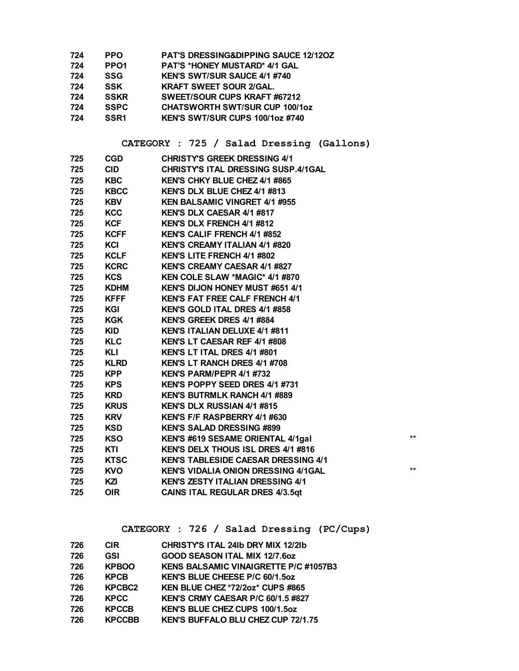| 724 | <b>PPO</b>       | <b>PAT'S DRESSING&amp;DIPPING SAUCE 12/120Z</b> |
|-----|------------------|-------------------------------------------------|
| 724 | PPO <sub>1</sub> | <b>PAT'S *HONEY MUSTARD* 4/1 GAL</b>            |
| 724 | <b>SSG</b>       | <b>KEN'S SWT/SUR SAUCE 4/1 #740</b>             |
| 724 | <b>SSK</b>       | <b>KRAFT SWEET SOUR 2/GAL.</b>                  |
| 724 | <b>SSKR</b>      | SWEET/SOUR CUPS KRAFT #67212                    |
| 724 | <b>SSPC</b>      | <b>CHATSWORTH SWT/SUR CUP 100/10Z</b>           |
| 724 | SSR <sub>1</sub> | KEN'S SWT/SUR CUPS 100/1oz #740                 |

## **CATEGORY : 725 / Salad Dressing (Gallons)**

| $**$  |
|-------|
|       |
|       |
| $***$ |
|       |
|       |
|       |

## **CATEGORY : 726 / Salad Dressing (PC/Cups)**

| 726 | <b>CIR</b>         | CHRISTY'S ITAL 241b DRY MIX 12/21b           |
|-----|--------------------|----------------------------------------------|
| 726 | <b>GSI</b>         | <b>GOOD SEASON ITAL MIX 12/7.6oz</b>         |
| 726 | <b>KPBOO</b>       | <b>KENS BALSAMIC VINAIGRETTE P/C #1057B3</b> |
| 726 | <b>KPCB</b>        | KEN'S BLUE CHEESE P/C 60/1.5oz               |
| 726 | KPCBC <sub>2</sub> | KEN BLUE CHEZ *72/2oz* CUPS #865             |
| 726 | <b>KPCC</b>        | KEN'S CRMY CAESAR P/C 60/1.5 #827            |
| 726 | <b>KPCCB</b>       | <b>KEN'S BLUE CHEZ CUPS 100/1.5oz</b>        |
| 726 | <b>KPCCBB</b>      | KEN'S BUFFALO BLU CHEZ CUP 72/1.75           |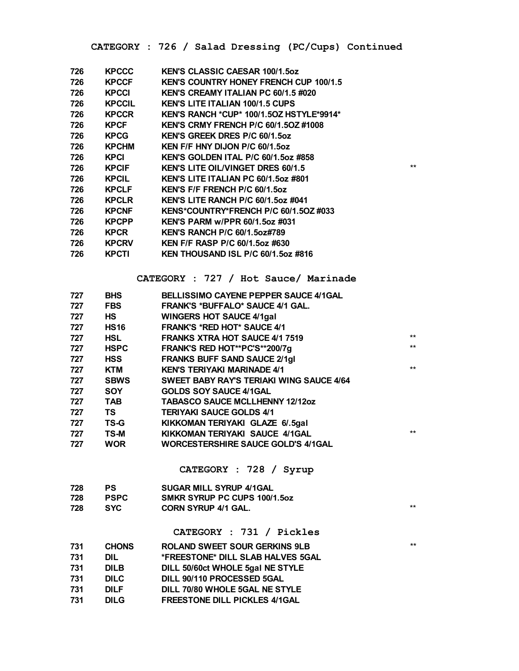**CATEGORY : 726 / Salad Dressing (PC/Cups) Continued**

| 726 | KPCCC         | <b>KEN'S CLASSIC CAESAR 100/1.5oz</b>           |      |
|-----|---------------|-------------------------------------------------|------|
| 726 | <b>KPCCF</b>  | <b>KEN'S COUNTRY HONEY FRENCH CUP 100/1.5</b>   |      |
| 726 | <b>KPCCI</b>  | KEN'S CREAMY ITALIAN PC 60/1.5 #020             |      |
| 726 | <b>KPCCIL</b> | <b>KEN'S LITE ITALIAN 100/1.5 CUPS</b>          |      |
| 726 | <b>KPCCR</b>  | <b>KEN'S RANCH *CUP* 100/1.5OZ HSTYLE*9914*</b> |      |
| 726 | KPCF          | <b>KEN'S CRMY FRENCH P/C 60/1.5OZ #1008</b>     |      |
| 726 | <b>KPCG</b>   | <b>KEN'S GREEK DRES P/C 60/1.5oz</b>            |      |
| 726 | <b>KPCHM</b>  | KEN F/F HNY DIJON P/C 60/1.5oz                  |      |
| 726 | <b>KPCI</b>   | <b>KEN'S GOLDEN ITAL P/C 60/1.5oz #858</b>      |      |
| 726 | <b>KPCIF</b>  | <b>KEN'S LITE OIL/VINGET DRES 60/1.5</b>        | $**$ |
| 726 | <b>KPCIL</b>  | KEN'S LITE ITALIAN PC 60/1.5oz #801             |      |
| 726 | <b>KPCLF</b>  | <b>KEN'S F/F FRENCH P/C 60/1.5oz</b>            |      |
| 726 | <b>KPCLR</b>  | KEN'S LITE RANCH P/C 60/1.5oz #041              |      |
| 726 | <b>KPCNF</b>  | KENS*COUNTRY*FRENCH P/C 60/1.5OZ #033           |      |
| 726 | <b>KPCPP</b>  | <b>KEN'S PARM w/PPR 60/1.5oz #031</b>           |      |
| 726 | <b>KPCR</b>   | <b>KEN'S RANCH P/C 60/1.5oz#789</b>             |      |
| 726 | <b>KPCRV</b>  | <b>KEN F/F RASP P/C 60/1.5oz #630</b>           |      |
| 726 | <b>KPCTI</b>  | <b>KEN THOUSAND ISL P/C 60/1.5oz #816</b>       |      |
|     |               |                                                 |      |

**CATEGORY : 727 / Hot Sauce/ Marinade**

| 727 | <b>BHS</b>  | <b>BELLISSIMO CAYENE PEPPER SAUCE 4/1GAL</b>    |       |
|-----|-------------|-------------------------------------------------|-------|
| 727 | <b>FBS</b>  | <b>FRANK'S *BUFFALO* SAUCE 4/1 GAL.</b>         |       |
| 727 | HS          | <b>WINGERS HOT SAUCE 4/1gal</b>                 |       |
| 727 | <b>HS16</b> | <b>FRANK'S *RED HOT* SAUCE 4/1</b>              |       |
| 727 | HSL         | <b>FRANKS XTRA HOT SAUCE 4/1 7519</b>           | $***$ |
| 727 | <b>HSPC</b> | FRANK'S RED HOT**PC'S**200/7g                   | $***$ |
| 727 | HSS         | <b>FRANKS BUFF SAND SAUCE 2/1gl</b>             |       |
| 727 | KTM         | <b>KEN'S TERIYAKI MARINADE 4/1</b>              | $***$ |
| 727 | <b>SBWS</b> | <b>SWEET BABY RAY'S TERIAKI WING SAUCE 4/64</b> |       |
| 727 | <b>SOY</b>  | <b>GOLDS SOY SAUCE 4/1GAL</b>                   |       |
| 727 | TAB         | <b>TABASCO SAUCE MCLLHENNY 12/12oz</b>          |       |
| 727 | TS          | <b>TERIYAKI SAUCE GOLDS 4/1</b>                 |       |
| 727 | TS-G        | KIKKOMAN TERIYAKI GLAZE 6/.5gal                 |       |
| 727 | TS-M        | KIKKOMAN TERIYAKI SAUCE 4/1GAL                  | $***$ |
| 727 | <b>WOR</b>  | <b>WORCESTERSHIRE SAUCE GOLD'S 4/1GAL</b>       |       |
|     |             |                                                 |       |

**CATEGORY : 728 / Syrup**

| 728 | <b>PS</b>   | <b>SUGAR MILL SYRUP 4/1GAL</b> |     |
|-----|-------------|--------------------------------|-----|
| 728 | <b>PSPC</b> | SMKR SYRUP PC CUPS 100/1.5oz   |     |
| 728 | <b>SYC</b>  | <b>CORN SYRUP 4/1 GAL.</b>     | $*$ |

**CATEGORY : 731 / Pickles**

| 731 | <b>CHONS</b> | <b>ROLAND SWEET SOUR GERKINS 9LB</b> | $**$ |
|-----|--------------|--------------------------------------|------|
| 731 | DIL          | *FREESTONE* DILL SLAB HALVES 5GAL    |      |
| 731 | <b>DILB</b>  | DILL 50/60ct WHOLE 5gal NE STYLE     |      |
| 731 | <b>DILC</b>  | DILL 90/110 PROCESSED 5GAL           |      |
| 731 | <b>DILF</b>  | DILL 70/80 WHOLE 5GAL NE STYLE       |      |
| 731 | <b>DILG</b>  | <b>FREESTONE DILL PICKLES 4/1GAL</b> |      |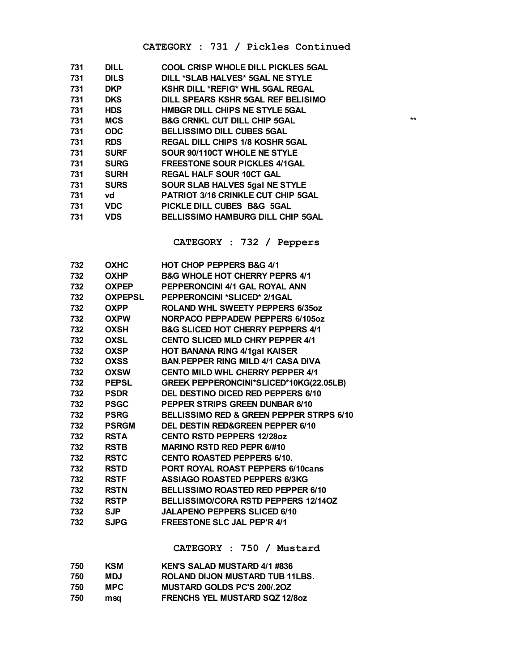#### **CATEGORY : 731 / Pickles Continued**

| 731 | <b>DILL</b> | <b>COOL CRISP WHOLE DILL PICKLES 5GAL</b> |      |
|-----|-------------|-------------------------------------------|------|
| 731 | <b>DILS</b> | DILL *SLAB HALVES* 5GAL NE STYLE          |      |
| 731 | <b>DKP</b>  | KSHR DILL *REFIG* WHL 5GAL REGAL          |      |
| 731 | <b>DKS</b>  | DILL SPEARS KSHR 5GAL REF BELISIMO        |      |
| 731 | <b>HDS</b>  | HMBGR DILL CHIPS NE STYLE 5GAL            |      |
| 731 | MCS         | <b>B&amp;G CRNKL CUT DILL CHIP 5GAL</b>   | $**$ |
| 731 | <b>ODC</b>  | <b>BELLISSIMO DILL CUBES 5GAL</b>         |      |
| 731 | <b>RDS</b>  | <b>REGAL DILL CHIPS 1/8 KOSHR 5GAL</b>    |      |
| 731 | <b>SURF</b> | SOUR 90/110CT WHOLE NE STYLE              |      |
| 731 | <b>SURG</b> | <b>FREESTONE SOUR PICKLES 4/1GAL</b>      |      |
| 731 | <b>SURH</b> | <b>REGAL HALF SOUR 10CT GAL</b>           |      |
| 731 | <b>SURS</b> | <b>SOUR SLAB HALVES 5gal NE STYLE</b>     |      |
| 731 | vd          | PATRIOT 3/16 CRINKLE CUT CHIP 5GAL        |      |
| 731 | VDC         | PICKLE DILL CUBES B&G 5GAL                |      |
| 731 | <b>VDS</b>  | <b>BELLISSIMO HAMBURG DILL CHIP 5GAL</b>  |      |
|     |             |                                           |      |

**CATEGORY : 732 / Peppers**

| 732 | <b>OXHC</b>    | <b>HOT CHOP PEPPERS B&amp;G 4/1</b>          |
|-----|----------------|----------------------------------------------|
| 732 | <b>OXHP</b>    | <b>B&amp;G WHOLE HOT CHERRY PEPRS 4/1</b>    |
| 732 | <b>OXPEP</b>   | PEPPERONCINI 4/1 GAL ROYAL ANN               |
| 732 | <b>OXPEPSL</b> | <b>PEPPERONCINI *SLICED* 2/1GAL</b>          |
| 732 | <b>OXPP</b>    | ROLAND WHL SWEETY PEPPERS 6/35oz             |
| 732 | <b>OXPW</b>    | NORPACO PEPPADEW PEPPERS 6/105oz             |
| 732 | <b>OXSH</b>    | <b>B&amp;G SLICED HOT CHERRY PEPPERS 4/1</b> |
| 732 | <b>OXSL</b>    | <b>CENTO SLICED MLD CHRY PEPPER 4/1</b>      |
| 732 | <b>OXSP</b>    | <b>HOT BANANA RING 4/1gal KAISER</b>         |
| 732 | OXSS           | <b>BAN.PEPPER RING MILD 4/1 CASA DIVA</b>    |
| 732 | <b>OXSW</b>    | <b>CENTO MILD WHL CHERRY PEPPER 4/1</b>      |
| 732 | <b>PEPSL</b>   | GREEK PEPPERONCINI*SLICED*10KG(22.05LB)      |
| 732 | <b>PSDR</b>    | DEL DESTINO DICED RED PEPPERS 6/10           |
| 732 | <b>PSGC</b>    | PEPPER STRIPS GREEN DUNBAR 6/10              |
| 732 | <b>PSRG</b>    | BELLISSIMO RED & GREEN PEPPER STRPS 6/10     |
| 732 | <b>PSRGM</b>   | <b>DEL DESTIN RED&amp;GREEN PEPPER 6/10</b>  |
| 732 | <b>RSTA</b>    | <b>CENTO RSTD PEPPERS 12/280Z</b>            |
| 732 | <b>RSTB</b>    | <b>MARINO RSTD RED PEPR 6/#10</b>            |
| 732 | <b>RSTC</b>    | <b>CENTO ROASTED PEPPERS 6/10.</b>           |
| 732 | <b>RSTD</b>    | <b>PORT ROYAL ROAST PEPPERS 6/10cans</b>     |
| 732 | <b>RSTF</b>    | <b>ASSIAGO ROASTED PEPPERS 6/3KG</b>         |
| 732 | <b>RSTN</b>    | <b>BELLISSIMO ROASTED RED PEPPER 6/10</b>    |
| 732 | <b>RSTP</b>    | <b>BELLISSIMO/CORA RSTD PEPPERS 12/140Z</b>  |
| 732 | <b>SJP</b>     | <b>JALAPENO PEPPERS SLICED 6/10</b>          |
| 732 | <b>SJPG</b>    | <b>FREESTONE SLC JAL PEP'R 4/1</b>           |
|     |                |                                              |

**CATEGORY : 750 / Mustard**

| 750 | KSM  | <b>KEN'S SALAD MUSTARD 4/1 #836</b>   |
|-----|------|---------------------------------------|
| 750 | MDJ  | ROLAND DIJON MUSTARD TUB 11LBS.       |
| 750 | MPC. | <b>MUSTARD GOLDS PC'S 200/.20Z</b>    |
| 750 | msa  | <b>FRENCHS YEL MUSTARD SQZ 12/80Z</b> |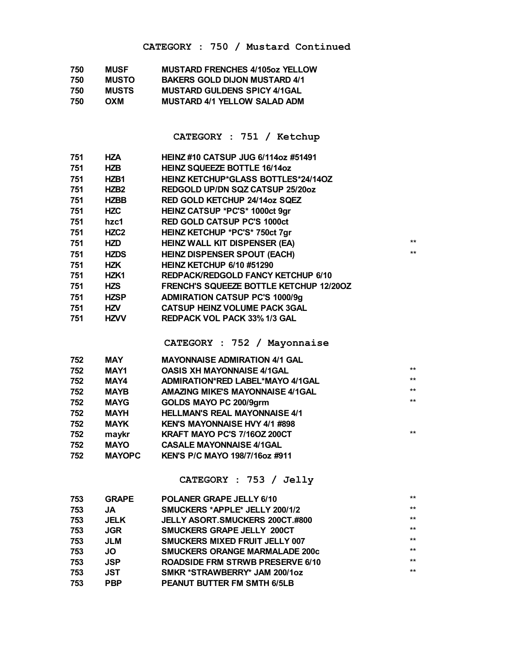| 750 | <b>MUSF</b>  | <b>MUSTARD FRENCHES 4/105oz YELLOW</b> |
|-----|--------------|----------------------------------------|
| 750 | <b>MUSTO</b> | <b>BAKERS GOLD DIJON MUSTARD 4/1</b>   |
| 750 | <b>MUSTS</b> | <b>MUSTARD GULDENS SPICY 4/1GAL</b>    |
| 750 | OXM          | <b>MUSTARD 4/1 YELLOW SALAD ADM</b>    |

**CATEGORY : 751 / Ketchup**

| 751 | HZA              | <b>HEINZ #10 CATSUP JUG 6/114oz #51491</b>     |      |
|-----|------------------|------------------------------------------------|------|
| 751 | HZB              | <b>HEINZ SQUEEZE BOTTLE 16/14oz</b>            |      |
| 751 | HZB1             | <b>HEINZ KETCHUP*GLASS BOTTLES*24/14OZ</b>     |      |
| 751 | HZB <sub>2</sub> | REDGOLD UP/DN SQZ CATSUP 25/20oz               |      |
| 751 | <b>HZBB</b>      | RED GOLD KETCHUP 24/14oz SQEZ                  |      |
| 751 | <b>HZC</b>       | HEINZ CATSUP *PC'S* 1000ct 9gr                 |      |
| 751 | hzc1             | <b>RED GOLD CATSUP PC'S 1000ct</b>             |      |
| 751 | <b>HZC2</b>      | HEINZ KETCHUP *PC'S* 750ct 7gr                 |      |
| 751 | HZD              | HEINZ WALL KIT DISPENSER (EA)                  | $**$ |
| 751 | <b>HZDS</b>      | <b>HEINZ DISPENSER SPOUT (EACH)</b>            | $**$ |
| 751 | <b>HZK</b>       | <b>HEINZ KETCHUP 6/10 #51290</b>               |      |
| 751 | HZK1             | REDPACK/REDGOLD FANCY KETCHUP 6/10             |      |
| 751 | <b>HZS</b>       | <b>FRENCH'S SQUEEZE BOTTLE KETCHUP 12/200Z</b> |      |
| 751 | <b>HZSP</b>      | <b>ADMIRATION CATSUP PC'S 1000/9g</b>          |      |
| 751 | <b>HZV</b>       | <b>CATSUP HEINZ VOLUME PACK 3GAL</b>           |      |
| 751 | <b>HZVV</b>      | <b>REDPACK VOL PACK 33% 1/3 GAL</b>            |      |

**CATEGORY : 752 / Mayonnaise**

| 752 | <b>MAY</b>    | <b>MAYONNAISE ADMIRATION 4/1 GAL</b>  |       |
|-----|---------------|---------------------------------------|-------|
| 752 | MAY1          | <b>OASIS XH MAYONNAISE 4/1GAL</b>     | $***$ |
| 752 | MAY4          | ADMIRATION*RED LABEL*MAYO 4/1GAL      | $***$ |
| 752 | <b>MAYB</b>   | AMAZING MIKE'S MAYONNAISE 4/1GAL      | $***$ |
| 752 | <b>MAYG</b>   | GOLDS MAYO PC 200/9grm                | $***$ |
| 752 | <b>MAYH</b>   | <b>HELLMAN'S REAL MAYONNAISE 4/1</b>  |       |
| 752 | <b>MAYK</b>   | <b>KEN'S MAYONNAISE HVY 4/1 #898</b>  |       |
| 752 | maykr         | KRAFT MAYO PC'S 7/160Z 200CT          | $***$ |
| 752 | <b>MAYO</b>   | <b>CASALE MAYONNAISE 4/1GAL</b>       |       |
| 752 | <b>MAYOPC</b> | <b>KEN'S P/C MAYO 198/7/16oz #911</b> |       |

**CATEGORY : 753 / Jelly**

| 753 | <b>GRAPE</b> | POLANER GRAPE JELLY 6/10                | $***$ |
|-----|--------------|-----------------------------------------|-------|
| 753 | <b>JA</b>    | SMUCKERS *APPLE* JELLY 200/1/2          | $***$ |
| 753 | <b>JELK</b>  | JELLY ASORT.SMUCKERS 200CT.#800         | $***$ |
| 753 | <b>JGR</b>   | <b>SMUCKERS GRAPE JELLY 200CT</b>       | $***$ |
| 753 | <b>JLM</b>   | <b>SMUCKERS MIXED FRUIT JELLY 007</b>   | $***$ |
| 753 | JO           | <b>SMUCKERS ORANGE MARMALADE 200c</b>   | $***$ |
| 753 | <b>JSP</b>   | <b>ROADSIDE FRM STRWB PRESERVE 6/10</b> | $***$ |
| 753 | JST          | SMKR *STRAWBERRY* JAM 200/1oz           | $***$ |
| 753 | <b>PBP</b>   | <b>PEANUT BUTTER FM SMTH 6/5LB</b>      |       |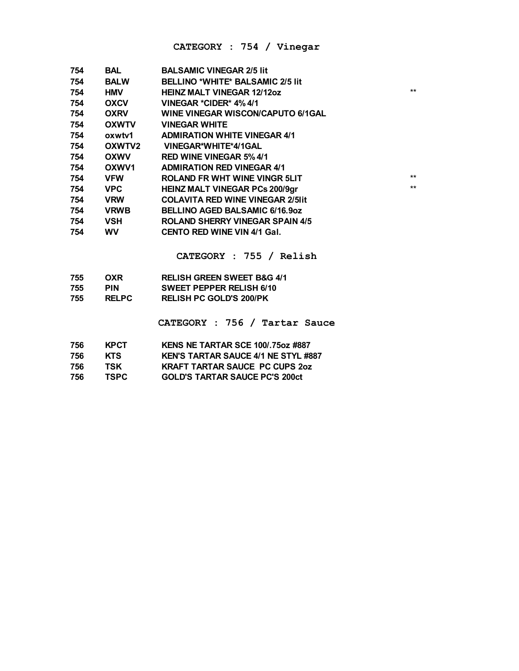#### **CATEGORY : 754 / Vinegar**

| 754 | BAL          | <b>BALSAMIC VINEGAR 2/5 lit</b>          |      |
|-----|--------------|------------------------------------------|------|
| 754 | <b>BALW</b>  | BELLINO *WHITE* BALSAMIC 2/5 lit         |      |
| 754 | <b>HMV</b>   | <b>HEINZ MALT VINEGAR 12/12oz</b>        | $**$ |
| 754 | <b>OXCV</b>  | VINEGAR *CIDER* 4% 4/1                   |      |
| 754 | <b>OXRV</b>  | <b>WINE VINEGAR WISCON/CAPUTO 6/1GAL</b> |      |
| 754 | <b>OXWTV</b> | <b>VINEGAR WHITE</b>                     |      |
| 754 | oxwtv1       | <b>ADMIRATION WHITE VINEGAR 4/1</b>      |      |
| 754 | OXWTV2       | VINEGAR*WHITE*4/1GAL                     |      |
| 754 | <b>OXWV</b>  | <b>RED WINE VINEGAR 5% 4/1</b>           |      |
| 754 | OXWV1        | <b>ADMIRATION RED VINEGAR 4/1</b>        |      |
| 754 | <b>VFW</b>   | <b>ROLAND FR WHT WINE VINGR 5LIT</b>     | $**$ |
| 754 | <b>VPC</b>   | <b>HEINZ MALT VINEGAR PCs 200/9gr</b>    | $**$ |
| 754 | <b>VRW</b>   | <b>COLAVITA RED WINE VINEGAR 2/5 III</b> |      |
| 754 | <b>VRWB</b>  | BELLINO AGED BALSAMIC 6/16.9oz           |      |
| 754 | <b>VSH</b>   | <b>ROLAND SHERRY VINEGAR SPAIN 4/5</b>   |      |
| 754 | <b>WV</b>    | <b>CENTO RED WINE VIN 4/1 Gal.</b>       |      |

**CATEGORY : 755 / Relish**

| 755 | OXR          | <b>RELISH GREEN SWEET B&amp;G 4/1</b> |
|-----|--------------|---------------------------------------|
| 755 | PIN          | SWEET PEPPER RELISH 6/10              |
| 755 | <b>RELPC</b> | <b>RELISH PC GOLD'S 200/PK</b>        |
|     |              |                                       |

**CATEGORY : 756 / Tartar Sauce**

| 756 | <b>KPCT</b> | KENS NE TARTAR SCE 100/.75oz #887          |
|-----|-------------|--------------------------------------------|
| 756 | KTS.        | <b>KEN'S TARTAR SAUCE 4/1 NE STYL #887</b> |
| 756 | TSK         | <b>KRAFT TARTAR SAUCE PC CUPS 20Z</b>      |
| 756 | TSPC.       | <b>GOLD'S TARTAR SAUCE PC'S 200ct</b>      |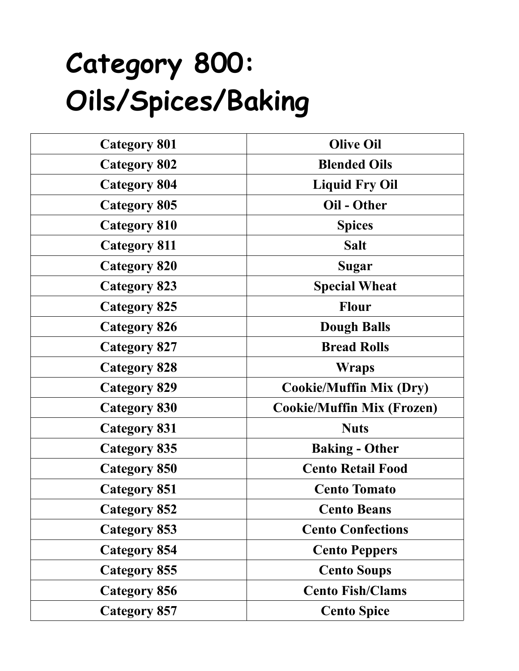## **Category 800: Oils/Spices/Baking**

| <b>Category 801</b> | <b>Olive Oil</b>                  |
|---------------------|-----------------------------------|
| <b>Category 802</b> | <b>Blended Oils</b>               |
| <b>Category 804</b> | <b>Liquid Fry Oil</b>             |
| <b>Category 805</b> | Oil - Other                       |
| <b>Category 810</b> | <b>Spices</b>                     |
| <b>Category 811</b> | <b>Salt</b>                       |
| <b>Category 820</b> | Sugar                             |
| <b>Category 823</b> | <b>Special Wheat</b>              |
| <b>Category 825</b> | <b>Flour</b>                      |
| <b>Category 826</b> | <b>Dough Balls</b>                |
| <b>Category 827</b> | <b>Bread Rolls</b>                |
| <b>Category 828</b> | <b>Wraps</b>                      |
| <b>Category 829</b> | <b>Cookie/Muffin Mix (Dry)</b>    |
| <b>Category 830</b> | <b>Cookie/Muffin Mix (Frozen)</b> |
| <b>Category 831</b> | <b>Nuts</b>                       |
| <b>Category 835</b> | <b>Baking - Other</b>             |
| <b>Category 850</b> | <b>Cento Retail Food</b>          |
| <b>Category 851</b> | <b>Cento Tomato</b>               |
| <b>Category 852</b> | <b>Cento Beans</b>                |
| <b>Category 853</b> | <b>Cento Confections</b>          |
| <b>Category 854</b> | <b>Cento Peppers</b>              |
| <b>Category 855</b> | <b>Cento Soups</b>                |
| <b>Category 856</b> | <b>Cento Fish/Clams</b>           |
| <b>Category 857</b> | <b>Cento Spice</b>                |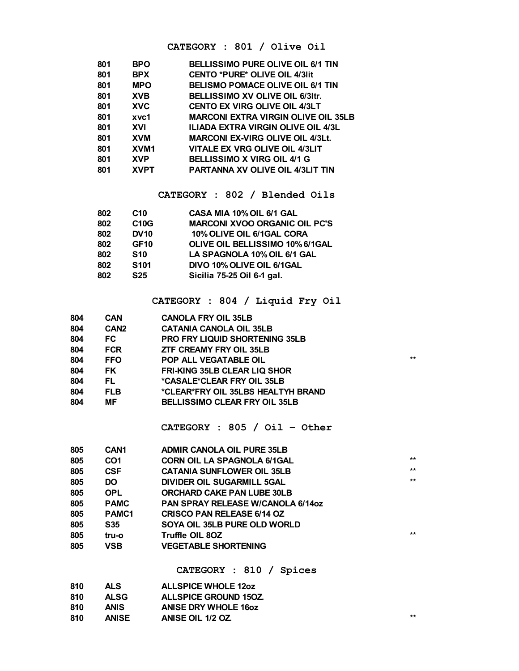#### **CATEGORY : 801 / Olive Oil**

| 801 | <b>BPO</b>  | <b>BELLISSIMO PURE OLIVE OIL 6/1 TIN</b>   |
|-----|-------------|--------------------------------------------|
| 801 | <b>BPX</b>  | <b>CENTO *PURE* OLIVE OIL 4/3lit</b>       |
| 801 | <b>MPO</b>  | <b>BELISMO POMACE OLIVE OIL 6/1 TIN</b>    |
| 801 | <b>XVB</b>  | <b>BELLISSIMO XV OLIVE OIL 6/31tr.</b>     |
| 801 | <b>XVC</b>  | <b>CENTO EX VIRG OLIVE OIL 4/3LT</b>       |
| 801 | xvc1        | <b>MARCONI EXTRA VIRGIN OLIVE OIL 35LB</b> |
| 801 | XVI         | <b>ILIADA EXTRA VIRGIN OLIVE OIL 4/3L</b>  |
| 801 | <b>XVM</b>  | <b>MARCONI EX-VIRG OLIVE OIL 4/3Lt.</b>    |
| 801 | XVM1        | VITALE EX VRG OLIVE OIL 4/3LIT             |
| 801 | <b>XVP</b>  | <b>BELLISSIMO X VIRG OIL 4/1 G</b>         |
| 801 | <b>XVPT</b> | <b>PARTANNA XV OLIVE OIL 4/3LIT TIN</b>    |
|     |             |                                            |

**CATEGORY : 802 / Blended Oils**

| C <sub>10</sub> | CASA MIA 10% OIL 6/1 GAL             |
|-----------------|--------------------------------------|
| <b>C10G</b>     | <b>MARCONI XVOO ORGANIC OIL PC'S</b> |
| <b>DV10</b>     | 10% OLIVE OIL 6/1GAL CORA            |
| <b>GF10</b>     | OLIVE OIL BELLISSIMO 10% 6/1GAL      |
| <b>S10</b>      | LA SPAGNOLA 10% OIL 6/1 GAL          |
| <b>S101</b>     | DIVO 10% OLIVE OIL 6/1GAL            |
| <b>S25</b>      | Sicilia 75-25 Oil 6-1 gal.           |
|                 |                                      |

## **CATEGORY : 804 / Liquid Fry Oil**

| 804 | <b>CAN</b>       | <b>CANOLA FRY OIL 35LB</b>            |       |
|-----|------------------|---------------------------------------|-------|
| 804 | CAN <sub>2</sub> | <b>CATANIA CANOLA OIL 35LB</b>        |       |
| 804 | FC               | <b>PRO FRY LIQUID SHORTENING 35LB</b> |       |
| 804 | <b>FCR</b>       | <b>ZTF CREAMY FRY OIL 35LB</b>        |       |
| 804 | <b>FFO</b>       | <b>POP ALL VEGATABLE OIL</b>          | $***$ |
| 804 | FK.              | <b>FRI-KING 35LB CLEAR LIQ SHOR</b>   |       |
| 804 | FL.              | *CASALE*CLEAR FRY OIL 35LB            |       |
| 804 | <b>FLB</b>       | *CLEAR*FRY OIL 35LBS HEALTYH BRAND    |       |
| 804 | <b>MF</b>        | <b>BELLISSIMO CLEAR FRY OIL 35LB</b>  |       |
|     |                  |                                       |       |

**CATEGORY : 805 / Oil – Other**

| 805 | CAN <sub>1</sub>  | <b>ADMIR CANOLA OIL PURE 35LB</b>        |       |
|-----|-------------------|------------------------------------------|-------|
| 805 | CO <sub>1</sub>   | <b>CORN OIL LA SPAGNOLA 6/1GAL</b>       | $***$ |
| 805 | <b>CSF</b>        | <b>CATANIA SUNFLOWER OIL 35LB</b>        | $***$ |
| 805 | DO.               | <b>DIVIDER OIL SUGARMILL 5GAL</b>        | $***$ |
| 805 | <b>OPL</b>        | <b>ORCHARD CAKE PAN LUBE 30LB</b>        |       |
| 805 | <b>PAMC</b>       | <b>PAN SPRAY RELEASE W/CANOLA 6/14oz</b> |       |
| 805 | PAMC <sub>1</sub> | <b>CRISCO PAN RELEASE 6/14 OZ</b>        |       |
| 805 | <b>S35</b>        | SOYA OIL 35LB PURE OLD WORLD             |       |
| 805 | tru-o             | Truffle OIL 80Z                          | $***$ |
| 805 | <b>VSB</b>        | <b>VEGETABLE SHORTENING</b>              |       |
|     |                   |                                          |       |

**CATEGORY : 810 / Spices**

| 810 | <b>ALS</b>   | <b>ALLSPICE WHOLE 120Z</b>   |      |
|-----|--------------|------------------------------|------|
| 810 | <b>ALSG</b>  | <b>ALLSPICE GROUND 150Z.</b> |      |
| 810 | <b>ANIS</b>  | <b>ANISE DRY WHOLE 160Z</b>  |      |
| 810 | <b>ANISE</b> | ANISE OIL 1/2 OZ             | $**$ |
|     |              |                              |      |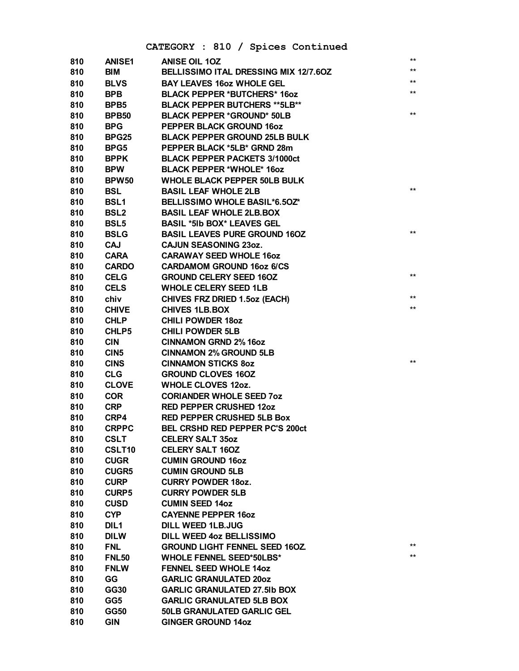## CATEGORY : 810 / Spices Continued

| 810 | <b>ANISE1</b>    | <b>ANISE OIL 10Z</b>                   | **           |
|-----|------------------|----------------------------------------|--------------|
| 810 | <b>BIM</b>       | BELLISSIMO ITAL DRESSING MIX 12/7.60Z  | **<br>**     |
| 810 | <b>BLVS</b>      | <b>BAY LEAVES 160Z WHOLE GEL</b>       | $\star\star$ |
| 810 | <b>BPB</b>       | <b>BLACK PEPPER *BUTCHERS* 16oz</b>    |              |
| 810 | BPB <sub>5</sub> | <b>BLACK PEPPER BUTCHERS **5LB**</b>   |              |
| 810 | <b>BPB50</b>     | <b>BLACK PEPPER *GROUND* 50LB</b>      | $**$         |
| 810 | <b>BPG</b>       | PEPPER BLACK GROUND 160Z               |              |
| 810 | BPG25            | <b>BLACK PEPPER GROUND 25LB BULK</b>   |              |
| 810 | BPG5             | PEPPER BLACK *5LB* GRND 28m            |              |
| 810 | <b>BPPK</b>      | <b>BLACK PEPPER PACKETS 3/1000ct</b>   |              |
| 810 | <b>BPW</b>       | <b>BLACK PEPPER *WHOLE* 160Z</b>       |              |
| 810 | <b>BPW50</b>     | <b>WHOLE BLACK PEPPER 50LB BULK</b>    |              |
| 810 | BSL              | <b>BASIL LEAF WHOLE 2LB</b>            | $***$        |
| 810 | <b>BSL1</b>      | BELLISSIMO WHOLE BASIL*6.50Z*          |              |
| 810 | <b>BSL2</b>      | <b>BASIL LEAF WHOLE 2LB.BOX</b>        |              |
| 810 | <b>BSL5</b>      | <b>BASIL *5Ib BOX* LEAVES GEL</b>      |              |
| 810 | <b>BSLG</b>      | <b>BASIL LEAVES PURE GROUND 160Z</b>   | **           |
| 810 | <b>CAJ</b>       | <b>CAJUN SEASONING 230Z.</b>           |              |
| 810 | <b>CARA</b>      | <b>CARAWAY SEED WHOLE 16oz</b>         |              |
| 810 | <b>CARDO</b>     | <b>CARDAMOM GROUND 160Z 6/CS</b>       |              |
| 810 | <b>CELG</b>      | <b>GROUND CELERY SEED 160Z</b>         | $***$        |
| 810 | <b>CELS</b>      | <b>WHOLE CELERY SEED 1LB</b>           |              |
| 810 | chiv             | <b>CHIVES FRZ DRIED 1.5oz (EACH)</b>   | **           |
| 810 | <b>CHIVE</b>     | <b>CHIVES 1LB.BOX</b>                  | **           |
| 810 | <b>CHLP</b>      | <b>CHILI POWDER 180Z</b>               |              |
| 810 | <b>CHLP5</b>     | <b>CHILI POWDER 5LB</b>                |              |
| 810 | <b>CIN</b>       | <b>CINNAMON GRND 2% 160Z</b>           |              |
| 810 | CIN <sub>5</sub> | <b>CINNAMON 2% GROUND 5LB</b>          |              |
| 810 | <b>CINS</b>      | <b>CINNAMON STICKS 80Z</b>             | $\star\star$ |
| 810 | <b>CLG</b>       | <b>GROUND CLOVES 16OZ</b>              |              |
| 810 | <b>CLOVE</b>     | <b>WHOLE CLOVES 12oz.</b>              |              |
| 810 | <b>COR</b>       | <b>CORIANDER WHOLE SEED 70Z</b>        |              |
| 810 | <b>CRP</b>       | <b>RED PEPPER CRUSHED 120Z</b>         |              |
| 810 | CRP4             | <b>RED PEPPER CRUSHED 5LB Box</b>      |              |
| 810 | <b>CRPPC</b>     | <b>BEL CRSHD RED PEPPER PC'S 200ct</b> |              |
| 810 | <b>CSLT</b>      | <b>CELERY SALT 35oz</b>                |              |
| 810 | CSLT10           | <b>CELERY SALT 160Z</b>                |              |
| 810 | <b>CUGR</b>      | <b>CUMIN GROUND 16oz</b>               |              |
| 810 | <b>CUGR5</b>     | <b>CUMIN GROUND 5LB</b>                |              |
| 810 | <b>CURP</b>      | <b>CURRY POWDER 180Z.</b>              |              |
| 810 | <b>CURP5</b>     | <b>CURRY POWDER 5LB</b>                |              |
| 810 | <b>CUSD</b>      | <b>CUMIN SEED 14oz</b>                 |              |
| 810 | <b>CYP</b>       | <b>CAYENNE PEPPER 160Z</b>             |              |
| 810 | DIL <sub>1</sub> | <b>DILL WEED 1LB.JUG</b>               |              |
| 810 | <b>DILW</b>      | <b>DILL WEED 40Z BELLISSIMO</b>        |              |
| 810 | <b>FNL</b>       | <b>GROUND LIGHT FENNEL SEED 16OZ</b>   | **           |
| 810 | <b>FNL50</b>     | <b>WHOLE FENNEL SEED*50LBS*</b>        | $***$        |
| 810 | <b>FNLW</b>      | <b>FENNEL SEED WHOLE 14oz</b>          |              |
| 810 | GG               | <b>GARLIC GRANULATED 200Z</b>          |              |
| 810 | <b>GG30</b>      | <b>GARLIC GRANULATED 27.5Ib BOX</b>    |              |
| 810 | GG5              | <b>GARLIC GRANULATED 5LB BOX</b>       |              |
| 810 | <b>GG50</b>      | <b>50LB GRANULATED GARLIC GEL</b>      |              |
| 810 | <b>GIN</b>       | <b>GINGER GROUND 14oz</b>              |              |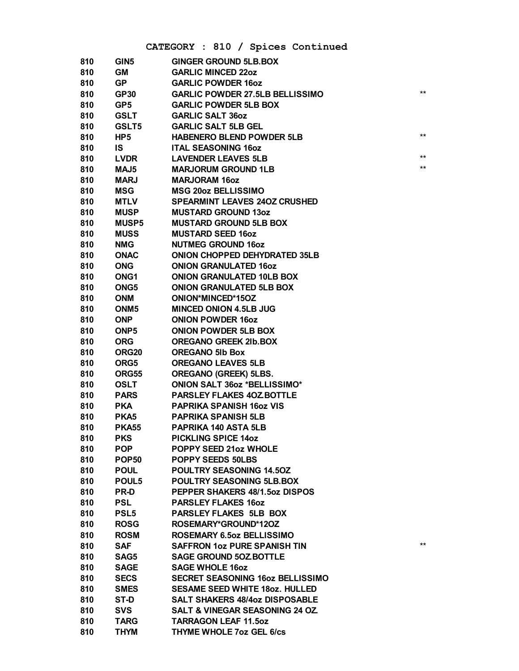## **CATEGORY : 810 / Spices Continued**

| 810 | GIN <sub>5</sub>  | <b>GINGER GROUND 5LB.BOX</b>               |                 |
|-----|-------------------|--------------------------------------------|-----------------|
| 810 | GM                | <b>GARLIC MINCED 22oz</b>                  |                 |
| 810 | <b>GP</b>         | <b>GARLIC POWDER 160Z</b>                  |                 |
| 810 | <b>GP30</b>       | <b>GARLIC POWDER 27.5LB BELLISSIMO</b>     | $***$           |
| 810 | GP <sub>5</sub>   | <b>GARLIC POWDER 5LB BOX</b>               |                 |
| 810 | <b>GSLT</b>       | <b>GARLIC SALT 36oz</b>                    |                 |
| 810 | GSLT5             | <b>GARLIC SALT 5LB GEL</b>                 |                 |
| 810 | HP <sub>5</sub>   | <b>HABENERO BLEND POWDER 5LB</b>           | $^{\star\star}$ |
| 810 | IS                | <b>ITAL SEASONING 16oz</b>                 |                 |
| 810 | <b>LVDR</b>       | <b>LAVENDER LEAVES 5LB</b>                 | $***$           |
| 810 | MAJ5              | <b>MARJORUM GROUND 1LB</b>                 | $***$           |
| 810 | <b>MARJ</b>       | <b>MARJORAM 16oz</b>                       |                 |
| 810 | <b>MSG</b>        | <b>MSG 20oz BELLISSIMO</b>                 |                 |
| 810 | <b>MTLV</b>       | <b>SPEARMINT LEAVES 240Z CRUSHED</b>       |                 |
| 810 | <b>MUSP</b>       | <b>MUSTARD GROUND 13oz</b>                 |                 |
| 810 | <b>MUSP5</b>      | <b>MUSTARD GROUND 5LB BOX</b>              |                 |
| 810 | <b>MUSS</b>       | <b>MUSTARD SEED 16oz</b>                   |                 |
| 810 | <b>NMG</b>        | <b>NUTMEG GROUND 16oz</b>                  |                 |
| 810 | <b>ONAC</b>       | <b>ONION CHOPPED DEHYDRATED 35LB</b>       |                 |
| 810 | <b>ONG</b>        | <b>ONION GRANULATED 160Z</b>               |                 |
| 810 | ONG <sub>1</sub>  | <b>ONION GRANULATED 10LB BOX</b>           |                 |
| 810 | ONG5              | <b>ONION GRANULATED 5LB BOX</b>            |                 |
| 810 | <b>ONM</b>        | ONION*MINCED*15OZ                          |                 |
| 810 | ONM <sub>5</sub>  | <b>MINCED ONION 4.5LB JUG</b>              |                 |
| 810 | <b>ONP</b>        | <b>ONION POWDER 16oz</b>                   |                 |
| 810 | ONP <sub>5</sub>  | <b>ONION POWDER 5LB BOX</b>                |                 |
| 810 | <b>ORG</b>        | <b>OREGANO GREEK 2Ib.BOX</b>               |                 |
| 810 | ORG <sub>20</sub> | <b>OREGANO 5Ib Box</b>                     |                 |
| 810 | ORG5              | <b>OREGANO LEAVES 5LB</b>                  |                 |
| 810 | ORG55             | <b>OREGANO (GREEK) 5LBS.</b>               |                 |
| 810 | <b>OSLT</b>       | <b>ONION SALT 360Z *BELLISSIMO*</b>        |                 |
| 810 | <b>PARS</b>       | PARSLEY FLAKES 40Z BOTTLE                  |                 |
| 810 | <b>PKA</b>        | <b>PAPRIKA SPANISH 160Z VIS</b>            |                 |
| 810 | PKA <sub>5</sub>  | <b>PAPRIKA SPANISH 5LB</b>                 |                 |
| 810 | <b>PKA55</b>      | <b>PAPRIKA 140 ASTA 5LB</b>                |                 |
| 810 | <b>PKS</b>        | <b>PICKLING SPICE 14oz</b>                 |                 |
| 810 | <b>POP</b>        | <b>POPPY SEED 21oz WHOLE</b>               |                 |
| 810 | <b>POP50</b>      | <b>POPPY SEEDS 50LBS</b>                   |                 |
| 810 | <b>POUL</b>       | POULTRY SEASONING 14.50Z                   |                 |
| 810 | POUL5             | POULTRY SEASONING 5LB.BOX                  |                 |
| 810 | <b>PR-D</b>       | PEPPER SHAKERS 48/1.5oz DISPOS             |                 |
| 810 | <b>PSL</b>        | <b>PARSLEY FLAKES 160Z</b>                 |                 |
| 810 | <b>PSL5</b>       | <b>PARSLEY FLAKES 5LB BOX</b>              |                 |
| 810 | <b>ROSG</b>       | ROSEMARY*GROUND*120Z                       |                 |
| 810 | <b>ROSM</b>       | <b>ROSEMARY 6.5oz BELLISSIMO</b>           |                 |
| 810 | <b>SAF</b>        | <b>SAFFRON 102 PURE SPANISH TIN</b>        | $***$           |
| 810 | SAG5              | <b>SAGE GROUND 50Z BOTTLE</b>              |                 |
| 810 | <b>SAGE</b>       | <b>SAGE WHOLE 16oz</b>                     |                 |
| 810 | <b>SECS</b>       | <b>SECRET SEASONING 16oz BELLISSIMO</b>    |                 |
| 810 | <b>SMES</b>       | <b>SESAME SEED WHITE 180Z. HULLED</b>      |                 |
| 810 | ST-D              | <b>SALT SHAKERS 48/4oz DISPOSABLE</b>      |                 |
| 810 | <b>SVS</b>        | <b>SALT &amp; VINEGAR SEASONING 24 OZ.</b> |                 |
| 810 | <b>TARG</b>       | <b>TARRAGON LEAF 11.5oz</b>                |                 |
| 810 | <b>THYM</b>       | <b>THYME WHOLE 7oz GEL 6/cs</b>            |                 |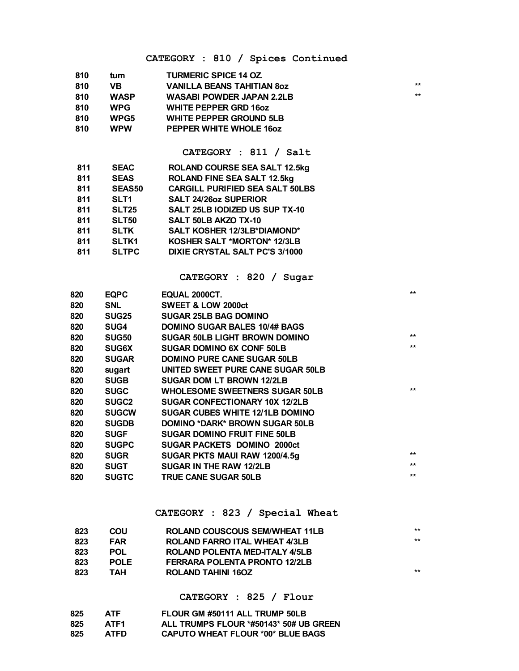## CATEGORY : 810 / Spices Continued

| 810  | tum               | <b>TURMERIC SPICE 14 OZ.</b>           |              |
|------|-------------------|----------------------------------------|--------------|
| 810  | VB.               | <b>VANILLA BEANS TAHITIAN 80Z</b>      | $\star\star$ |
| 810  | <b>WASP</b>       | <b>WASABI POWDER JAPAN 2.2LB</b>       | $\star\star$ |
| 810  | <b>WPG</b>        | <b>WHITE PEPPER GRD 160Z</b>           |              |
| 810  | WPG5              | <b>WHITE PEPPER GROUND 5LB</b>         |              |
| 810  | <b>WPW</b>        | PEPPER WHITE WHOLE 160Z                |              |
|      |                   |                                        |              |
|      |                   | CATEGORY : 811 / Salt                  |              |
| 811  | <b>SEAC</b>       | <b>ROLAND COURSE SEA SALT 12.5kg</b>   |              |
| 811  | <b>SEAS</b>       | <b>ROLAND FINE SEA SALT 12.5kg</b>     |              |
| 811  | <b>SEAS50</b>     | <b>CARGILL PURIFIED SEA SALT 50LBS</b> |              |
| 811  | SLT <sub>1</sub>  | <b>SALT 24/26oz SUPERIOR</b>           |              |
| 811  | <b>SLT25</b>      | SALT 25LB IODIZED US SUP TX-10         |              |
| 811  | <b>SLT50</b>      | <b>SALT 50LB AKZO TX-10</b>            |              |
| 811  | <b>SLTK</b>       | SALT KOSHER 12/3LB*DIAMOND*            |              |
| 811  | <b>SLTK1</b>      | KOSHER SALT *MORTON* 12/3LB            |              |
| 811  | <b>SLTPC</b>      | <b>DIXIE CRYSTAL SALT PC'S 3/1000</b>  |              |
|      |                   |                                        |              |
|      |                   | CATEGORY : 820 / Sugar                 |              |
| 820  | <b>EQPC</b>       | EQUAL 2000CT.                          | $***$        |
| 820  | <b>SNL</b>        | <b>SWEET &amp; LOW 2000ct</b>          |              |
| 820  | <b>SUG25</b>      | <b>SUGAR 25LB BAG DOMINO</b>           |              |
| 820  | SUG4              | <b>DOMINO SUGAR BALES 10/4# BAGS</b>   |              |
| 820  | <b>SUG50</b>      | <b>SUGAR 50LB LIGHT BROWN DOMINO</b>   | $***$        |
| 820  | <b>SUG6X</b>      | <b>SUGAR DOMINO 6X CONF 50LB</b>       | $**$         |
| 820  | <b>SUGAR</b>      | <b>DOMINO PURE CANE SUGAR 50LB</b>     |              |
| 820  | sugart            | UNITED SWEET PURE CANE SUGAR 50LB      |              |
| 820  | <b>SUGB</b>       | <b>SUGAR DOM LT BROWN 12/2LB</b>       |              |
| 820  | <b>SUGC</b>       | <b>WHOLESOME SWEETNERS SUGAR 50LB</b>  | $***$        |
| 820  | SUGC <sub>2</sub> | SUGAR CONFECTIONARY 10X 12/2LB         |              |
| 820  | <b>SUGCW</b>      | <b>SUGAR CUBES WHITE 12/1LB DOMINO</b> |              |
| 820  | <b>SUGDB</b>      | <b>DOMINO *DARK* BROWN SUGAR 50LB</b>  |              |
| 820  | <b>SUGF</b>       | <b>SUGAR DOMINO FRUIT FINE 50LB</b>    |              |
| 820  | <b>SUGPC</b>      | <b>SUGAR PACKETS DOMINO 2000ct</b>     |              |
| 820  | <b>SUGR</b>       | SUGAR PKTS MAUI RAW 1200/4.5g          | **           |
| 820  | <b>SUGT</b>       | <b>SUGAR IN THE RAW 12/2LB</b>         | $***$        |
| onn. | <b>CLICTO</b>     | TOLIE CANE CHCAD ENLD                  | $***$        |

#### CATEGORY : 823 / Special Wheat

| 823 | <b>COU</b>  | ROLAND COUSCOUS SEM/WHEAT 11LB       | $***$ |
|-----|-------------|--------------------------------------|-------|
| 823 | <b>FAR</b>  | ROLAND FARRO ITAL WHEAT 4/3LB        | $***$ |
| 823 | POL         | ROLAND POLENTA MED-ITALY 4/5LB       |       |
| 823 | <b>POLE</b> | <b>FERRARA POLENTA PRONTO 12/2LB</b> |       |
| 823 | ТАН         | ROLAND TAHINI 160Z                   | $***$ |

#### CATEGORY : 825 / Flour

| 825 | <b>ATF</b>  | FLOUR GM #50111 ALL TRUMP 50LB           |
|-----|-------------|------------------------------------------|
| 825 | ATF1        | ALL TRUMPS FLOUR *#50143* 50# UB GREEN   |
| 825 | <b>ATFD</b> | <b>CAPUTO WHEAT FLOUR *00* BLUE BAGS</b> |

820 SUGTC TRUE CANE SUGAR 50LB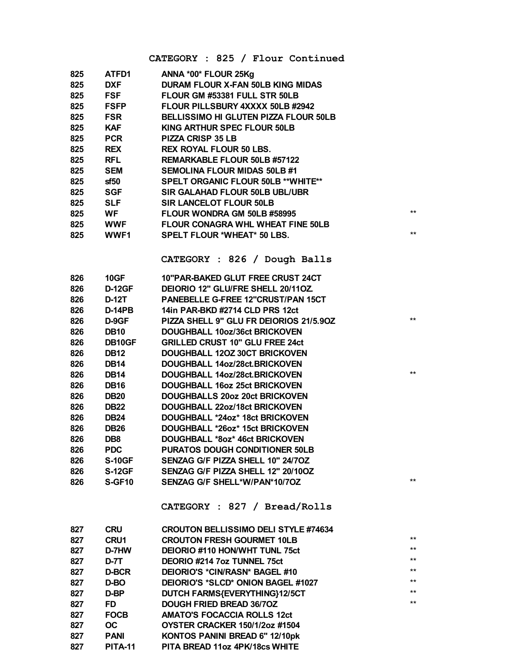CATEGORY : 825 / Flour Continued

 $\star\star$ 

 $\star\star$ 

 $**$ 

 $\star\star$ 

 $^{\star\star}$ 

| 825 | ATFD1         | ANNA *00* FLOUR 25Kg                       |
|-----|---------------|--------------------------------------------|
| 825 | <b>DXF</b>    | <b>DURAM FLOUR X-FAN 50LB KING MIDAS</b>   |
| 825 | <b>FSF</b>    | FLOUR GM #53381 FULL STR 50LB              |
| 825 | <b>FSFP</b>   | FLOUR PILLSBURY 4XXXX 50LB #2942           |
| 825 | <b>FSR</b>    | BELLISSIMO HI GLUTEN PIZZA FLOUR 50LB      |
| 825 | <b>KAF</b>    | KING ARTHUR SPEC FLOUR 50LB                |
| 825 | <b>PCR</b>    | <b>PIZZA CRISP 35 LB</b>                   |
| 825 | <b>REX</b>    | <b>REX ROYAL FLOUR 50 LBS.</b>             |
| 825 | <b>RFL</b>    | REMARKABLE FLOUR 50LB #57122               |
| 825 | <b>SEM</b>    | <b>SEMOLINA FLOUR MIDAS 50LB #1</b>        |
| 825 | sf50          | <b>SPELT ORGANIC FLOUR 50LB ** WHITE**</b> |
| 825 | SGF           | SIR GALAHAD FLOUR 50LB UBL/UBR             |
| 825 | <b>SLF</b>    | <b>SIR LANCELOT FLOUR 50LB</b>             |
| 825 | <b>WF</b>     | FLOUR WONDRA GM 50LB #58995                |
| 825 | <b>WWF</b>    | FLOUR CONAGRA WHL WHEAT FINE 50LB          |
| 825 | <b>WWF1</b>   | <b>SPELT FLOUR *WHEAT* 50 LBS.</b>         |
|     |               |                                            |
|     |               | CATEGORY : 826 / Dough Balls               |
| 826 | <b>10GF</b>   | 10"PAR-BAKED GLUT FREE CRUST 24CT          |
| 826 | <b>D-12GF</b> | DEIORIO 12" GLU/FRE SHELL 20/11OZ          |
| 826 | <b>D-12T</b>  | PANEBELLE G-FREE 12"CRUST/PAN 15CT         |
| 826 | D-14PB        | 14in PAR-BKD #2714 CLD PRS 12ct            |
| 826 | D-9GF         | PIZZA SHELL 9" GLU FR DEIORIOS 21/5.90Z    |
| 826 | <b>DB10</b>   | DOUGHBALL 10oz/36ct BRICKOVEN              |
| 826 | DB10GF        | <b>GRILLED CRUST 10" GLU FREE 24ct</b>     |
| 826 | <b>DB12</b>   | DOUGHBALL 120Z 30CT BRICKOVEN              |
| 826 | <b>DB14</b>   | DOUGHBALL 14oz/28ct.BRICKOVEN              |
| 826 | <b>DB14</b>   | DOUGHBALL 14oz/28ct.BRICKOVEN              |
| 826 | <b>DB16</b>   | DOUGHBALL 16oz 25ct BRICKOVEN              |
| 826 | <b>DB20</b>   | DOUGHBALLS 20oz 20ct BRICKOVEN             |
| 826 | <b>DB22</b>   | DOUGHBALL 22oz/18ct BRICKOVEN              |
| 826 | <b>DB24</b>   | DOUGHBALL *24oz* 18ct BRICKOVEN            |
| 826 | <b>DB26</b>   | DOUGHBALL *26oz* 15ct BRICKOVEN            |
| 826 | DB8           | DOUGHBALL *8oz* 46ct BRICKOVEN             |
| 826 | <b>PDC</b>    | PURATOS DOUGH CONDITIONER 50LB             |
| 826 | <b>S-10GF</b> | SENZAG G/F PIZZA SHELL 10" 24/7OZ          |
| 826 | <b>S-12GF</b> | SENZAG G/F PIZZA SHELL 12" 20/10OZ         |
| 826 | S-GF10        | SENZAG G/F SHELL*W/PAN*10/7OZ              |
|     |               |                                            |

#### CATEGORY : 827 / Bread/Rolls

| <b>CRU</b>     | <b>CROUTON BELLISSIMO DELI STYLE #74634</b> |       |
|----------------|---------------------------------------------|-------|
| <b>CRU1</b>    | <b>CROUTON FRESH GOURMET 10LB</b>           | $***$ |
| D-7HW          | DEIORIO #110 HON/WHT TUNL 75ct              | $***$ |
| D-7T           | DEORIO #214 7oz TUNNEL 75ct                 | $***$ |
| <b>D-BCR</b>   | DEIORIO'S *CIN/RASN* BAGEL #10              | $***$ |
| D-BO           | DEIORIO'S *SLCD* ONION BAGEL #1027          | $***$ |
| D-BP           | DUTCH FARMS{EVERYTHING}12/5CT               | $***$ |
| FD.            | <b>DOUGH FRIED BREAD 36/70Z</b>             | $***$ |
| <b>FOCB</b>    | <b>AMATO'S FOCACCIA ROLLS 12ct</b>          |       |
| OC.            | OYSTER CRACKER 150/1/2oz #1504              |       |
| <b>PANI</b>    | KONTOS PANINI BREAD 6" 12/10pk              |       |
| <b>PITA-11</b> | PITA BREAD 11oz 4PK/18cs WHITE              |       |
|                |                                             |       |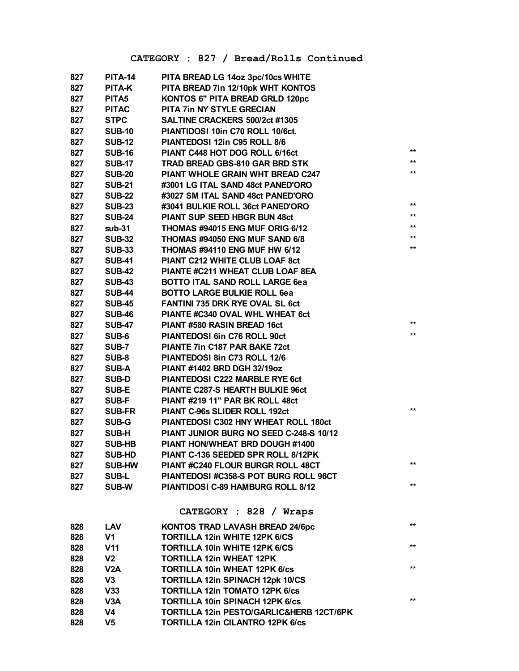## CATEGORY : 827 / Bread/Rolls Continued

| 827 | PITA-14           | PITA BREAD LG 14oz 3pc/10cs WHITE           |       |
|-----|-------------------|---------------------------------------------|-------|
| 827 | PITA-K            | PITA BREAD 7in 12/10pk WHT KONTOS           |       |
| 827 | PITA <sub>5</sub> | KONTOS 6" PITA BREAD GRLD 120pc             |       |
| 827 | <b>PITAC</b>      | PITA 7in NY STYLE GRECIAN                   |       |
| 827 | <b>STPC</b>       | SALTINE CRACKERS 500/2ct #1305              |       |
| 827 | <b>SUB-10</b>     | PIANTIDOSI 10in C70 ROLL 10/6ct.            |       |
| 827 | <b>SUB-12</b>     | PIANTEDOSI 12in C95 ROLL 8/6                |       |
| 827 | <b>SUB-16</b>     | PIANT C448 HOT DOG ROLL 6/16ct              | $***$ |
| 827 | <b>SUB-17</b>     | TRAD BREAD GBS-810 GAR BRD STK              | $***$ |
| 827 | <b>SUB-20</b>     | PIANT WHOLE GRAIN WHT BREAD C247            | $***$ |
| 827 | <b>SUB-21</b>     | #3001 LG ITAL SAND 48ct PANED'ORO           |       |
| 827 | <b>SUB-22</b>     | #3027 SM ITAL SAND 48ct PANED'ORO           |       |
| 827 | <b>SUB-23</b>     | #3041 BULKIE ROLL 36ct PANED'ORO            | $***$ |
| 827 | <b>SUB-24</b>     | <b>PIANT SUP SEED HBGR BUN 48ct</b>         | $***$ |
| 827 | $sub-31$          | THOMAS #94015 ENG MUF ORIG 6/12             | $***$ |
| 827 | <b>SUB-32</b>     | THOMAS #94050 ENG MUF SAND 6/8              | $***$ |
| 827 | <b>SUB-33</b>     | THOMAS #94110 ENG MUF HW 6/12               | $***$ |
| 827 | <b>SUB-41</b>     | PIANT C212 WHITE CLUB LOAF 8ct              |       |
| 827 | <b>SUB-42</b>     | PIANTE #C211 WHEAT CLUB LOAF 8EA            |       |
| 827 | <b>SUB-43</b>     | <b>BOTTO ITAL SAND ROLL LARGE 6ea</b>       |       |
| 827 | <b>SUB-44</b>     | <b>BOTTO LARGE BULKIE ROLL 6ea</b>          |       |
| 827 | <b>SUB-45</b>     | <b>FANTINI 735 DRK RYE OVAL SL 6ct</b>      |       |
| 827 | <b>SUB-46</b>     | PIANTE #C340 OVAL WHL WHEAT 6ct             |       |
| 827 | <b>SUB-47</b>     | PIANT #580 RASIN BREAD 16ct                 | $***$ |
| 827 | SUB-6             | PIANTEDOSI 6in C76 ROLL 90ct                | $***$ |
| 827 | <b>SUB-7</b>      | PIANTE 7in C187 PAR BAKE 72ct               |       |
| 827 | SUB-8             | PIANTEDOSI 8in C73 ROLL 12/6                |       |
| 827 | <b>SUB-A</b>      | PIANT #1402 BRD DGH 32/19oz                 |       |
| 827 | <b>SUB-D</b>      | PIANTEDOSI C222 MARBLE RYE 6ct              |       |
| 827 | SUB-E             | PIANTE C287-S HEARTH BULKIE 96ct            |       |
| 827 | SUB-F             | PIANT #219 11" PAR BK ROLL 48ct             |       |
| 827 | <b>SUB-FR</b>     | PIANT C-96s SLIDER ROLL 192ct               | $***$ |
| 827 | SUB-G             | <b>PIANTEDOSI C302 HNY WHEAT ROLL 180ct</b> |       |
| 827 | <b>SUB-H</b>      | PIANT JUNIOR BURG NO SEED C-248-S 10/12     |       |
| 827 | <b>SUB-HB</b>     | PIANT HON/WHEAT BRD DOUGH #1400             |       |
| 827 | <b>SUB-HD</b>     | PIANT C-136 SEEDED SPR ROLL 8/12PK          |       |
| 827 | <b>SUB-HW</b>     | PIANT #C240 FLOUR BURGR ROLL 48CT           | $***$ |
| 827 | <b>SUB-L</b>      | PIANTEDOSI #C358-S POT BURG ROLL 96CT       |       |
| 827 | <b>SUB-W</b>      | PIANTIDOSI C-89 HAMBURG ROLL 8/12           | $***$ |
|     |                   |                                             |       |
|     |                   | CATEGORY : 828 / Wraps                      |       |
| 828 | <b>LAV</b>        | KONTOS TRAD LAVASH BREAD 24/6pc             | $***$ |
| 828 | V1                | <b>TORTILLA 12in WHITE 12PK 6/CS</b>        |       |
| 828 | V <sub>11</sub>   | <b>TORTILLA 10in WHITE 12PK 6/CS</b>        | $***$ |
| 828 | V2                | <b>TORTILLA 12in WHEAT 12PK</b>             |       |
| 828 | V <sub>2</sub> A  | <b>TORTILLA 10in WHEAT 12PK 6/cs</b>        | $***$ |
| 828 | V3                | TORTILLA 12in SPINACH 12pk 10/CS            |       |
| 828 | V33               | <b>TORTILLA 12in TOMATO 12PK 6/cs</b>       |       |
| 828 | V3A               | <b>TORTILLA 10in SPINACH 12PK 6/cs</b>      | $***$ |
| 828 | V4                | TORTILLA 12in PESTO/GARLIC&HERB 12CT/6PK    |       |
| 828 | V5                | <b>TORTILLA 12in CILANTRO 12PK 6/cs</b>     |       |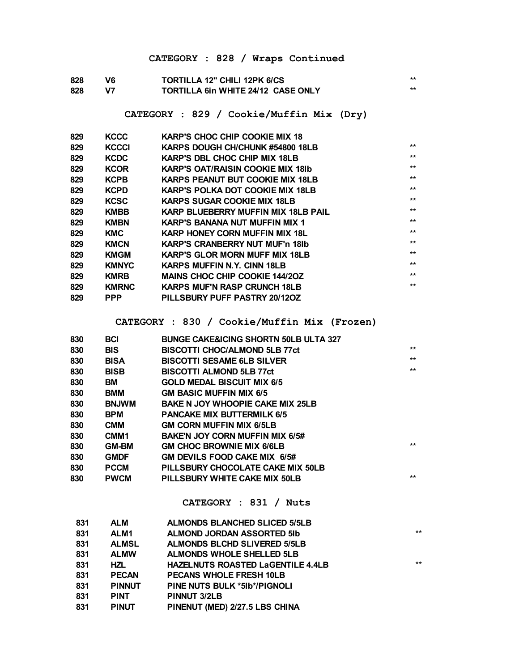## **CATEGORY : 828 / Wraps Continued**

| 828 | V6 | <b>TORTILLA 12" CHILI 12PK 6/CS</b>       | $\star\star$ |
|-----|----|-------------------------------------------|--------------|
| 828 | V7 | <b>TORTILLA 6in WHITE 24/12 CASE ONLY</b> |              |

#### **CATEGORY : 829 / Cookie/Muffin Mix (Dry)**

| 829 | <b>KCCC</b>  | <b>KARP'S CHOC CHIP COOKIE MIX 18</b>    |       |
|-----|--------------|------------------------------------------|-------|
| 829 | <b>KCCCI</b> | KARPS DOUGH CH/CHUNK #54800 18LB         | $***$ |
| 829 | <b>KCDC</b>  | <b>KARP'S DBL CHOC CHIP MIX 18LB</b>     | $***$ |
| 829 | <b>KCOR</b>  | <b>KARP'S OAT/RAISIN COOKIE MIX 18Ib</b> | $***$ |
| 829 | <b>KCPB</b>  | <b>KARPS PEANUT BUT COOKIE MIX 18LB</b>  | $***$ |
| 829 | <b>KCPD</b>  | <b>KARP'S POLKA DOT COOKIE MIX 18LB</b>  | $***$ |
| 829 | <b>KCSC</b>  | <b>KARPS SUGAR COOKIE MIX 18LB</b>       | $***$ |
| 829 | <b>KMBB</b>  | KARP BLUEBERRY MUFFIN MIX 18LB PAIL      | $***$ |
| 829 | <b>KMBN</b>  | <b>KARP'S BANANA NUT MUFFIN MIX 1</b>    | $***$ |
| 829 | KMC          | <b>KARP HONEY CORN MUFFIN MIX 18L</b>    | $***$ |
| 829 | <b>KMCN</b>  | <b>KARP'S CRANBERRY NUT MUF'n 181b</b>   | $***$ |
| 829 | <b>KMGM</b>  | <b>KARP'S GLOR MORN MUFF MIX 18LB</b>    | $***$ |
| 829 | <b>KMNYC</b> | <b>KARPS MUFFIN N.Y. CINN 18LB</b>       | $***$ |
| 829 | <b>KMRB</b>  | <b>MAINS CHOC CHIP COOKIE 144/20Z</b>    | $***$ |
| 829 | <b>KMRNC</b> | <b>KARPS MUF'N RASP CRUNCH 18LB</b>      | $***$ |
| 829 | <b>PPP</b>   | PILLSBURY PUFF PASTRY 20/12OZ            |       |

#### **CATEGORY : 830 / Cookie/Muffin Mix (Frozen)**

| 830 | <b>BCI</b>       | <b>BUNGE CAKE&amp;ICING SHORTN 50LB ULTA 327</b> |       |
|-----|------------------|--------------------------------------------------|-------|
| 830 | <b>BIS</b>       | <b>BISCOTTI CHOC/ALMOND 5LB 77ct</b>             | $***$ |
| 830 | <b>BISA</b>      | <b>BISCOTTI SESAME 6LB SILVER</b>                | $***$ |
| 830 | <b>BISB</b>      | <b>BISCOTTI ALMOND 5LB 77ct</b>                  | $***$ |
| 830 | ВM               | <b>GOLD MEDAL BISCUIT MIX 6/5</b>                |       |
| 830 | <b>BMM</b>       | <b>GM BASIC MUFFIN MIX 6/5</b>                   |       |
| 830 | <b>BNJWM</b>     | <b>BAKE N JOY WHOOPIE CAKE MIX 25LB</b>          |       |
| 830 | <b>BPM</b>       | <b>PANCAKE MIX BUTTERMILK 6/5</b>                |       |
| 830 | <b>CMM</b>       | <b>GM CORN MUFFIN MIX 6/5LB</b>                  |       |
| 830 | CMM <sub>1</sub> | BAKE'N JOY CORN MUFFIN MIX 6/5#                  |       |
| 830 | <b>GM-BM</b>     | <b>GM CHOC BROWNIE MIX 6/6LB</b>                 | $***$ |
| 830 | <b>GMDF</b>      | GM DEVILS FOOD CAKE MIX 6/5#                     |       |
| 830 | <b>PCCM</b>      | PILLSBURY CHOCOLATE CAKE MIX 50LB                |       |
| 830 | <b>PWCM</b>      | PILLSBURY WHITE CAKE MIX 50LB                    | $***$ |
|     |                  |                                                  |       |

#### **CATEGORY : 831 / Nuts**

| 831 | <b>ALM</b>    | <b>ALMONDS BLANCHED SLICED 5/5LB</b>     |       |
|-----|---------------|------------------------------------------|-------|
| 831 | ALM1          | <b>ALMOND JORDAN ASSORTED 5ID</b>        | $***$ |
| 831 | <b>ALMSL</b>  | <b>ALMONDS BLCHD SLIVERED 5/5LB</b>      |       |
| 831 | <b>ALMW</b>   | <b>ALMONDS WHOLE SHELLED 5LB</b>         |       |
| 831 | <b>HZL</b>    | <b>HAZELNUTS ROASTED LaGENTILE 4.4LB</b> | $**$  |
| 831 | <b>PECAN</b>  | <b>PECANS WHOLE FRESH 10LB</b>           |       |
| 831 | <b>PINNUT</b> | PINE NUTS BULK *51b*/PIGNOLI             |       |
| 831 | <b>PINT</b>   | PINNUT 3/2LB                             |       |
| 831 | <b>PINUT</b>  | PINENUT (MED) 2/27.5 LBS CHINA           |       |
|     |               |                                          |       |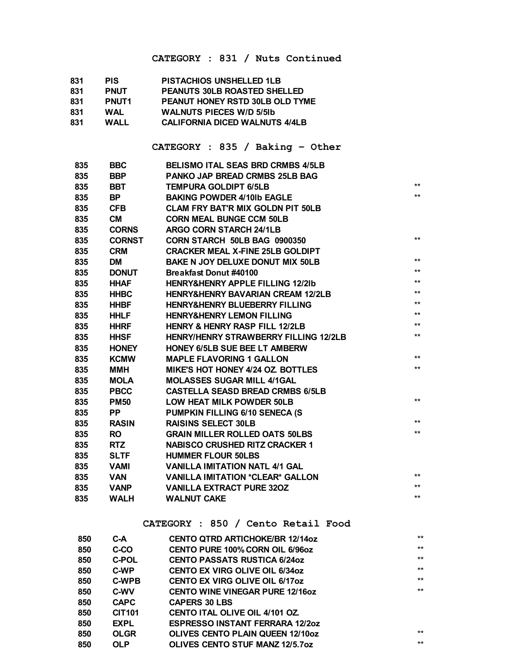#### **CATEGORY : 831 / Nuts Continued**

| 831 | <b>PIS</b>   | <b>PISTACHIOS UNSHELLED 1LB</b>        |
|-----|--------------|----------------------------------------|
| 831 | <b>PNUT</b>  | <b>PEANUTS 30LB ROASTED SHELLED</b>    |
| 831 | <b>PNUT1</b> | <b>PEANUT HONEY RSTD 30LB OLD TYME</b> |
| 831 | <b>WAL</b>   | <b>WALNUTS PIECES W/D 5/51b</b>        |
| 831 | <b>WALL</b>  | <b>CALIFORNIA DICED WALNUTS 4/4LB</b>  |

#### **CATEGORY : 835 / Baking – Other**

| 835 | <b>BBC</b>    | <b>BELISMO ITAL SEAS BRD CRMBS 4/5LB</b>     |       |
|-----|---------------|----------------------------------------------|-------|
| 835 | <b>BBP</b>    | PANKO JAP BREAD CRMBS 25LB BAG               |       |
| 835 | <b>BBT</b>    | <b>TEMPURA GOLDIPT 6/5LB</b>                 | $**$  |
| 835 | <b>BP</b>     | <b>BAKING POWDER 4/10Ib EAGLE</b>            | $**$  |
| 835 | <b>CFB</b>    | <b>CLAM FRY BAT'R MIX GOLDN PIT 50LB</b>     |       |
| 835 | <b>CM</b>     | <b>CORN MEAL BUNGE CCM 50LB</b>              |       |
| 835 | <b>CORNS</b>  | <b>ARGO CORN STARCH 24/1LB</b>               |       |
| 835 | <b>CORNST</b> | CORN STARCH 50LB BAG 0900350                 | $***$ |
| 835 | <b>CRM</b>    | <b>CRACKER MEAL X-FINE 25LB GOLDIPT</b>      |       |
| 835 | <b>DM</b>     | <b>BAKE N JOY DELUXE DONUT MIX 50LB</b>      | $***$ |
| 835 | <b>DONUT</b>  | Breakfast Donut #40100                       | $***$ |
| 835 | <b>HHAF</b>   | <b>HENRY&amp;HENRY APPLE FILLING 12/2Ib</b>  | $***$ |
| 835 | <b>HHBC</b>   | <b>HENRY&amp;HENRY BAVARIAN CREAM 12/2LB</b> | $***$ |
| 835 | <b>HHBF</b>   | <b>HENRY&amp;HENRY BLUEBERRY FILLING</b>     | $***$ |
| 835 | <b>HHLF</b>   | <b>HENRY&amp;HENRY LEMON FILLING</b>         | $***$ |
| 835 | <b>HHRF</b>   | <b>HENRY &amp; HENRY RASP FILL 12/2LB</b>    | $***$ |
| 835 | <b>HHSF</b>   | <b>HENRY/HENRY STRAWBERRY FILLING 12/2LB</b> | $***$ |
| 835 | <b>HONEY</b>  | <b>HONEY 6/5LB SUE BEE LT AMBERW</b>         |       |
| 835 | <b>KCMW</b>   | <b>MAPLE FLAVORING 1 GALLON</b>              | $***$ |
| 835 | ММН           | <b>MIKE'S HOT HONEY 4/24 OZ. BOTTLES</b>     | $**$  |
| 835 | <b>MOLA</b>   | <b>MOLASSES SUGAR MILL 4/1GAL</b>            |       |
| 835 | <b>PBCC</b>   | <b>CASTELLA SEASD BREAD CRMBS 6/5LB</b>      |       |
| 835 | <b>PM50</b>   | <b>LOW HEAT MILK POWDER 50LB</b>             | $***$ |
| 835 | <b>PP</b>     | <b>PUMPKIN FILLING 6/10 SENECA (S</b>        |       |
| 835 | <b>RASIN</b>  | <b>RAISINS SELECT 30LB</b>                   | $**$  |
| 835 | <b>RO</b>     | <b>GRAIN MILLER ROLLED OATS 50LBS</b>        | $***$ |
| 835 | <b>RTZ</b>    | <b>NABISCO CRUSHED RITZ CRACKER 1</b>        |       |
| 835 | <b>SLTF</b>   | <b>HUMMER FLOUR 50LBS</b>                    |       |
| 835 | <b>VAMI</b>   | <b>VANILLA IMITATION NATL 4/1 GAL</b>        |       |
| 835 | <b>VAN</b>    | <b>VANILLA IMITATION *CLEAR* GALLON</b>      | $***$ |
| 835 | <b>VANP</b>   | <b>VANILLA EXTRACT PURE 320Z</b>             | $***$ |
| 835 | <b>WALH</b>   | <b>WALNUT CAKE</b>                           | $***$ |
|     |               |                                              |       |

#### **CATEGORY : 850 / Cento Retail Food**

| 850 | C-A           | <b>CENTO QTRD ARTICHOKE/BR 12/14oz</b>  | $***$ |
|-----|---------------|-----------------------------------------|-------|
| 850 | C-CO          | <b>CENTO PURE 100% CORN OIL 6/96oz</b>  | $***$ |
| 850 | <b>C-POL</b>  | <b>CENTO PASSATS RUSTICA 6/24oz</b>     | $***$ |
| 850 | C-WP          | <b>CENTO EX VIRG OLIVE OIL 6/34oz</b>   | $***$ |
| 850 | <b>C-WPB</b>  | <b>CENTO EX VIRG OLIVE OIL 6/17oz</b>   | $***$ |
| 850 | <b>C-WV</b>   | <b>CENTO WINE VINEGAR PURE 12/160Z</b>  | $***$ |
| 850 | <b>CAPC</b>   | <b>CAPERS 30 LBS</b>                    |       |
| 850 | <b>CIT101</b> | <b>CENTO ITAL OLIVE OIL 4/101 OZ.</b>   |       |
| 850 | <b>EXPL</b>   | <b>ESPRESSO INSTANT FERRARA 12/20Z</b>  |       |
| 850 | <b>OLGR</b>   | <b>OLIVES CENTO PLAIN QUEEN 12/100Z</b> | $***$ |
| 850 | <b>OLP</b>    | <b>OLIVES CENTO STUF MANZ 12/5.70Z</b>  | $***$ |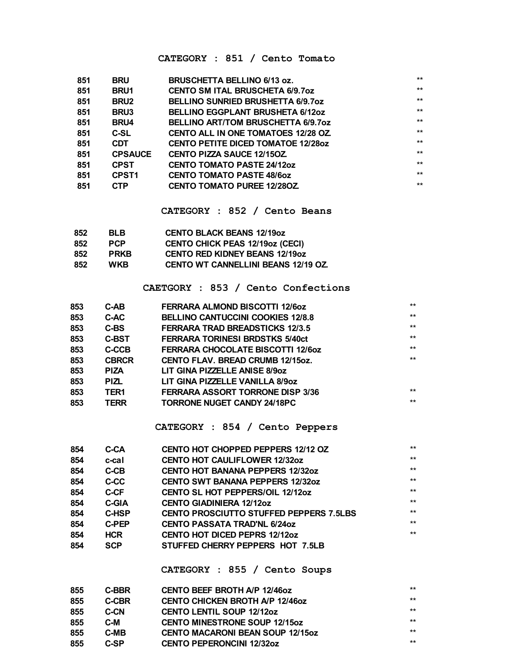#### CATEGORY : 851 / Cento Tomato

| 851 | <b>BRU</b>        | <b>BRUSCHETTA BELLINO 6/13 oz.</b>         | $***$ |
|-----|-------------------|--------------------------------------------|-------|
| 851 | <b>BRU1</b>       | <b>CENTO SM ITAL BRUSCHETA 6/9.70Z</b>     | $***$ |
| 851 | <b>BRU2</b>       | <b>BELLINO SUNRIED BRUSHETTA 6/9.7oz</b>   | $***$ |
| 851 | <b>BRU3</b>       | <b>BELLINO EGGPLANT BRUSHETA 6/12oz</b>    | $***$ |
| 851 | <b>BRU4</b>       | <b>BELLINO ART/TOM BRUSCHETTA 6/9.7oz</b>  | $***$ |
| 851 | C-SL              | <b>CENTO ALL IN ONE TOMATOES 12/28 OZ.</b> | $***$ |
| 851 | <b>CDT</b>        | <b>CENTO PETITE DICED TOMATOE 12/280Z</b>  | $***$ |
| 851 | <b>CPSAUCE</b>    | <b>CENTO PIZZA SAUCE 12/150Z.</b>          | $***$ |
| 851 | <b>CPST</b>       | <b>CENTO TOMATO PASTE 24/12oz</b>          | $***$ |
| 851 | CPST <sub>1</sub> | <b>CENTO TOMATO PASTE 48/60Z</b>           | $***$ |
| 851 | <b>CTP</b>        | <b>CENTO TOMATO PUREE 12/280Z.</b>         | $***$ |

CATEGORY : 852 / Cento Beans

| 852 | <b>BLB</b>  | <b>CENTO BLACK BEANS 12/19oz</b>           |
|-----|-------------|--------------------------------------------|
| 852 | <b>PCP</b>  | <b>CENTO CHICK PEAS 12/19oz (CECI)</b>     |
| 852 | <b>PRKB</b> | <b>CENTO RED KIDNEY BEANS 12/190Z</b>      |
| 852 | <b>WKB</b>  | <b>CENTO WT CANNELLINI BEANS 12/19 OZ.</b> |

CAETGORY : 853 / Cento Confections

| 853<br>C-AC<br><b>BELLINO CANTUCCINI COOKIES 12/8.8</b><br>853<br>C-BS<br><b>FERRARA TRAD BREADSTICKS 12/3.5</b><br>853<br><b>C-BST</b><br><b>FERRARA TORINESI BRDSTKS 5/40ct</b><br>853<br>C-CCB<br><b>FERRARA CHOCOLATE BISCOTTI 12/6oz</b><br>853<br><b>CBRCR</b><br><b>CENTO FLAV. BREAD CRUMB 12/15oz.</b><br>853<br>LIT GINA PIZZELLE ANISE 8/90Z<br><b>PIZA</b><br>853<br>LIT GINA PIZZELLE VANILLA 8/90Z<br><b>PIZL</b><br>853<br><b>FERRARA ASSORT TORRONE DISP 3/36</b><br>TER <sub>1</sub><br>853<br><b>TERR</b><br>TORRONE NUGET CANDY 24/18PC | 853 | $C-AB$ | <b>FERRARA ALMOND BISCOTTI 12/60Z</b> | $***$ |
|------------------------------------------------------------------------------------------------------------------------------------------------------------------------------------------------------------------------------------------------------------------------------------------------------------------------------------------------------------------------------------------------------------------------------------------------------------------------------------------------------------------------------------------------------------|-----|--------|---------------------------------------|-------|
|                                                                                                                                                                                                                                                                                                                                                                                                                                                                                                                                                            |     |        |                                       | $***$ |
|                                                                                                                                                                                                                                                                                                                                                                                                                                                                                                                                                            |     |        |                                       | $***$ |
|                                                                                                                                                                                                                                                                                                                                                                                                                                                                                                                                                            |     |        |                                       | $***$ |
|                                                                                                                                                                                                                                                                                                                                                                                                                                                                                                                                                            |     |        |                                       | $***$ |
|                                                                                                                                                                                                                                                                                                                                                                                                                                                                                                                                                            |     |        |                                       | $***$ |
|                                                                                                                                                                                                                                                                                                                                                                                                                                                                                                                                                            |     |        |                                       |       |
|                                                                                                                                                                                                                                                                                                                                                                                                                                                                                                                                                            |     |        |                                       |       |
|                                                                                                                                                                                                                                                                                                                                                                                                                                                                                                                                                            |     |        |                                       | $***$ |
|                                                                                                                                                                                                                                                                                                                                                                                                                                                                                                                                                            |     |        |                                       | $***$ |

CATEGORY : 854 / Cento Peppers

| 854 | C-CA         | <b>CENTO HOT CHOPPED PEPPERS 12/12 OZ</b>      | $***$ |
|-----|--------------|------------------------------------------------|-------|
| 854 | c-cal        | <b>CENTO HOT CAULIFLOWER 12/32oz</b>           | $***$ |
| 854 | C-CB         | <b>CENTO HOT BANANA PEPPERS 12/32oz</b>        | $***$ |
| 854 | C-CC         | <b>CENTO SWT BANANA PEPPERS 12/32oz</b>        | $***$ |
| 854 | C-CF         | <b>CENTO SL HOT PEPPERS/OIL 12/12oz</b>        | $***$ |
| 854 | <b>C-GIA</b> | <b>CENTO GIADINIERA 12/12oz</b>                | $***$ |
| 854 | C-HSP        | <b>CENTO PROSCIUTTO STUFFED PEPPERS 7.5LBS</b> | $***$ |
| 854 | <b>C-PEP</b> | <b>CENTO PASSATA TRAD'NL 6/24oz</b>            | $***$ |
| 854 | <b>HCR</b>   | <b>CENTO HOT DICED PEPRS 12/12oz</b>           | $***$ |
| 854 | <b>SCP</b>   | STUFFED CHERRY PEPPERS HOT 7.5LB               |       |

CATEGORY : 855 / Cento Soups

| 855 | C-BBR | <b>CENTO BEEF BROTH A/P 12/46oz</b>     | $***$ |
|-----|-------|-----------------------------------------|-------|
| 855 | C-CBR | <b>CENTO CHICKEN BROTH A/P 12/460Z</b>  | $***$ |
| 855 | C-CN  | <b>CENTO LENTIL SOUP 12/12oz</b>        | $***$ |
| 855 | C-M   | <b>CENTO MINESTRONE SOUP 12/150Z</b>    | $***$ |
| 855 | C-MB  | <b>CENTO MACARONI BEAN SOUP 12/150Z</b> | $***$ |
| 855 | C-SP  | <b>CENTO PEPERONCINI 12/32oz</b>        | $***$ |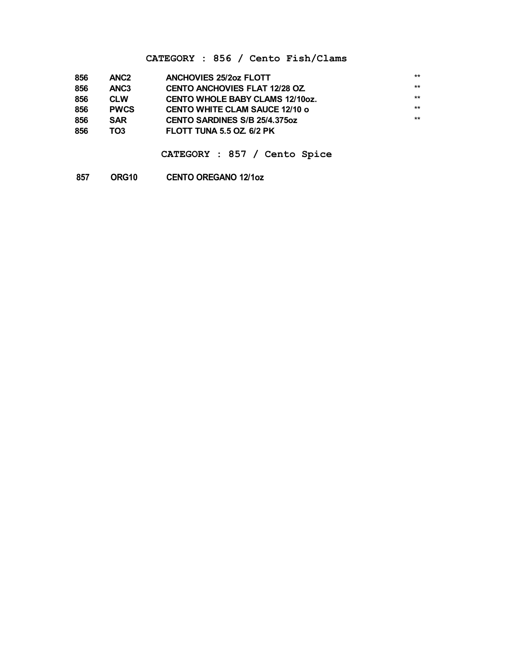#### **CATEGORY : 856 / Cento Fish/Clams**

| 856 | ANC <sub>2</sub> | <b>ANCHOVIES 25/20Z FLOTT</b>          | $***$ |
|-----|------------------|----------------------------------------|-------|
| 856 | ANC <sub>3</sub> | <b>CENTO ANCHOVIES FLAT 12/28 OZ</b>   | $***$ |
| 856 | <b>CLW</b>       | <b>CENTO WHOLE BABY CLAMS 12/10oz.</b> | $***$ |
| 856 | <b>PWCS</b>      | <b>CENTO WHITE CLAM SAUCE 12/10 o</b>  | $***$ |
| 856 | <b>SAR</b>       | CENTO SARDINES S/B 25/4.375oz          | $***$ |
| 856 | TO3              | FLOTT TUNA 5.5 OZ. 6/2 PK              |       |

**CATEGORY : 857 / Cento Spice**

**ORG10 CENTO OREGANO 12/1oz**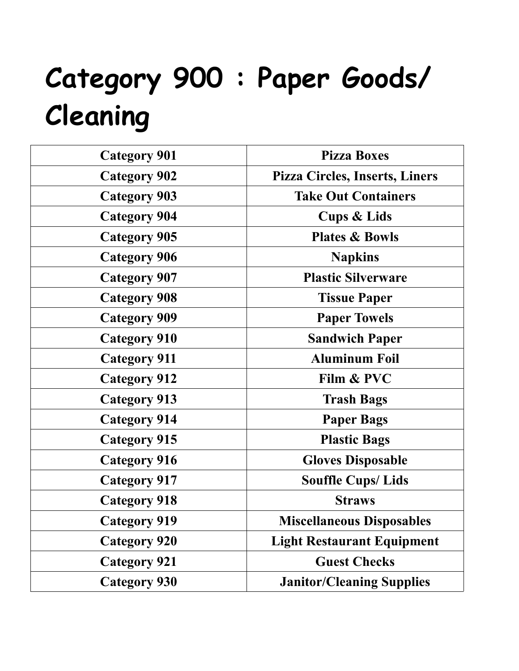# **Category 900 : Paper Goods/ Cleaning**

| <b>Category 901</b> | <b>Pizza Boxes</b>                    |
|---------------------|---------------------------------------|
| <b>Category 902</b> | <b>Pizza Circles, Inserts, Liners</b> |
| <b>Category 903</b> | <b>Take Out Containers</b>            |
| <b>Category 904</b> | <b>Cups &amp; Lids</b>                |
| <b>Category 905</b> | <b>Plates &amp; Bowls</b>             |
| <b>Category 906</b> | <b>Napkins</b>                        |
| <b>Category 907</b> | <b>Plastic Silverware</b>             |
| <b>Category 908</b> | <b>Tissue Paper</b>                   |
| <b>Category 909</b> | <b>Paper Towels</b>                   |
| <b>Category 910</b> | <b>Sandwich Paper</b>                 |
| <b>Category 911</b> | <b>Aluminum Foil</b>                  |
| <b>Category 912</b> | Film & PVC                            |
| <b>Category 913</b> | <b>Trash Bags</b>                     |
| <b>Category 914</b> | <b>Paper Bags</b>                     |
| <b>Category 915</b> | <b>Plastic Bags</b>                   |
| <b>Category 916</b> | <b>Gloves Disposable</b>              |
| <b>Category 917</b> | <b>Souffle Cups/Lids</b>              |
| <b>Category 918</b> | <b>Straws</b>                         |
| <b>Category 919</b> | <b>Miscellaneous Disposables</b>      |
| <b>Category 920</b> | <b>Light Restaurant Equipment</b>     |
| <b>Category 921</b> | <b>Guest Checks</b>                   |
| <b>Category 930</b> | <b>Janitor/Cleaning Supplies</b>      |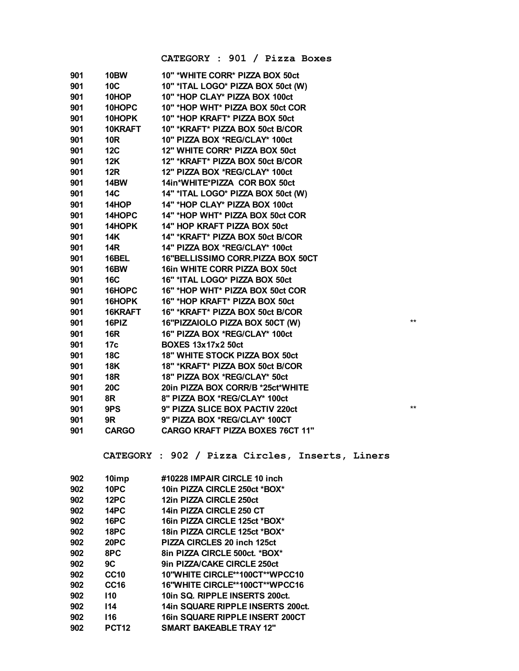**CATEGORY : 901 / Pizza Boxes**

| 901 | <b>10BW</b>  | 10" *WHITE CORR* PIZZA BOX 50ct         |                 |
|-----|--------------|-----------------------------------------|-----------------|
| 901 | <b>10C</b>   | 10" *ITAL LOGO* PIZZA BOX 50ct (W)      |                 |
| 901 | 10HOP        | 10" *HOP CLAY* PIZZA BOX 100ct          |                 |
| 901 | 10HOPC       | 10" *HOP WHT* PIZZA BOX 50ct COR        |                 |
| 901 | 10HOPK       | 10" *HOP KRAFT* PIZZA BOX 50ct          |                 |
| 901 | 10KRAFT      | 10" *KRAFT* PIZZA BOX 50ct B/COR        |                 |
| 901 | <b>10R</b>   | 10" PIZZA BOX *REG/CLAY* 100ct          |                 |
| 901 | <b>12C</b>   | 12" WHITE CORR* PIZZA BOX 50ct          |                 |
| 901 | 12K          | 12" *KRAFT* PIZZA BOX 50ct B/COR        |                 |
| 901 | <b>12R</b>   | 12" PIZZA BOX *REG/CLAY* 100ct          |                 |
| 901 | <b>14BW</b>  | 14in*WHITE*PIZZA COR BOX 50ct           |                 |
| 901 | 14C          | 14" *ITAL LOGO* PIZZA BOX 50ct (W)      |                 |
| 901 | 14HOP        | 14" *HOP CLAY* PIZZA BOX 100ct          |                 |
| 901 | 14HOPC       | 14" *HOP WHT* PIZZA BOX 50ct COR        |                 |
| 901 | 14HOPK       | 14" HOP KRAFT PIZZA BOX 50ct            |                 |
| 901 | <b>14K</b>   | 14" *KRAFT* PIZZA BOX 50ct B/COR        |                 |
| 901 | <b>14R</b>   | 14" PIZZA BOX *REG/CLAY* 100ct          |                 |
| 901 | 16BEL        | 16"BELLISSIMO CORR.PIZZA BOX 50CT       |                 |
| 901 | <b>16BW</b>  | 16in WHITE CORR PIZZA BOX 50ct          |                 |
| 901 | <b>16C</b>   | 16" *ITAL LOGO* PIZZA BOX 50ct          |                 |
| 901 | 16HOPC       | 16" *HOP WHT* PIZZA BOX 50ct COR        |                 |
| 901 | 16HOPK       | 16" *HOP KRAFT* PIZZA BOX 50ct          |                 |
| 901 | 16KRAFT      | 16" *KRAFT* PIZZA BOX 50ct B/COR        |                 |
| 901 | 16PIZ        | 16"PIZZAIOLO PIZZA BOX 50CT (W)         | $***$           |
| 901 | <b>16R</b>   | 16" PIZZA BOX *REG/CLAY* 100ct          |                 |
| 901 | 17c          | <b>BOXES 13x17x2 50ct</b>               |                 |
| 901 | <b>18C</b>   | <b>18" WHITE STOCK PIZZA BOX 50ct</b>   |                 |
| 901 | <b>18K</b>   | 18" *KRAFT* PIZZA BOX 50ct B/COR        |                 |
| 901 | <b>18R</b>   | 18" PIZZA BOX *REG/CLAY* 50ct           |                 |
| 901 | <b>20C</b>   | 20in PIZZA BOX CORR/B *25ct*WHITE       |                 |
| 901 | 8R           | 8" PIZZA BOX *REG/CLAY* 100ct           |                 |
| 901 | 9PS          | 9" PIZZA SLICE BOX PACTIV 220ct         | $^{\star\star}$ |
| 901 | 9R           | 9" PIZZA BOX *REG/CLAY* 100CT           |                 |
| 901 | <b>CARGO</b> | <b>CARGO KRAFT PIZZA BOXES 76CT 11"</b> |                 |
|     |              |                                         |                 |

**CATEGORY : 902 / Pizza Circles, Inserts, Liners**

| 10imp             | #10228 IMPAIR CIRCLE 10 inch           |
|-------------------|----------------------------------------|
| 10PC              | 10in PIZZA CIRCLE 250ct *BOX*          |
| 12PC              | 12in PIZZA CIRCLE 250ct                |
| <b>14PC</b>       | 14in PIZZA CIRCLE 250 CT               |
| <b>16PC</b>       | 16in PIZZA CIRCLE 125ct *BOX*          |
| 18PC              | 18in PIZZA CIRCLE 125ct *BOX*          |
| 20PC              | PIZZA CIRCLES 20 inch 125ct            |
| 8PC               | 8in PIZZA CIRCLE 500ct. *BOX*          |
| 9C                | 9in PIZZA/CAKE CIRCLE 250ct            |
| <b>CC10</b>       | 10"WHITE CIRCLE**100CT**WPCC10         |
| CC <sub>16</sub>  | 16"WHITE CIRCLE**100CT**WPCC16         |
| 110               | 10in SQ. RIPPLE INSERTS 200ct.         |
| 114               | 14in SQUARE RIPPLE INSERTS 200ct.      |
| 116               | <b>16in SQUARE RIPPLE INSERT 200CT</b> |
| PCT <sub>12</sub> | <b>SMART BAKEABLE TRAY 12"</b>         |
|                   |                                        |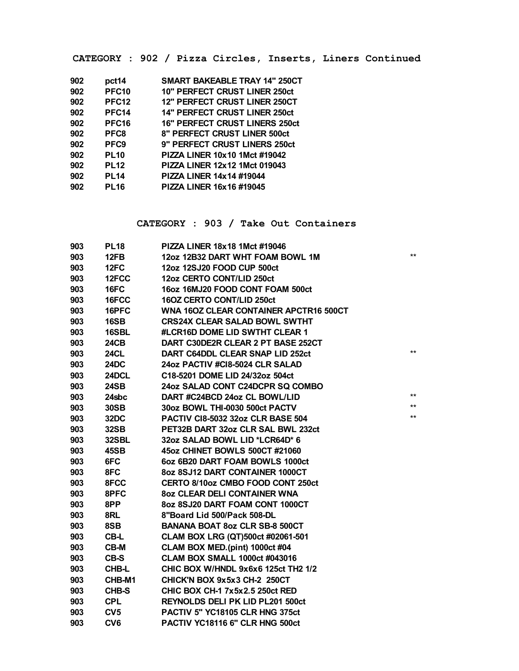**CATEGORY : 902 / Pizza Circles, Inserts, Liners Continued**

| pct14             | <b>SMART BAKEABLE TRAY 14" 250CT</b>  |
|-------------------|---------------------------------------|
| <b>PFC10</b>      | 10" PERFECT CRUST LINER 250ct         |
| PFC <sub>12</sub> | <b>12" PERFECT CRUST LINER 250CT</b>  |
| PFC <sub>14</sub> | <b>14" PERFECT CRUST LINER 250ct</b>  |
| <b>PFC16</b>      | <b>16" PERFECT CRUST LINERS 250ct</b> |
| PFC8              | 8" PERFECT CRUST LINER 500ct          |
| PFC <sub>9</sub>  | 9" PERFECT CRUST LINERS 250ct         |
| <b>PL10</b>       | PIZZA LINER 10x10 1Mct #19042         |
| <b>PL12</b>       | PIZZA LINER 12x12 1Mct 019043         |
| <b>PL14</b>       | PIZZA LINER 14x14 #19044              |
| <b>PL16</b>       | PIZZA LINER 16x16 #19045              |
|                   |                                       |

#### **CATEGORY : 903 / Take Out Containers**

| 903 | <b>PL18</b>     | PIZZA LINER 18x18 1Mct #19046            |       |
|-----|-----------------|------------------------------------------|-------|
| 903 | 12FB            | 12oz 12B32 DART WHT FOAM BOWL 1M         | $***$ |
| 903 | 12FC            | 12oz 12SJ20 FOOD CUP 500ct               |       |
| 903 | 12FCC           | 12oz CERTO CONT/LID 250ct                |       |
| 903 | 16FC            | 16oz 16MJ20 FOOD CONT FOAM 500ct         |       |
| 903 | 16FCC           | 16OZ CERTO CONT/LID 250ct                |       |
| 903 | 16PFC           | WNA 160Z CLEAR CONTAINER APCTR16 500CT   |       |
| 903 | 16SB            | <b>CRS24X CLEAR SALAD BOWL SWTHT</b>     |       |
| 903 | 16SBL           | #LCR16D DOME LID SWTHT CLEAR 1           |       |
| 903 | <b>24CB</b>     | DART C30DE2R CLEAR 2 PT BASE 252CT       |       |
| 903 | <b>24CL</b>     | DART C64DDL CLEAR SNAP LID 252ct         | $***$ |
| 903 | 24DC            | 24oz PACTIV #CI8-5024 CLR SALAD          |       |
| 903 | 24DCL           | C18-5201 DOME LID 24/32oz 504ct          |       |
| 903 | <b>24SB</b>     | 24oz SALAD CONT C24DCPR SQ COMBO         |       |
| 903 | 24sbc           | DART #C24BCD 24oz CL BOWL/LID            | $***$ |
| 903 | <b>30SB</b>     | 30oz BOWL THI-0030 500ct PACTV           | $***$ |
| 903 | 32DC            | <b>PACTIV CI8-5032 32oz CLR BASE 504</b> | $***$ |
| 903 | 32SB            | PET32B DART 32oz CLR SAL BWL 232ct       |       |
| 903 | 32SBL           | 32oz SALAD BOWL LID *LCR64D* 6           |       |
| 903 | 45SB            | 45oz CHINET BOWLS 500CT #21060           |       |
| 903 | 6FC             | 6oz 6B20 DART FOAM BOWLS 1000ct          |       |
| 903 | 8FC             | 8oz 8SJ12 DART CONTAINER 1000CT          |       |
| 903 | 8FCC            | CERTO 8/10oz CMBO FOOD CONT 250ct        |       |
| 903 | 8PFC            | <b>80Z CLEAR DELI CONTAINER WNA</b>      |       |
| 903 | 8PP             | 8oz 8SJ20 DART FOAM CONT 1000CT          |       |
| 903 | 8RL             | 8"Board Lid 500/Pack 508-DL              |       |
| 903 | 8SB             | <b>BANANA BOAT 8oz CLR SB-8 500CT</b>    |       |
| 903 | CB-L            | CLAM BOX LRG (QT)500ct #02061-501        |       |
| 903 | <b>CB-M</b>     | CLAM BOX MED.(pint) 1000ct #04           |       |
| 903 | CB-S            | <b>CLAM BOX SMALL 1000ct #043016</b>     |       |
| 903 | CHB-L           | CHIC BOX W/HNDL 9x6x6 125ct TH2 1/2      |       |
| 903 | CHB-M1          | CHICK'N BOX 9x5x3 CH-2 250CT             |       |
| 903 | CHB-S           | <b>CHIC BOX CH-1 7x5x2.5 250ct RED</b>   |       |
| 903 | <b>CPL</b>      | <b>REYNOLDS DELI PK LID PL201 500ct</b>  |       |
| 903 | CV <sub>5</sub> | PACTIV 5" YC18105 CLR HNG 375ct          |       |
| 903 | CV <sub>6</sub> | PACTIV YC18116 6" CLR HNG 500ct          |       |
|     |                 |                                          |       |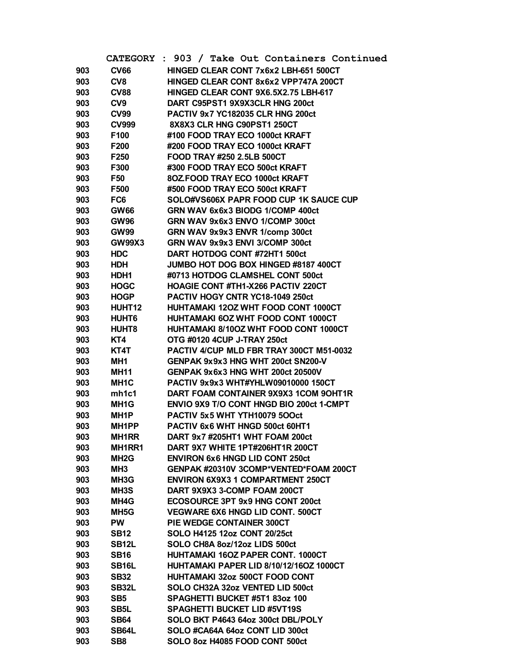|     | <b>CATEGORY</b>      | : 903 / Take Out Containers Continued                                     |
|-----|----------------------|---------------------------------------------------------------------------|
| 903 | <b>CV66</b>          | HINGED CLEAR CONT 7x6x2 LBH-651 500CT                                     |
| 903 | CV <sub>8</sub>      | HINGED CLEAR CONT 8x6x2 VPP747A 200CT                                     |
| 903 | <b>CV88</b>          | HINGED CLEAR CONT 9X6.5X2.75 LBH-617                                      |
| 903 | CV <sub>9</sub>      | DART C95PST1 9X9X3CLR HNG 200ct                                           |
| 903 | <b>CV99</b>          | <b>PACTIV 9x7 YC182035 CLR HNG 200ct</b>                                  |
| 903 | <b>CV999</b>         | 8X8X3 CLR HNG C90PST1 250CT                                               |
| 903 | F100                 | #100 FOOD TRAY ECO 1000ct KRAFT                                           |
| 903 | F200                 | #200 FOOD TRAY ECO 1000ct KRAFT                                           |
| 903 | F <sub>250</sub>     | FOOD TRAY #250 2.5LB 500CT                                                |
| 903 | F300                 | #300 FOOD TRAY ECO 500ct KRAFT                                            |
| 903 | F50                  | 80Z FOOD TRAY ECO 1000ct KRAFT                                            |
| 903 | F500                 | #500 FOOD TRAY ECO 500ct KRAFT                                            |
| 903 | FC <sub>6</sub>      | SOLO#VS606X PAPR FOOD CUP 1K SAUCE CUP                                    |
| 903 | <b>GW66</b>          | GRN WAV 6x6x3 BIODG 1/COMP 400ct                                          |
| 903 | <b>GW96</b>          | GRN WAV 9x6x3 ENVO 1/COMP 300ct                                           |
| 903 | <b>GW99</b>          | GRN WAV 9x9x3 ENVR 1/comp 300ct                                           |
| 903 | <b>GW99X3</b>        | GRN WAV 9x9x3 ENVI 3/COMP 300ct                                           |
| 903 | <b>HDC</b>           | DART HOTDOG CONT #72HT1 500ct                                             |
| 903 | <b>HDH</b>           | JUMBO HOT DOG BOX HINGED #8187 400CT                                      |
| 903 | HDH1                 | #0713 HOTDOG CLAMSHEL CONT 500ct                                          |
| 903 | <b>HOGC</b>          | <b>HOAGIE CONT #TH1-X266 PACTIV 220CT</b>                                 |
| 903 | <b>HOGP</b>          | PACTIV HOGY CNTR YC18-1049 250ct                                          |
| 903 | HUHT12               | HUHTAMAKI 120Z WHT FOOD CONT 1000CT                                       |
| 903 | HUHT6                | HUHTAMAKI 60Z WHT FOOD CONT 1000CT                                        |
| 903 | HUHT <sub>8</sub>    | HUHTAMAKI 8/10OZ WHT FOOD CONT 1000CT                                     |
| 903 | KT4                  | OTG #0120 4CUP J-TRAY 250ct                                               |
| 903 | KT4T                 | PACTIV 4/CUP MLD FBR TRAY 300CT M51-0032                                  |
| 903 | MH1                  | GENPAK 9x9x3 HNG WHT 200ct SN200-V                                        |
| 903 | <b>MH11</b>          | GENPAK 9x6x3 HNG WHT 200ct 20500V                                         |
| 903 | MH1C                 | PACTIV 9x9x3 WHT#YHLW09010000 150CT                                       |
| 903 | mh1c1                | DART FOAM CONTAINER 9X9X3 1COM 9OHT1R                                     |
| 903 | MH <sub>1</sub> G    | <b>ENVIO 9X9 T/O CONT HNGD BIO 200ct 1-CMPT</b>                           |
| 903 | MH1P                 | PACTIV 5x5 WHT YTH10079 5OOct                                             |
| 903 | MH <sub>1</sub> PP   | PACTIV 6x6 WHT HNGD 500ct 60HT1                                           |
| 903 | <b>MH1RR</b>         | DART 9x7 #205HT1 WHT FOAM 200ct                                           |
| 903 | MH1RR1               | DART 9X7 WHITE 1PT#206HT1R 200CT                                          |
| 903 | MH <sub>2</sub> G    | <b>ENVIRON 6x6 HNGD LID CONT 250ct</b>                                    |
| 903 | MH3                  | GENPAK #20310V 3COMP*VENTED*FOAM 200CT                                    |
| 903 | MH3G                 | <b>ENVIRON 6X9X3 1 COMPARTMENT 250CT</b>                                  |
| 903 | MH <sub>3</sub> S    | DART 9X9X3 3-COMP FOAM 200CT                                              |
| 903 | MH4G                 | ECOSOURCE 3PT 9x9 HNG CONT 200ct                                          |
| 903 | MH5G                 | <b>VEGWARE 6X6 HNGD LID CONT. 500CT</b>                                   |
| 903 | <b>PW</b>            | <b>PIE WEDGE CONTAINER 300CT</b>                                          |
| 903 | <b>SB12</b>          | SOLO H4125 12oz CONT 20/25ct                                              |
| 903 | SB <sub>12</sub> L   | SOLO CH8A 8oz/12oz LIDS 500ct                                             |
| 903 | <b>SB16</b>          | HUHTAMAKI 160Z PAPER CONT. 1000CT                                         |
| 903 | SB <sub>16</sub> L   | <b>HUHTAMAKI PAPER LID 8/10/12/16OZ 1000CT</b>                            |
| 903 | <b>SB32</b>          | HUHTAMAKI 32oz 500CT FOOD CONT                                            |
| 903 | SB32L                | SOLO CH32A 32oz VENTED LID 500ct                                          |
| 903 | SB <sub>5</sub>      | SPAGHETTI BUCKET #5T1 83oz 100                                            |
| 903 | SB5L                 | <b>SPAGHETTI BUCKET LID #5VT19S</b><br>SOLO BKT P4643 64oz 300ct DBL/POLY |
| 903 | <b>SB64</b><br>SB64L | SOLO #CA64A 64oz CONT LID 300ct                                           |
| 903 | SB <sub>8</sub>      | SOLO 8oz H4085 FOOD CONT 500ct                                            |
| 903 |                      |                                                                           |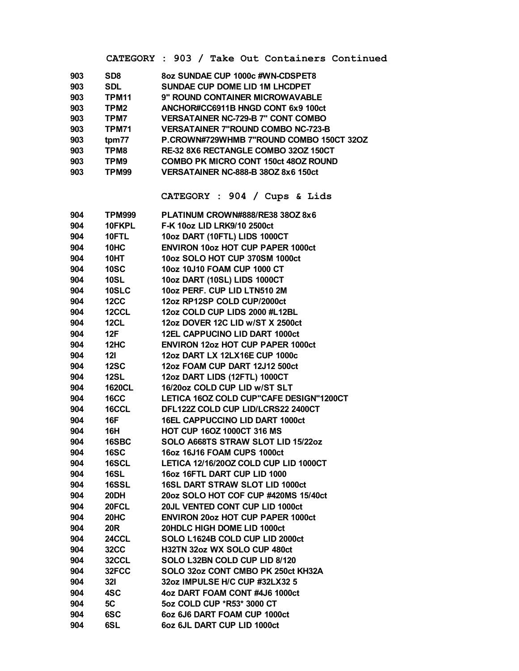CATEGORY : 903 / Take Out Containers Continued

| SD <sub>8</sub>   | 8oz SUNDAE CUP 1000c #WN-CDSPET8            |
|-------------------|---------------------------------------------|
| <b>SDL</b>        | <b>SUNDAE CUP DOME LID 1M LHCDPET</b>       |
| TPM <sub>11</sub> | <b>9" ROUND CONTAINER MICROWAVABLE</b>      |
| TPM <sub>2</sub>  | ANCHOR#CC6911B HNGD CONT 6x9 100ct          |
| TPM7              | <b>VERSATAINER NC-729-B 7" CONT COMBO</b>   |
| <b>TPM71</b>      | <b>VERSATAINER 7"ROUND COMBO NC-723-B</b>   |
| tpm77             | P.CROWN#729WHMB 7"ROUND COMBO 150CT 32OZ    |
| TPM8              | <b>RE-32 8X6 RECTANGLE COMBO 320Z 150CT</b> |
| TPM9              | COMBO PK MICRO CONT 150ct 48OZ ROUND        |
| TPM99             | <b>VERSATAINER NC-888-B 38OZ 8x6 150ct</b>  |
|                   |                                             |

CATEGORY : 904 / Cups & Lids

| 904 | <b>TPM999</b> | PLATINUM CROWN#888/RE38 38OZ 8x6         |
|-----|---------------|------------------------------------------|
| 904 | 10FKPL        | F-K 10oz LID LRK9/10 2500ct              |
| 904 | 10FTL         | 10oz DART (10FTL) LIDS 1000CT            |
| 904 | 10HC          | <b>ENVIRON 10oz HOT CUP PAPER 1000ct</b> |
| 904 | 10HT          | 10oz SOLO HOT CUP 370SM 1000ct           |
| 904 | <b>10SC</b>   | 10oz 10J10 FOAM CUP 1000 CT              |
| 904 | <b>10SL</b>   | 10oz DART (10SL) LIDS 1000CT             |
| 904 | <b>10SLC</b>  | 10oz PERF. CUP LID LTN510 2M             |
| 904 | <b>12CC</b>   | 12oz RP12SP COLD CUP/2000ct              |
| 904 | 12CCL         | 12oz COLD CUP LIDS 2000 #L12BL           |
| 904 | <b>12CL</b>   | 12oz DOVER 12C LID w/ST X 2500ct         |
| 904 | 12F           | 12EL CAPPUCINO LID DART 1000ct           |
| 904 | 12HC          | <b>ENVIRON 12oz HOT CUP PAPER 1000ct</b> |
| 904 | 121           | 12oz DART LX 12LX16E CUP 1000c           |
| 904 | <b>12SC</b>   | 12oz FOAM CUP DART 12J12 500ct           |
| 904 | <b>12SL</b>   | 12oz DART LIDS (12FTL) 1000CT            |
| 904 | <b>1620CL</b> | 16/20oz COLD CUP LID w/ST SLT            |
| 904 | <b>16CC</b>   | LETICA 16OZ COLD CUP"CAFE DESIGN"1200CT  |
| 904 | 16CCL         | DFL122Z COLD CUP LID/LCRS22 2400CT       |
| 904 | <b>16F</b>    | 16EL CAPPUCCINO LID DART 1000ct          |
| 904 | <b>16H</b>    | HOT CUP 16OZ 1000CT 316 MS               |
| 904 | 16SBC         | SOLO A668TS STRAW SLOT LID 15/22oz       |
| 904 | <b>16SC</b>   | 16oz 16J16 FOAM CUPS 1000ct              |
| 904 | 16SCL         | LETICA 12/16/20OZ COLD CUP LID 1000CT    |
| 904 | <b>16SL</b>   | 16oz 16FTL DART CUP LID 1000             |
| 904 | 16SSL         | 16SL DART STRAW SLOT LID 1000ct          |
| 904 | 20DH          | 20oz SOLO HOT COF CUP #420MS 15/40ct     |
| 904 | 20FCL         | 20JL VENTED CONT CUP LID 1000ct          |
| 904 | 20HC          | <b>ENVIRON 20oz HOT CUP PAPER 1000ct</b> |
| 904 | <b>20R</b>    | 20HDLC HIGH DOME LID 1000ct              |
| 904 | 24CCL         | SOLO L1624B COLD CUP LID 2000ct          |
| 904 | <b>32CC</b>   | H32TN 32oz WX SOLO CUP 480ct             |
| 904 | 32CCL         | SOLO L32BN COLD CUP LID 8/120            |
| 904 | 32FCC         | SOLO 32oz CONT CMBO PK 250ct KH32A       |
| 904 | <b>321</b>    | 32oz IMPULSE H/C CUP #32LX32 5           |
| 904 | 4SC           | 4oz DART FOAM CONT #4J6 1000ct           |
| 904 | 5C            | 5oz COLD CUP *R53* 3000 CT               |
| 904 | 6SC           | 6oz 6J6 DART FOAM CUP 1000ct             |
| 904 | 6SL           | 6oz 6JL DART CUP LID 1000ct              |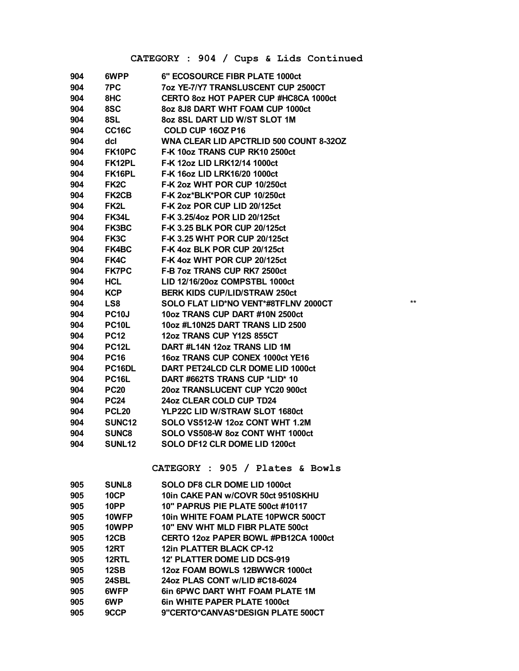## CATEGORY : 904 / Cups & Lids Continued

| 904 | 6WPP               | 6" ECOSOURCE FIBR PLATE 1000ct                 |
|-----|--------------------|------------------------------------------------|
| 904 | 7PC                | 7oz YE-7/Y7 TRANSLUSCENT CUP 2500CT            |
| 904 | 8HC                | CERTO 80Z HOT PAPER CUP #HC8CA 1000ct          |
| 904 | 8SC                | 8oz 8J8 DART WHT FOAM CUP 1000ct               |
| 904 | 8SL                | 8oz 8SL DART LID W/ST SLOT 1M                  |
| 904 | <b>CC16C</b>       | COLD CUP 160Z P16                              |
| 904 | dcl                | <b>WNA CLEAR LID APCTRLID 500 COUNT 8-320Z</b> |
| 904 | FK10PC             | F-K 10oz TRANS CUP RK10 2500ct                 |
| 904 | FK12PL             | F-K 12oz LID LRK12/14 1000ct                   |
| 904 | FK16PL             | F-K 16oz LID LRK16/20 1000ct                   |
| 904 | FK <sub>2</sub> C  | F-K 2oz WHT POR CUP 10/250ct                   |
| 904 | <b>FK2CB</b>       | F-K 2oz*BLK*POR CUP 10/250ct                   |
| 904 | FK2L               | F-K 2oz POR CUP LID 20/125ct                   |
| 904 | <b>FK34L</b>       | F-K 3.25/4oz POR LID 20/125ct                  |
| 904 | FK3BC              | <b>F-K 3.25 BLK POR CUP 20/125ct</b>           |
| 904 | FK3C               | <b>F-K 3.25 WHT POR CUP 20/125ct</b>           |
| 904 | FK4BC              | F-K 4oz BLK POR CUP 20/125ct                   |
| 904 | FK4C               | F-K 4oz WHT POR CUP 20/125ct                   |
| 904 | <b>FK7PC</b>       | F-B 7oz TRANS CUP RK7 2500ct                   |
| 904 | <b>HCL</b>         | LID 12/16/20oz COMPSTBL 1000ct                 |
| 904 | <b>KCP</b>         | <b>BERK KIDS CUP/LID/STRAW 250ct</b>           |
| 904 | LS8                | SOLO FLAT LID*NO VENT*#8TFLNV 2000CT           |
| 904 | <b>PC10J</b>       | 10oz TRANS CUP DART #10N 2500ct                |
| 904 | <b>PC10L</b>       | 10oz #L10N25 DART TRANS LID 2500               |
| 904 | <b>PC12</b>        | 12oz TRANS CUP Y12S 855CT                      |
| 904 | <b>PC12L</b>       | DART #L14N 12oz TRANS LID 1M                   |
| 904 | <b>PC16</b>        | 16oz TRANS CUP CONEX 1000ct YE16               |
| 904 | PC16DL             | DART PET24LCD CLR DOME LID 1000ct              |
| 904 | <b>PC16L</b>       | DART #662TS TRANS CUP *LID* 10                 |
| 904 | <b>PC20</b>        | 20oz TRANSLUCENT CUP YC20 900ct                |
| 904 | <b>PC24</b>        | 24oz CLEAR COLD CUP TD24                       |
| 904 | <b>PCL20</b>       | YLP22C LID W/STRAW SLOT 1680ct                 |
| 904 | SUNC <sub>12</sub> | SOLO VS512-W 12oz CONT WHT 1.2M                |
| 904 | <b>SUNC8</b>       | SOLO VS508-W 8oz CONT WHT 1000ct               |
| 904 | SUNL <sub>12</sub> | SOLO DF12 CLR DOME LID 1200ct                  |
|     |                    |                                                |

## CATEGORY : 905 / Plates & Bowls

| 905 | <b>SUNL8</b> | SOLO DF8 CLR DOME LID 1000ct           |
|-----|--------------|----------------------------------------|
| 905 | <b>10CP</b>  | 10in CAKE PAN w/COVR 50ct 9510SKHU     |
| 905 | 10PP         | 10" PAPRUS PIE PLATE 500ct #10117      |
| 905 | 10WFP        | 10in WHITE FOAM PLATE 10PWCR 500CT     |
| 905 | 10WPP        | 10" ENV WHT MLD FIBR PLATE 500ct       |
| 905 | 12CB         | CERTO 12oz PAPER BOWL #PB12CA 1000ct   |
| 905 | <b>12RT</b>  | <b>12in PLATTER BLACK CP-12</b>        |
| 905 | 12RTL        | 12' PLATTER DOME LID DCS-919           |
| 905 | <b>12SB</b>  | 12oz FOAM BOWLS 12BWWCR 1000ct         |
| 905 | 24SBL        | 24oz PLAS CONT w/LID #C18-6024         |
| 905 | 6WFP         | <b>6in 6PWC DART WHT FOAM PLATE 1M</b> |
| 905 | 6WP          | <b>6in WHITE PAPER PLATE 1000ct</b>    |
| 905 | 9CCP         | 9"CERTO*CANVAS*DESIGN PLATE 500CT      |

 $**$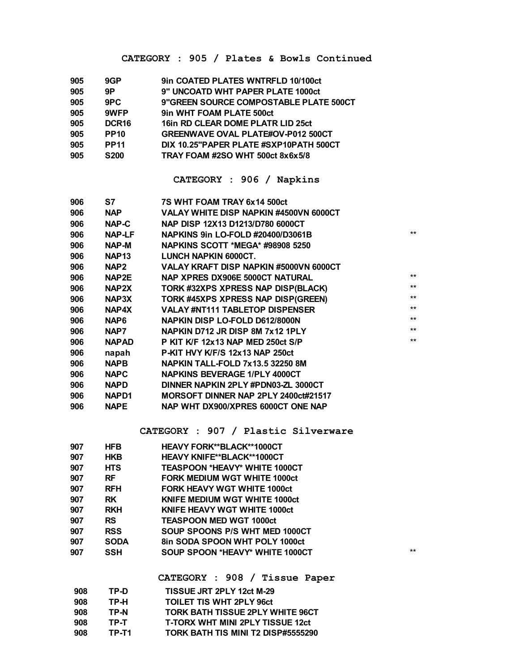#### **CATEGORY : 905 / Plates & Bowls Continued**

| 905 | 9GP               | 9in COATED PLATES WNTRFLD 10/100ct        |
|-----|-------------------|-------------------------------------------|
| 905 | 9P                | 9" UNCOATD WHT PAPER PLATE 1000ct         |
| 905 | 9PC               | 9"GREEN SOURCE COMPOSTABLE PLATE 500CT    |
| 905 | 9WFP              | 9in WHT FOAM PLATE 500ct                  |
| 905 | DCR <sub>16</sub> | 16in RD CLEAR DOME PLATR LID 25ct         |
| 905 | <b>PP10</b>       | <b>GREENWAVE OVAL PLATE#OV-P012 500CT</b> |
| 905 | <b>PP11</b>       | DIX 10.25"PAPER PLATE #SXP10PATH 500CT    |
| 905 | <b>S200</b>       | TRAY FOAM #2SO WHT 500ct 8x6x5/8          |

## **CATEGORY : 906 / Napkins**

| 906 | S7                | 7S WHT FOAM TRAY 6x14 500ct             |      |
|-----|-------------------|-----------------------------------------|------|
| 906 | NAP               | VALAY WHITE DISP NAPKIN #4500VN 6000CT  |      |
| 906 | NAP-C             | NAP DISP 12X13 D1213/D780 6000CT        |      |
| 906 | NAP-LF            | NAPKINS 9in LO-FOLD #20400/D3061B       | $**$ |
| 906 | NAP-M             | <b>NAPKINS SCOTT *MEGA* #98908 5250</b> |      |
| 906 | NAP <sub>13</sub> | LUNCH NAPKIN 6000CT.                    |      |
| 906 | NAP <sub>2</sub>  | VALAY KRAFT DISP NAPKIN #5000VN 6000CT  |      |
| 906 | NAP2E             | NAP XPRES DX906E 5000CT NATURAL         | $**$ |
| 906 | NAP2X             | TORK #32XPS XPRESS NAP DISP(BLACK)      | $**$ |
| 906 | NAP3X             | TORK #45XPS XPRESS NAP DISP(GREEN)      | $**$ |
| 906 | NAP4X             | <b>VALAY #NT111 TABLETOP DISPENSER</b>  | $**$ |
| 906 | NAP6              | NAPKIN DISP LO-FOLD D612/8000N          | $**$ |
| 906 | NAP7              | NAPKIN D712 JR DISP 8M 7x12 1PLY        | $**$ |
| 906 | <b>NAPAD</b>      | P KIT K/F 12x13 NAP MED 250ct S/P       | $**$ |
| 906 | napah             | P-KIT HVY K/F/S 12x13 NAP 250ct         |      |
| 906 | <b>NAPB</b>       | NAPKIN TALL-FOLD 7x13.5 32250 8M        |      |
| 906 | <b>NAPC</b>       | <b>NAPKINS BEVERAGE 1/PLY 4000CT</b>    |      |
| 906 | <b>NAPD</b>       | DINNER NAPKIN 2PLY #PDN03-ZL 3000CT     |      |
| 906 | NAPD <sub>1</sub> | MORSOFT DINNER NAP 2PLY 2400ct#21517    |      |
| 906 | <b>NAPE</b>       | NAP WHT DX900/XPRES 6000CT ONE NAP      |      |
|     |                   |                                         |      |

#### **CATEGORY : 907 / Plastic Silverware**

| 907 | <b>HFB</b>  | HEAVY FORK**BLACK**1000CT            |       |
|-----|-------------|--------------------------------------|-------|
| 907 | <b>HKB</b>  | <b>HEAVY KNIFE**BLACK**1000CT</b>    |       |
| 907 | <b>HTS</b>  | <b>TEASPOON *HEAVY* WHITE 1000CT</b> |       |
| 907 | <b>RF</b>   | <b>FORK MEDIUM WGT WHITE 1000ct</b>  |       |
| 907 | <b>RFH</b>  | <b>FORK HEAVY WGT WHITE 1000ct</b>   |       |
| 907 | <b>RK</b>   | <b>KNIFE MEDIUM WGT WHITE 1000ct</b> |       |
| 907 | <b>RKH</b>  | <b>KNIFE HEAVY WGT WHITE 1000ct</b>  |       |
| 907 | <b>RS</b>   | <b>TEASPOON MED WGT 1000ct</b>       |       |
| 907 | <b>RSS</b>  | SOUP SPOONS P/S WHT MED 1000CT       |       |
| 907 | <b>SODA</b> | 8in SODA SPOON WHT POLY 1000ct       |       |
| 907 | <b>SSH</b>  | SOUP SPOON *HEAVY* WHITE 1000CT      | $***$ |
|     |             |                                      |       |

**CATEGORY : 908 / Tissue Paper**

| 908 | TP-D  | TISSUE JRT 2PLY 12ct M-29               |
|-----|-------|-----------------------------------------|
| 908 | TP-H  | <b>TOILET TIS WHT 2PLY 96ct</b>         |
| 908 | TP-N  | <b>TORK BATH TISSUE 2PLY WHITE 96CT</b> |
| 908 | TP-T  | <b>T-TORX WHT MINI 2PLY TISSUE 12ct</b> |
| 908 | TP-T1 | TORK BATH TIS MINI T2 DISP#5555290      |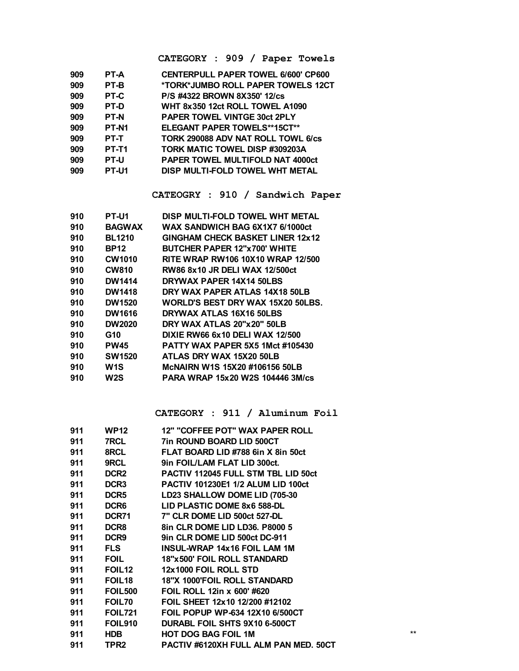CATEGORY : 909 / Paper Towels

| 909 | PT-A              | <b>CENTERPULL PAPER TOWEL 6/600' CP600</b> |
|-----|-------------------|--------------------------------------------|
| 909 | PT-B              | *TORK*JUMBO ROLL PAPER TOWELS 12CT         |
| 909 | PT-C              | P/S #4322 BROWN 8X350' 12/cs               |
| 909 | PT-D              | WHT 8x350 12ct ROLL TOWEL A1090            |
| 909 | <b>PT-N</b>       | <b>PAPER TOWEL VINTGE 30ct 2PLY</b>        |
| 909 | PT-N <sub>1</sub> | <b>ELEGANT PAPER TOWELS**15CT**</b>        |
| 909 | PT-T              | TORK 290088 ADV NAT ROLL TOWL 6/CS         |
| 909 | PT-T1             | TORK MATIC TOWEL DISP #309203A             |
| 909 | <b>PT-U</b>       | PAPER TOWEL MULTIFOLD NAT 4000ct           |
| 909 | PT-U1             | DISP MULTI-FOLD TOWEL WHT METAL            |
|     |                   |                                            |

CATEOGRY : 910 / Sandwich Paper

| 910 | PT-U1         | DISP MULTI-FOLD TOWEL WHT METAL         |
|-----|---------------|-----------------------------------------|
| 910 | <b>BAGWAX</b> | WAX SANDWICH BAG 6X1X7 6/1000ct         |
| 910 | <b>BL1210</b> | <b>GINGHAM CHECK BASKET LINER 12x12</b> |
| 910 | <b>BP12</b>   | <b>BUTCHER PAPER 12"x700' WHITE</b>     |
| 910 | <b>CW1010</b> | RITE WRAP RW106 10X10 WRAP 12/500       |
| 910 | <b>CW810</b>  | RW86 8x10 JR DELI WAX 12/500ct          |
| 910 | <b>DW1414</b> | DRYWAX PAPER 14X14 50LBS                |
| 910 | <b>DW1418</b> | DRY WAX PAPER ATLAS 14X18 50LB          |
| 910 | <b>DW1520</b> | WORLD'S BEST DRY WAX 15X20 50LBS.       |
| 910 | <b>DW1616</b> | DRYWAX ATLAS 16X16 50LBS                |
| 910 | <b>DW2020</b> | DRY WAX ATLAS 20"x20" 50LB              |
| 910 | G10           | DIXIE RW66 6x10 DELI WAX 12/500         |
| 910 | <b>PW45</b>   | <b>PATTY WAX PAPER 5X5 1Mct #105430</b> |
| 910 | <b>SW1520</b> | ATLAS DRY WAX 15X20 50LB                |
| 910 | W1S           | McNAIRN W1S 15X20 #106156 50LB          |
| 910 | W2S           | PARA WRAP 15x20 W2S 104446 3M/cs        |
|     |               |                                         |

CATEGORY : 911 / Aluminum Foil

 $^{\star\star}$ 

| 911 | <b>WP12</b>        | 12" "COFFEE POT" WAX PAPER ROLL            |
|-----|--------------------|--------------------------------------------|
| 911 | 7RCL               | <b>7in ROUND BOARD LID 500CT</b>           |
| 911 | 8RCL               | FLAT BOARD LID #788 6in X 8in 50ct         |
| 911 | 9RCL               | 9in FOIL/LAM FLAT LID 300ct.               |
| 911 | DCR <sub>2</sub>   | <b>PACTIV 112045 FULL STM TBL LID 50ct</b> |
| 911 | DCR <sub>3</sub>   | <b>PACTIV 101230E1 1/2 ALUM LID 100ct</b>  |
| 911 | DCR5               | LD23 SHALLOW DOME LID (705-30              |
| 911 | DCR6               | LID PLASTIC DOME 8x6 588-DL                |
| 911 | DCR71              | 7" CLR DOME LID 500ct 527-DL               |
| 911 | DCR <sub>8</sub>   | 8in CLR DOME LID LD36. P8000 5             |
| 911 | DCR9               | 9in CLR DOME LID 500ct DC-911              |
| 911 | FLS                | <b>INSUL-WRAP 14x16 FOIL LAM 1M</b>        |
| 911 | <b>FOIL</b>        | 18"x500" FOIL ROLL STANDARD                |
| 911 | <b>FOIL12</b>      | 12x1000 FOIL ROLL STD                      |
| 911 | FOIL <sub>18</sub> | <b>18"X 1000'FOIL ROLL STANDARD</b>        |
| 911 | <b>FOIL500</b>     | FOIL ROLL 12in x 600' #620                 |
| 911 | FOIL70             | FOIL SHEET 12x10 12/200 #12102             |
| 911 | <b>FOIL721</b>     | FOIL POPUP WP-634 12X10 6/500CT            |
| 911 | <b>FOIL910</b>     | DURABL FOIL SHTS 9X10 6-500CT              |
| 911 | <b>HDB</b>         | <b>HOT DOG BAG FOIL 1M</b>                 |
| 911 | TPR2               | PACTIV #6120XH FULL ALM PAN MED. 50CT      |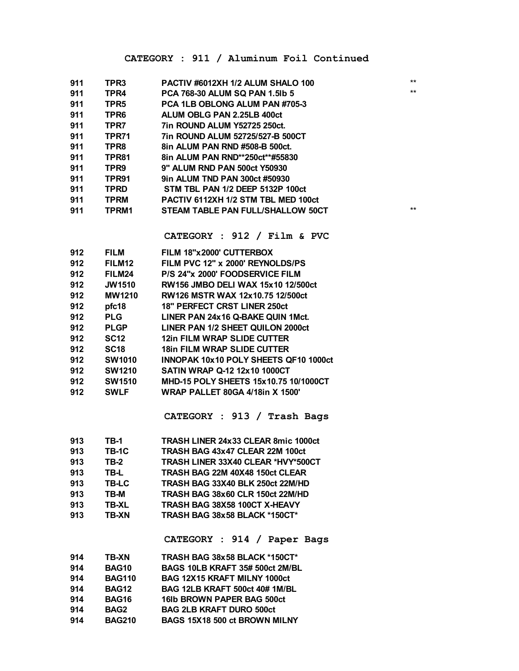| 911 | TPR3             | PACTIV #6012XH 1/2 ALUM SHALO 100     | $***$ |
|-----|------------------|---------------------------------------|-------|
| 911 | TPR4             | <b>PCA 768-30 ALUM SQ PAN 1.5lb 5</b> | $***$ |
| 911 | TPR5             | PCA 1LB OBLONG ALUM PAN #705-3        |       |
| 911 | TPR <sub>6</sub> | ALUM OBLG PAN 2.25LB 400ct            |       |
| 911 | TPR7             | <b>7in ROUND ALUM Y52725 250ct.</b>   |       |
| 911 | TPR71            | 7in ROUND ALUM 52725/527-B 500CT      |       |
| 911 | TPR8             | 8in ALUM PAN RND #508-B 500ct.        |       |
| 911 | TPR81            | 8in ALUM PAN RND**250ct**#55830       |       |
| 911 | TPR9             | 9" ALUM RND PAN 500ct Y50930          |       |
| 911 | TPR91            | 9in ALUM TND PAN 300ct #50930         |       |
| 911 | <b>TPRD</b>      | STM TBL PAN 1/2 DEEP 5132P 100ct      |       |
| 911 | <b>TPRM</b>      | PACTIV 6112XH 1/2 STM TBL MED 100ct   |       |
| 911 | TPRM1            | STEAM TABLE PAN FULL/SHALLOW 50CT     | $***$ |
|     |                  |                                       |       |

**CATEGORY : 912 / Film & PVC**

| 912 | <b>FILM</b>        | FILM 18"x2000' CUTTERBOX               |
|-----|--------------------|----------------------------------------|
| 912 | FILM <sub>12</sub> | FILM PVC 12" x 2000' REYNOLDS/PS       |
| 912 | FILM24             | P/S 24"x 2000' FOODSERVICE FILM        |
| 912 | <b>JW1510</b>      | RW156 JMBO DELI WAX 15x10 12/500ct     |
| 912 | <b>MW1210</b>      | RW126 MSTR WAX 12x10.75 12/500ct       |
| 912 | pfc18              | <b>18" PERFECT CRST LINER 250ct</b>    |
| 912 | <b>PLG</b>         | LINER PAN 24x16 Q-BAKE QUIN 1Mct.      |
| 912 | <b>PLGP</b>        | LINER PAN 1/2 SHEET QUILON 2000ct      |
| 912 | <b>SC12</b>        | 12in FILM WRAP SLIDE CUTTER            |
| 912 | <b>SC18</b>        | <b>18in FILM WRAP SLIDE CUTTER</b>     |
| 912 | <b>SW1010</b>      | INNOPAK 10x10 POLY SHEETS QF10 1000ct  |
| 912 | <b>SW1210</b>      | <b>SATIN WRAP Q-12 12x10 1000CT</b>    |
| 912 | <b>SW1510</b>      | MHD-15 POLY SHEETS 15x10.75 10/1000CT  |
| 912 | <b>SWLF</b>        | <b>WRAP PALLET 80GA 4/18in X 1500'</b> |
|     |                    |                                        |

**CATEGORY : 913 / Trash Bags**

| 913 | TB-1         | TRASH LINER 24x33 CLEAR 8mic 1000ct |
|-----|--------------|-------------------------------------|
| 913 | <b>TB-1C</b> | TRASH BAG 43x47 CLEAR 22M 100ct     |
| 913 | TB-2         | TRASH LINER 33X40 CLEAR *HVY*500CT  |
| 913 | TB-L         | TRASH BAG 22M 40X48 150ct CLEAR     |
| 913 | TB-LC        | TRASH BAG 33X40 BLK 250ct 22M/HD    |
| 913 | TB-M         | TRASH BAG 38x60 CLR 150ct 22M/HD    |
| 913 | <b>TB-XL</b> | TRASH BAG 38X58 100CT X-HEAVY       |
| 913 | TB-XN        | TRASH BAG 38x58 BLACK *150CT*       |
|     |              |                                     |

**CATEGORY : 914 / Paper Bags**

| 914 | TB-XN            | TRASH BAG 38x58 BLACK *150CT*       |
|-----|------------------|-------------------------------------|
| 914 | <b>BAG10</b>     | BAGS 10LB KRAFT 35# 500ct 2M/BL     |
| 914 | <b>BAG110</b>    | <b>BAG 12X15 KRAFT MILNY 1000ct</b> |
| 914 | <b>BAG12</b>     | BAG 12LB KRAFT 500ct 40# 1M/BL      |
| 914 | <b>BAG16</b>     | 161b BROWN PAPER BAG 500ct          |
| 914 | BAG <sub>2</sub> | <b>BAG 2LB KRAFT DURO 500ct</b>     |
| 914 | <b>BAG210</b>    | BAGS 15X18 500 ct BROWN MILNY       |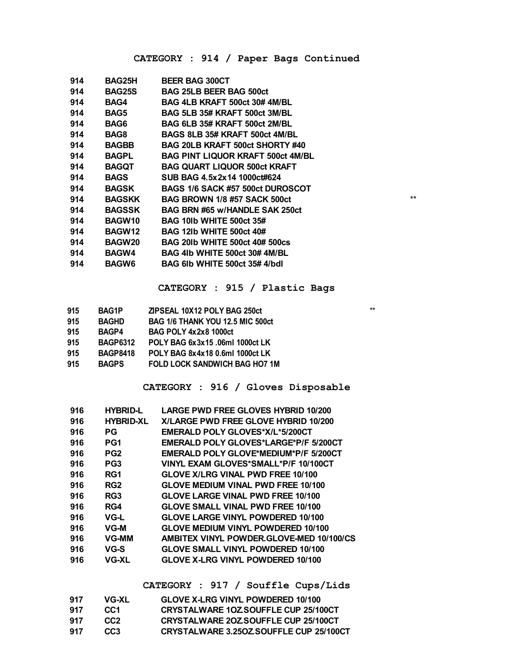## **CATEGORY : 914 / Paper Bags Continued**

| 914 | BAG25H        | <b>BEER BAG 300CT</b>                    |      |
|-----|---------------|------------------------------------------|------|
| 914 | <b>BAG25S</b> | <b>BAG 25LB BEER BAG 500ct</b>           |      |
| 914 | BAG4          | BAG 4LB KRAFT 500ct 30#4M/BL             |      |
| 914 | <b>BAG5</b>   | BAG 5LB 35# KRAFT 500ct 3M/BL            |      |
| 914 | BAG6          | BAG 6LB 35# KRAFT 500ct 2M/BL            |      |
| 914 | BAG8          | BAGS 8LB 35# KRAFT 500ct 4M/BL           |      |
| 914 | BAGBB         | BAG 20LB KRAFT 500ct SHORTY #40          |      |
| 914 | <b>BAGPL</b>  | <b>BAG PINT LIQUOR KRAFT 500ct 4M/BL</b> |      |
| 914 | BAGQT         | <b>BAG QUART LIQUOR 500ct KRAFT</b>      |      |
| 914 | BAGS          | SUB BAG 4.5x2x14 1000ct#624              |      |
| 914 | BAGSK         | BAGS 1/6 SACK #57 500ct DUROSCOT         |      |
| 914 | <b>BAGSKK</b> | <b>BAG BROWN 1/8 #57 SACK 500ct</b>      | $**$ |
| 914 | <b>BAGSSK</b> | BAG BRN #65 w/HANDLE SAK 250ct           |      |
| 914 | BAGW10        | <b>BAG 101b WHITE 500ct 35#</b>          |      |
| 914 | BAGW12        | <b>BAG 121b WHITE 500ct 40#</b>          |      |
| 914 | <b>BAGW20</b> | <b>BAG 201b WHITE 500ct 40# 500cs</b>    |      |
| 914 | <b>BAGW4</b>  | BAG 4lb WHITE 500ct 30#4M/BL             |      |
| 914 | <b>BAGW6</b>  | BAG 61b WHITE 500ct 35#4/bdl             |      |
|     |               |                                          |      |

#### **CATEGORY : 915 / Plastic Bags**

| 915 | <b>BAG1P</b>    | ZIPSEAL 10X12 POLY BAG 250ct            | $**$ |
|-----|-----------------|-----------------------------------------|------|
| 915 | <b>BAGHD</b>    | <b>BAG 1/6 THANK YOU 12.5 MIC 500ct</b> |      |
| 915 | <b>BAGP4</b>    | <b>BAG POLY 4x2x8 1000ct</b>            |      |
| 915 | <b>BAGP6312</b> | POLY BAG 6x3x15.06ml 1000ct LK          |      |
| 915 | <b>BAGP8418</b> | POLY BAG 8x4x18 0.6ml 1000ct LK         |      |
| 915 | <b>BAGPS</b>    | <b>FOLD LOCK SANDWICH BAG HO7 1M</b>    |      |

#### **CATEGORY : 916 / Gloves Disposable**

| 916 | <b>HYBRID-L</b>  | <b>LARGE PWD FREE GLOVES HYBRID 10/200</b>   |
|-----|------------------|----------------------------------------------|
| 916 | <b>HYBRID-XL</b> | X/LARGE PWD FREE GLOVE HYBRID 10/200         |
| 916 | РG               | EMERALD POLY GLOVES*X/L*5/200CT              |
| 916 | PG1              | EMERALD POLY GLOVES*LARGE*P/F 5/200CT        |
| 916 | PG <sub>2</sub>  | <b>EMERALD POLY GLOVE*MEDIUM*P/F 5/200CT</b> |
| 916 | PG <sub>3</sub>  | VINYL EXAM GLOVES*SMALL*P/F 10/100CT         |
| 916 | RG1              | <b>GLOVE X/LRG VINAL PWD FREE 10/100</b>     |
| 916 | RG <sub>2</sub>  | <b>GLOVE MEDIUM VINAL PWD FREE 10/100</b>    |
| 916 | RG3              | <b>GLOVE LARGE VINAL PWD FREE 10/100</b>     |
| 916 | RG4              | <b>GLOVE SMALL VINAL PWD FREE 10/100</b>     |
| 916 | VG-L             | <b>GLOVE LARGE VINYL POWDERED 10/100</b>     |
| 916 | VG-M             | <b>GLOVE MEDIUM VINYL POWDERED 10/100</b>    |
| 916 | <b>VG-MM</b>     | AMBITEX VINYL POWDER GLOVE-MED 10/100/CS     |
| 916 | VG-S             | <b>GLOVE SMALL VINYL POWDERED 10/100</b>     |
| 916 | <b>VG-XL</b>     | <b>GLOVE X-LRG VINYL POWDERED 10/100</b>     |
|     |                  |                                              |

## **CATEGORY : 917 / Souffle Cups/Lids**

| 917 | VG-XL           | <b>GLOVE X-LRG VINYL POWDERED 10/100</b>    |
|-----|-----------------|---------------------------------------------|
| 917 | CC <sub>1</sub> | <b>CRYSTALWARE 10Z SOUFFLE CUP 25/100CT</b> |
| 917 | CC <sub>2</sub> | <b>CRYSTALWARE 20Z SOUFFLE CUP 25/100CT</b> |
| 917 | CC <sub>3</sub> | CRYSTALWARE 3.250Z SOUFFLE CUP 25/100CT     |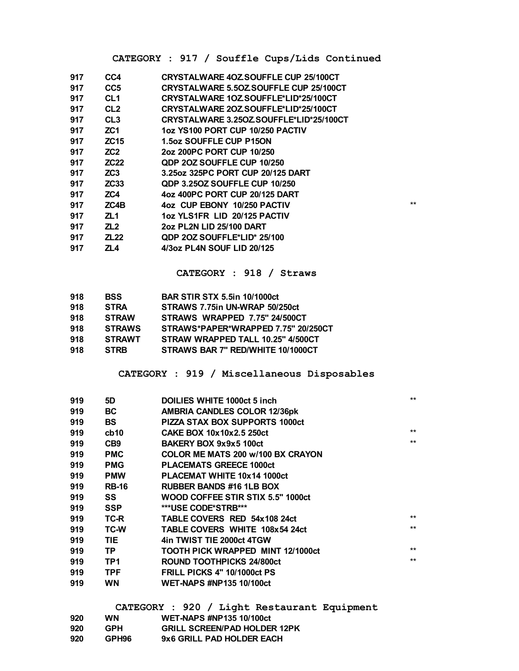## **CATEGORY : 917 / Souffle Cups/Lids Continued**

| 917 | CC4              | <b>CRYSTALWARE 40Z SOUFFLE CUP 25/100CT</b>   |              |
|-----|------------------|-----------------------------------------------|--------------|
| 917 | CC <sub>5</sub>  | <b>CRYSTALWARE 5.50Z SOUFFLE CUP 25/100CT</b> |              |
| 917 | CL <sub>1</sub>  | CRYSTALWARE 10ZSOUFFLE*LID*25/100CT           |              |
| 917 | CL <sub>2</sub>  | CRYSTALWARE 20Z SOUFFLE*LID*25/100CT          |              |
| 917 | CL <sub>3</sub>  | CRYSTALWARE 3.250ZSOUFFLE*LID*25/100CT        |              |
| 917 | ZC <sub>1</sub>  | 1oz YS100 PORT CUP 10/250 PACTIV              |              |
| 917 | <b>ZC15</b>      | 1.5oz SOUFFLE CUP P15ON                       |              |
| 917 | ZC <sub>2</sub>  | 2oz 200PC PORT CUP 10/250                     |              |
| 917 | <b>ZC22</b>      | <b>QDP 20Z SOUFFLE CUP 10/250</b>             |              |
| 917 | ZC3              | 3.25 oz 325 PC PORT CUP 20/125 DART           |              |
| 917 | ZC <sub>33</sub> | <b>QDP 3.250Z SOUFFLE CUP 10/250</b>          |              |
| 917 | ZC4              | 4oz 400PC PORT CUP 20/125 DART                |              |
| 917 | ZC4B             | 4oz CUP EBONY 10/250 PACTIV                   | $\star\star$ |
| 917 | ZL1              | 1oz YLS1FR LID 20/125 PACTIV                  |              |
| 917 | ZL2              | 2oz PL2N LID 25/100 DART                      |              |
| 917 | ZL 22            | <b>QDP 2OZ SOUFFLE*LID* 25/100</b>            |              |
| 917 | ZL4              | 4/3oz PL4N SOUF LID 20/125                    |              |
|     |                  |                                               |              |

#### **CATEGORY : 918 / Straws**

| 918 | <b>BSS</b>    | <b>BAR STIR STX 5.5in 10/1000ct</b> |
|-----|---------------|-------------------------------------|
| 918 | <b>STRA</b>   | STRAWS 7.75in UN-WRAP 50/250ct      |
| 918 | <b>STRAW</b>  | STRAWS WRAPPED 7.75" 24/500CT       |
| 918 | <b>STRAWS</b> | STRAWS*PAPER*WRAPPED 7.75" 20/250CT |
| 918 | <b>STRAWT</b> | STRAW WRAPPED TALL 10.25" 4/500CT   |
| 918 | <b>STRB</b>   | STRAWS BAR 7" RED/WHITE 10/1000CT   |

#### **CATEGORY : 919 / Miscellaneous Disposables**

| 919 | 5D              | DOILIES WHITE 1000ct 5 inch           | $***$ |
|-----|-----------------|---------------------------------------|-------|
| 919 | <b>BC</b>       | <b>AMBRIA CANDLES COLOR 12/36pk</b>   |       |
| 919 | <b>BS</b>       | <b>PIZZA STAX BOX SUPPORTS 1000ct</b> |       |
| 919 | cb10            | <b>CAKE BOX 10x10x2.5 250ct</b>       | $***$ |
| 919 | CB <sub>9</sub> | BAKERY BOX 9x9x5 100ct                | $**$  |
| 919 | <b>PMC</b>      | COLOR ME MATS 200 w/100 BX CRAYON     |       |
| 919 | <b>PMG</b>      | <b>PLACEMATS GREECE 1000ct</b>        |       |
| 919 | <b>PMW</b>      | PLACEMAT WHITE 10x14 1000ct           |       |
| 919 | <b>RB-16</b>    | <b>RUBBER BANDS #16 1LB BOX</b>       |       |
| 919 | SS              | WOOD COFFEE STIR STIX 5.5" 1000ct     |       |
| 919 | <b>SSP</b>      | ***USE CODE*STRB***                   |       |
| 919 | TC-R            | TABLE COVERS RED 54x108 24ct          | $***$ |
| 919 | TC-W            | <b>TABLE COVERS WHITE 108x54 24ct</b> | $**$  |
| 919 | <b>TIE</b>      | 4in TWIST TIE 2000ct 4TGW             |       |
| 919 | <b>TP</b>       | TOOTH PICK WRAPPED MINT 12/1000ct     | $***$ |
| 919 | TP <sub>1</sub> | ROUND TOOTHPICKS 24/800ct             | $**$  |
| 919 | <b>TPF</b>      | <b>FRILL PICKS 4" 10/1000ct PS</b>    |       |
| 919 | <b>WN</b>       | <b>WET-NAPS #NP135 10/100ct</b>       |       |
|     |                 |                                       |       |

|     |            |  |                                 | CATEGORY : 920 / Light Restaurant Equipment |  |
|-----|------------|--|---------------------------------|---------------------------------------------|--|
| 920 | <b>WN</b>  |  | <b>WET-NAPS #NP135 10/100ct</b> |                                             |  |
| 920 | <b>GPH</b> |  |                                 | <b>GRILL SCREEN/PAD HOLDER 12PK</b>         |  |
| 920 | GPH96      |  | 9x6 GRILL PAD HOLDER EACH       |                                             |  |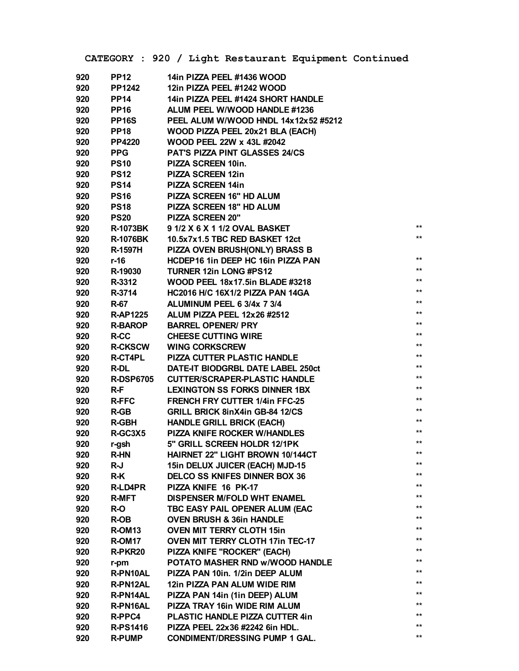|     |                    | CATEGORY : 920 / Light Restaurant Equipment Continued |       |
|-----|--------------------|-------------------------------------------------------|-------|
| 920 | <b>PP12</b>        | 14in PIZZA PEEL #1436 WOOD                            |       |
| 920 | <b>PP1242</b>      | 12in PIZZA PEEL #1242 WOOD                            |       |
| 920 | <b>PP14</b>        | 14in PIZZA PEEL #1424 SHORT HANDLE                    |       |
| 920 | <b>PP16</b>        | ALUM PEEL W/WOOD HANDLE #1236                         |       |
| 920 | PP <sub>16S</sub>  | PEEL ALUM W/WOOD HNDL 14x12x52 #5212                  |       |
| 920 | <b>PP18</b>        | WOOD PIZZA PEEL 20x21 BLA (EACH)                      |       |
| 920 | <b>PP4220</b>      | <b>WOOD PEEL 22W x 43L #2042</b>                      |       |
| 920 | <b>PPG</b>         | PAT'S PIZZA PINT GLASSES 24/CS                        |       |
| 920 | <b>PS10</b>        | PIZZA SCREEN 10in.                                    |       |
| 920 | <b>PS12</b>        | <b>PIZZA SCREEN 12in</b>                              |       |
| 920 | <b>PS14</b>        | <b>PIZZA SCREEN 14in</b>                              |       |
| 920 | <b>PS16</b>        | PIZZA SCREEN 16" HD ALUM                              |       |
| 920 | <b>PS18</b>        | PIZZA SCREEN 18" HD ALUM                              |       |
| 920 | <b>PS20</b>        | PIZZA SCREEN 20"                                      |       |
| 920 | <b>R-1073BK</b>    | 9 1/2 X 6 X 1 1/2 OVAL BASKET                         | $***$ |
| 920 | <b>R-1076BK</b>    | 10.5x7x1.5 TBC RED BASKET 12ct                        | $***$ |
| 920 | <b>R-1597H</b>     | PIZZA OVEN BRUSH(ONLY) BRASS B                        |       |
| 920 | r-16               | HCDEP16 1in DEEP HC 16in PIZZA PAN                    | $***$ |
| 920 | R-19030            | <b>TURNER 12in LONG #PS12</b>                         | $***$ |
| 920 | R-3312             | WOOD PEEL 18x17.5in BLADE #3218                       | $***$ |
| 920 | R-3714             | <b>HC2016 H/C 16X1/2 PIZZA PAN 14GA</b>               | $***$ |
| 920 | <b>R-67</b>        | ALUMINUM PEEL 6 3/4x 7 3/4                            | $***$ |
| 920 | <b>R-AP1225</b>    | ALUM PIZZA PEEL 12x26 #2512                           | $***$ |
| 920 | <b>R-BAROP</b>     | <b>BARREL OPENER/ PRY</b>                             | $***$ |
| 920 | R-CC               | <b>CHEESE CUTTING WIRE</b>                            | $***$ |
| 920 | <b>R-CKSCW</b>     | <b>WING CORKSCREW</b>                                 | $***$ |
| 920 | <b>R-CT4PL</b>     | <b>PIZZA CUTTER PLASTIC HANDLE</b>                    | $***$ |
| 920 | <b>R-DL</b>        | DATE-IT BIODGRBL DATE LABEL 250ct                     | $***$ |
| 920 | <b>R-DSP6705</b>   | <b>CUTTER/SCRAPER-PLASTIC HANDLE</b>                  | $***$ |
| 920 | $R-F$              | <b>LEXINGTON SS FORKS DINNER 1BX</b>                  | $***$ |
| 920 | <b>R-FFC</b>       | <b>FRENCH FRY CUTTER 1/4in FFC-25</b>                 | $***$ |
| 920 | R-GB               | <b>GRILL BRICK 8inX4in GB-84 12/CS</b>                | $***$ |
| 920 | <b>R-GBH</b>       | <b>HANDLE GRILL BRICK (EACH)</b>                      | $***$ |
| 920 | R-GC3X5            | PIZZA KNIFE ROCKER W/HANDLES                          | $***$ |
| 920 | r-gsh              | 5" GRILL SCREEN HOLDR 12/1PK                          | $***$ |
| 920 | <b>R-HN</b>        | <b>HAIRNET 22" LIGHT BROWN 10/144CT</b>               | $***$ |
| 920 | R-J                | 15in DELUX JUICER (EACH) MJD-15                       | $***$ |
| 920 | R-K                | <b>DELCO SS KNIFES DINNER BOX 36</b>                  | $***$ |
| 920 | <b>R-LD4PR</b>     | PIZZA KNIFE 16 PK-17                                  | $***$ |
| 920 | <b>R-MFT</b>       | <b>DISPENSER M/FOLD WHT ENAMEL</b>                    | $***$ |
| 920 | R-O                | TBC EASY PAIL OPENER ALUM (EAC                        | $***$ |
| 920 | R-OB               | <b>OVEN BRUSH &amp; 36in HANDLE</b>                   | $***$ |
| 920 | R-OM <sub>13</sub> | <b>OVEN MIT TERRY CLOTH 15in</b>                      | $***$ |
| 920 | R-OM <sub>17</sub> | <b>OVEN MIT TERRY CLOTH 17in TEC-17</b>               | $***$ |
| 920 | R-PKR20            | PIZZA KNIFE "ROCKER" (EACH)                           | **    |
| 920 | r-pm               | POTATO MASHER RND w/WOOD HANDLE                       | $***$ |
| 920 | R-PN10AL           | PIZZA PAN 10in. 1/2in DEEP ALUM                       | $***$ |
| 920 | R-PN12AL           | 12in PIZZA PAN ALUM WIDE RIM                          | $***$ |
| 920 | R-PN14AL           | PIZZA PAN 14in (1in DEEP) ALUM                        | $***$ |
| 920 | R-PN16AL           | PIZZA TRAY 16in WIDE RIM ALUM                         | $***$ |
| 920 | R-PPC4             | PLASTIC HANDLE PIZZA CUTTER 4in                       | $***$ |
| 920 | <b>R-PS1416</b>    | PIZZA PEEL 22x36 #2242 6in HDL.                       | $***$ |
| 920 | <b>R-PUMP</b>      | <b>CONDIMENT/DRESSING PUMP 1 GAL.</b>                 | $***$ |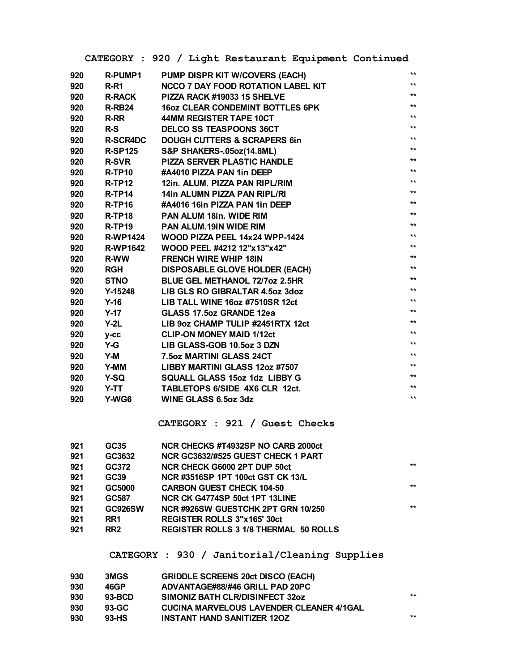|     |                 | CATEGORY : 920 / Light Restaurant Equipment Continued |                 |
|-----|-----------------|-------------------------------------------------------|-----------------|
| 920 | <b>R-PUMP1</b>  | PUMP DISPR KIT W/COVERS (EACH)                        | $***$           |
| 920 | $R-R1$          | <b>NCCO 7 DAY FOOD ROTATION LABEL KIT</b>             | $***$           |
| 920 | <b>R-RACK</b>   | PIZZA RACK #19033 15 SHELVE                           | $***$           |
| 920 | R-RB24          | <b>16oz CLEAR CONDEMINT BOTTLES 6PK</b>               | $**$            |
| 920 | <b>R-RR</b>     | 44MM REGISTER TAPE 10CT                               | $**$            |
| 920 | $R-S$           | <b>DELCO SS TEASPOONS 36CT</b>                        | $^{\star\star}$ |
| 920 | <b>R-SCR4DC</b> | <b>DOUGH CUTTERS &amp; SCRAPERS 6in</b>               | $**$            |
| 920 | <b>R-SP125</b>  | <b>S&amp;P SHAKERS-.05oz(14.8ML)</b>                  | $**$            |
| 920 | <b>R-SVR</b>    | <b>PIZZA SERVER PLASTIC HANDLE</b>                    | $**$            |
| 920 | R-TP10          | #A4010 PIZZA PAN 1in DEEP                             | $***$           |
| 920 | $R-TP12$        | 12in. ALUM. PIZZA PAN RIPL/RIM                        | $**$            |
| 920 | $R-TP14$        | 14in ALUMN PIZZA PAN RIPL/RI                          | $**$            |
| 920 | $R$ -TP16       | #A4016 16in PIZZA PAN 1in DEEP                        | $**$            |
| 920 | <b>R-TP18</b>   | <b>PAN ALUM 18in. WIDE RIM</b>                        | $**$            |
| 920 | <b>R-TP19</b>   | <b>PAN ALUM.19IN WIDE RIM</b>                         | $**$            |
| 920 | <b>R-WP1424</b> | WOOD PIZZA PEEL 14x24 WPP-1424                        | $***$           |
| 920 | <b>R-WP1642</b> | WOOD PEEL #4212 12"x13"x42"                           | $**$            |
| 920 | <b>R-WW</b>     | <b>FRENCH WIRE WHIP 18IN</b>                          | $***$           |
| 920 | <b>RGH</b>      | <b>DISPOSABLE GLOVE HOLDER (EACH)</b>                 | $**$            |
| 920 | <b>STNO</b>     | <b>BLUE GEL METHANOL 72/7oz 2.5HR</b>                 | $**$            |
| 920 | Y-15248         | LIB GLS RO GIBRALTAR 4.5oz 3doz                       | $**$            |
| 920 | $Y-16$          | LIB TALL WINE 160z #7510SR 12ct                       | $**$            |
| 920 | $Y-17$          | <b>GLASS 17.5oz GRANDE 12ea</b>                       | $**$            |
| 920 | $Y-2L$          | LIB 9oz CHAMP TULIP #2451RTX 12ct                     | $**$            |
| 920 | $y-cc$          | <b>CLIP-ON MONEY MAID 1/12ct</b>                      | $**$            |
| 920 | $Y-G$           | LIB GLASS-GOB 10.5oz 3 DZN                            | $***$           |
| 920 | $Y-M$           | 7.5oz MARTINI GLASS 24CT                              | $**$            |
| 920 | Y-MM            | LIBBY MARTINI GLASS 12oz #7507                        | $**$            |
| 920 | Y-SQ            | SQUALL GLASS 15oz 1dz LIBBY G                         | $**$            |
| 920 | Y-TT            | TABLETOPS 6/SIDE 4X6 CLR 12ct.                        | $\star\star$    |
| 920 | Y-WG6           | <b>WINE GLASS 6.5oz 3dz</b>                           | $**$            |
|     |                 |                                                       |                 |
|     |                 | CATEGORY : 921 / Guest Checks                         |                 |
| 921 | GC35            | NCR CHECKS #T4932SP NO CARB 2000ct                    |                 |
| 921 | GC3632          | NCR GC3632/#525 GUEST CHECK 1 PART                    |                 |
| 921 | GC372           | NCR CHECK G6000 2PT DUP 50ct                          | $***$           |
| 921 | <b>GC39</b>     | NCR#3516SP 1PT 100ct GST CK 13/L                      |                 |
| 921 | GC5000          | <b>CARBON GUEST CHECK 104-50</b>                      | $***$           |
| 921 | GC587           | NCR CK G4774SP 50ct 1PT 13LINE                        |                 |
| 921 | <b>GC926SW</b>  | NCR#926SW GUESTCHK 2PT GRN 10/250                     | $***$           |
| 921 | RR <sub>1</sub> | <b>REGISTER ROLLS 3"x165" 30ct</b>                    |                 |
| 921 | RR <sub>2</sub> | <b>REGISTER ROLLS 3 1/8 THERMAL 50 ROLLS</b>          |                 |
|     |                 | CATEGORY : 930 / Janitorial/Cleaning Supplies         |                 |
| 930 | 3MGS            | <b>GRIDDLE SCREENS 20ct DISCO (EACH)</b>              |                 |
| 930 | 46GP            | ADVANTAGE#88/#46 GRILL PAD 20PC                       |                 |
| ח מ | חימ נס          | CIMONIZ DATU OI DINICINEEOT 2207                      | **              |

| 930 | $93-BCD$ | SIMONIZ BATH CLR/DISINFECT 32oz                 | $***$ |
|-----|----------|-------------------------------------------------|-------|
| 930 | 93-GC    | <b>CUCINA MARVELOUS LAVENDER CLEANER 4/1GAL</b> |       |
| 930 | 93-HS    | <b>INSTANT HAND SANITIZER 120Z</b>              | $***$ |